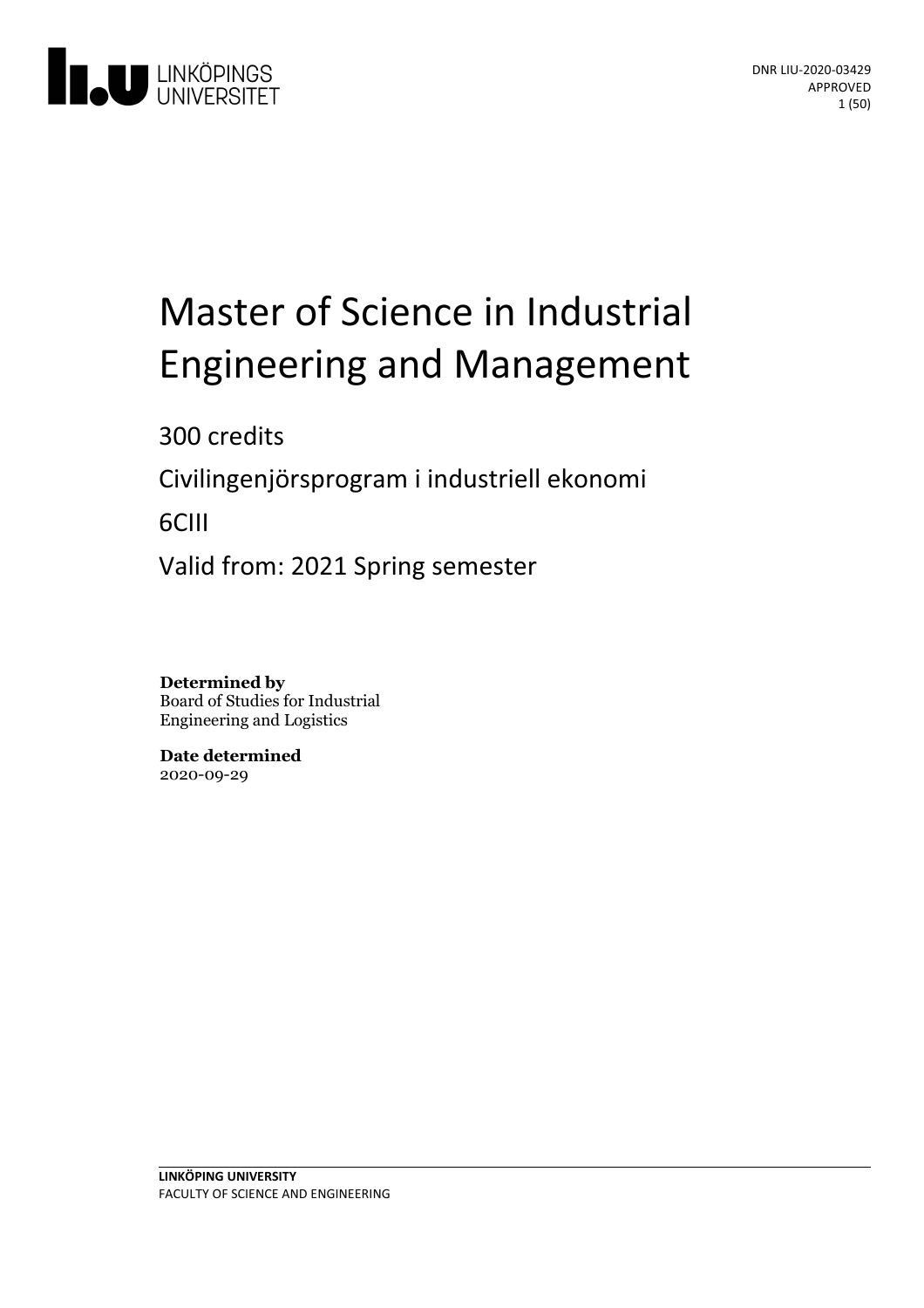

# Master of Science in Industrial **Engineering and Management**

300 credits

Civilingenjörsprogram i industriell ekonomi

6CIII

Valid from: 2021 Spring semester

**Determined by** Board of Studies for Industrial Engineering and Logistics

**Date determined** 2020-09-29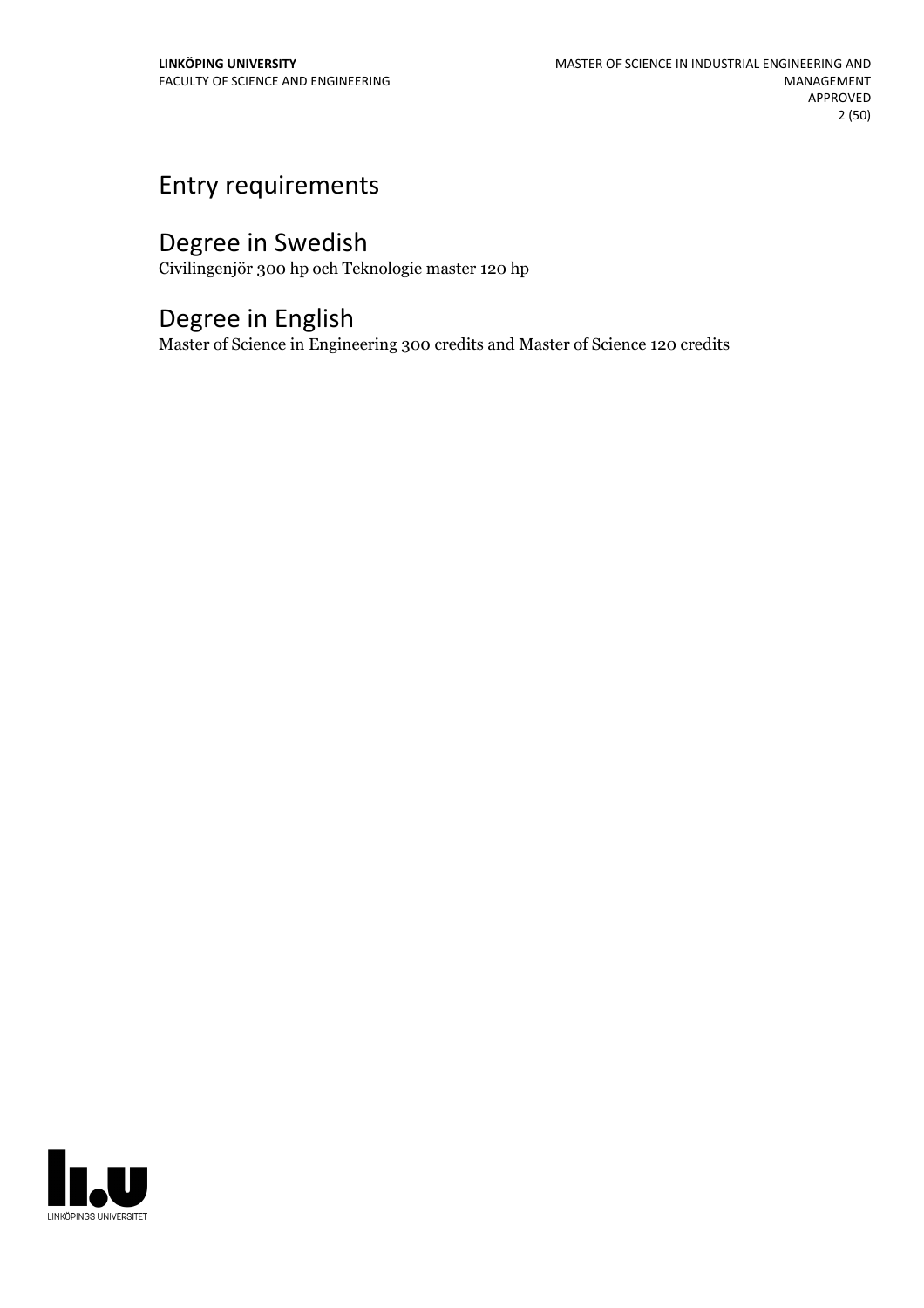### Entry requirements

### Degree in Swedish

Civilingenjör 300 hp och Teknologie master 120 hp

### Degree in English

Master of Science in Engineering 300 credits and Master of Science 120 credits

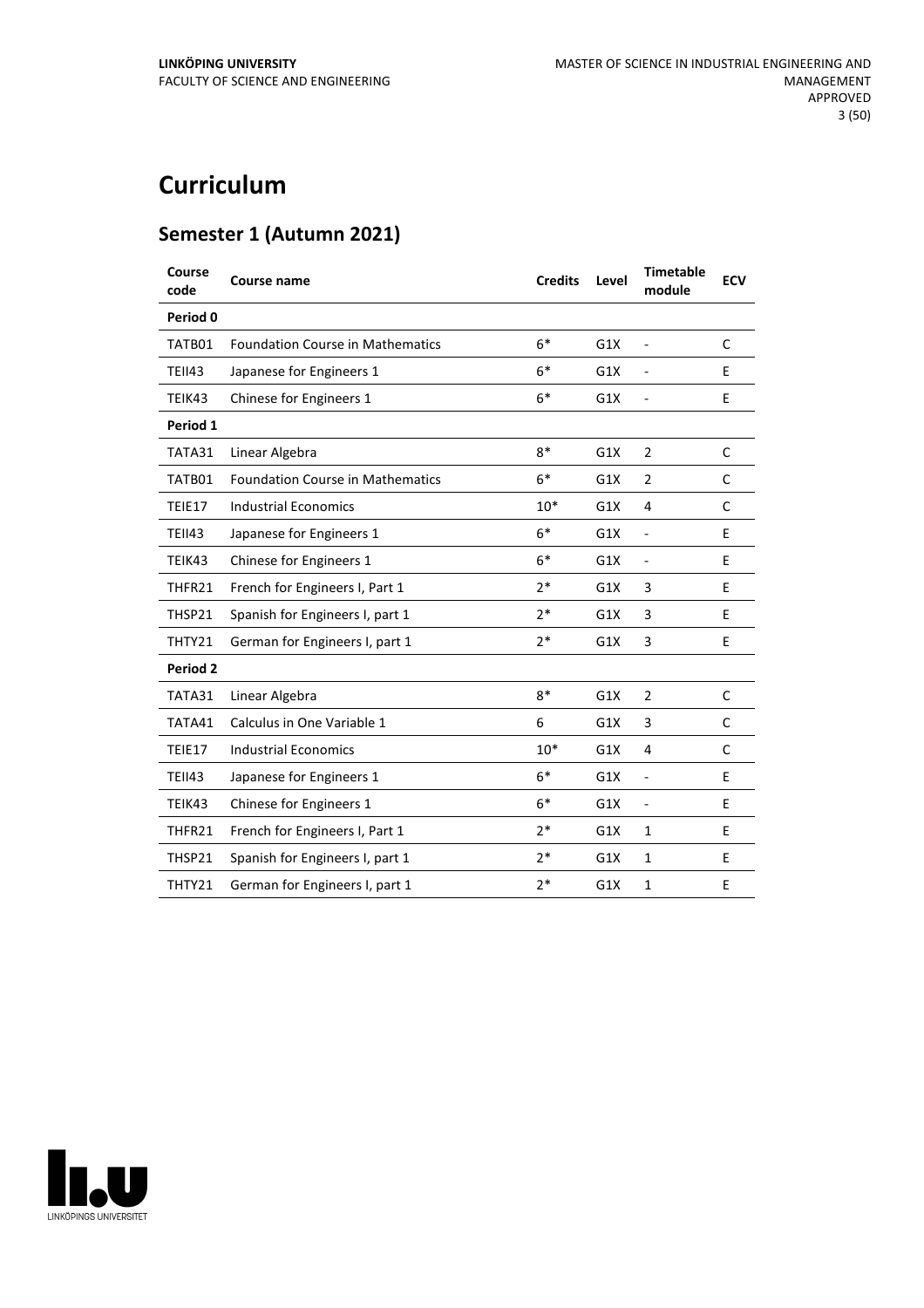### **Curriculum**

### **Semester 1 (Autumn 2021)**

| Course<br>code  | Course name                             | <b>Credits</b> | Level | <b>Timetable</b><br>module | <b>ECV</b>   |
|-----------------|-----------------------------------------|----------------|-------|----------------------------|--------------|
| Period 0        |                                         |                |       |                            |              |
| TATB01          | <b>Foundation Course in Mathematics</b> | $6*$           | G1X   | $\overline{a}$             | C            |
| <b>TEII43</b>   | Japanese for Engineers 1                | $6*$           | G1X   | $\overline{a}$             | E            |
| TEIK43          | Chinese for Engineers 1                 | $6*$           | G1X   | $\overline{a}$             | E            |
| Period 1        |                                         |                |       |                            |              |
| TATA31          | Linear Algebra                          | $8*$           | G1X   | $\overline{2}$             | $\mathsf{C}$ |
| TATB01          | <b>Foundation Course in Mathematics</b> | $6*$           | G1X   | $\overline{2}$             | C            |
| TEIE17          | <b>Industrial Economics</b>             | $10*$          | G1X   | 4                          | C            |
| <b>TEII43</b>   | Japanese for Engineers 1                | $6*$           | G1X   | $\overline{a}$             | E            |
| TEIK43          | Chinese for Engineers 1                 | $6*$           | G1X   | ÷,                         | E            |
| THFR21          | French for Engineers I, Part 1          | $2*$           | G1X   | 3                          | E            |
| THSP21          | Spanish for Engineers I, part 1         | $2*$           | G1X   | 3                          | E            |
| THTY21          | German for Engineers I, part 1          | $2*$           | G1X   | 3                          | E            |
| <b>Period 2</b> |                                         |                |       |                            |              |
| TATA31          | Linear Algebra                          | $8*$           | G1X   | $\overline{2}$             | C            |
| TATA41          | Calculus in One Variable 1              | 6              | G1X   | 3                          | C            |
| TEIE17          | <b>Industrial Economics</b>             | $10*$          | G1X   | 4                          | C            |
| <b>TEII43</b>   | Japanese for Engineers 1                | $6*$           | G1X   | $\overline{\phantom{0}}$   | E            |
| TEIK43          | Chinese for Engineers 1                 | $6*$           | G1X   | $\overline{\phantom{0}}$   | E            |
| THFR21          | French for Engineers I, Part 1          | $2*$           | G1X   | $\mathbf{1}$               | E            |
| THSP21          | Spanish for Engineers I, part 1         | $2*$           | G1X   | $\mathbf{1}$               | E            |
| THTY21          | German for Engineers I, part 1          | $2*$           | G1X   | $\mathbf{1}$               | E            |

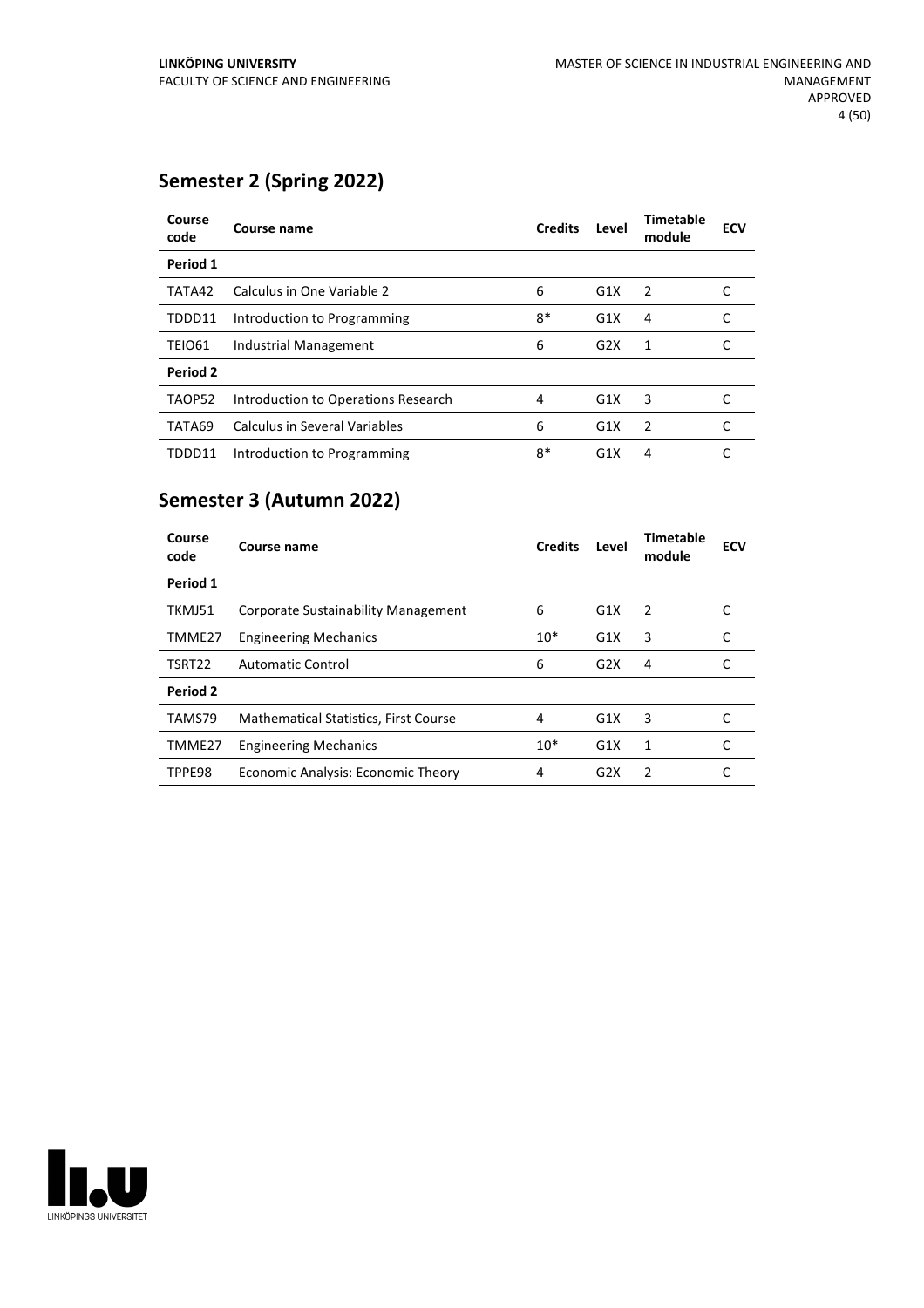### **Semester 2 (Spring 2022)**

| Course<br>code | Course name                         | <b>Credits</b> | Level | <b>Timetable</b><br>module | <b>ECV</b> |
|----------------|-------------------------------------|----------------|-------|----------------------------|------------|
| Period 1       |                                     |                |       |                            |            |
| TATA42         | Calculus in One Variable 2          | 6              | G1X   | $\overline{2}$             |            |
| TDDD11         | Introduction to Programming         | $8*$           | G1X   | 4                          |            |
| <b>TEIO61</b>  | Industrial Management               | 6              | G2X   | 1                          |            |
| Period 2       |                                     |                |       |                            |            |
| TAOP52         | Introduction to Operations Research | 4              | G1X   | 3                          |            |
| TATA69         | Calculus in Several Variables       | 6              | G1X   | $\overline{2}$             |            |
| TDDD11         | Introduction to Programming         | $8*$           | G1X   | 4                          |            |

### **Semester 3 (Autumn 2022)**

| Course<br>code | Course name                                  | <b>Credits</b> | Level | <b>Timetable</b><br>module | <b>ECV</b> |
|----------------|----------------------------------------------|----------------|-------|----------------------------|------------|
| Period 1       |                                              |                |       |                            |            |
| TKMJ51         | <b>Corporate Sustainability Management</b>   | 6              | G1X   | $\overline{2}$             |            |
| TMME27         | <b>Engineering Mechanics</b>                 | $10*$          | G1X   | 3                          | C          |
| TSRT22         | Automatic Control                            | 6              | G2X   | 4                          |            |
| Period 2       |                                              |                |       |                            |            |
| TAMS79         | <b>Mathematical Statistics, First Course</b> | 4              | G1X   | 3                          |            |
| TMME27         | <b>Engineering Mechanics</b>                 | $10*$          | G1X   | 1                          |            |
| TPPE98         | <b>Economic Analysis: Economic Theory</b>    | 4              | G2X   | $\mathcal{P}$              |            |

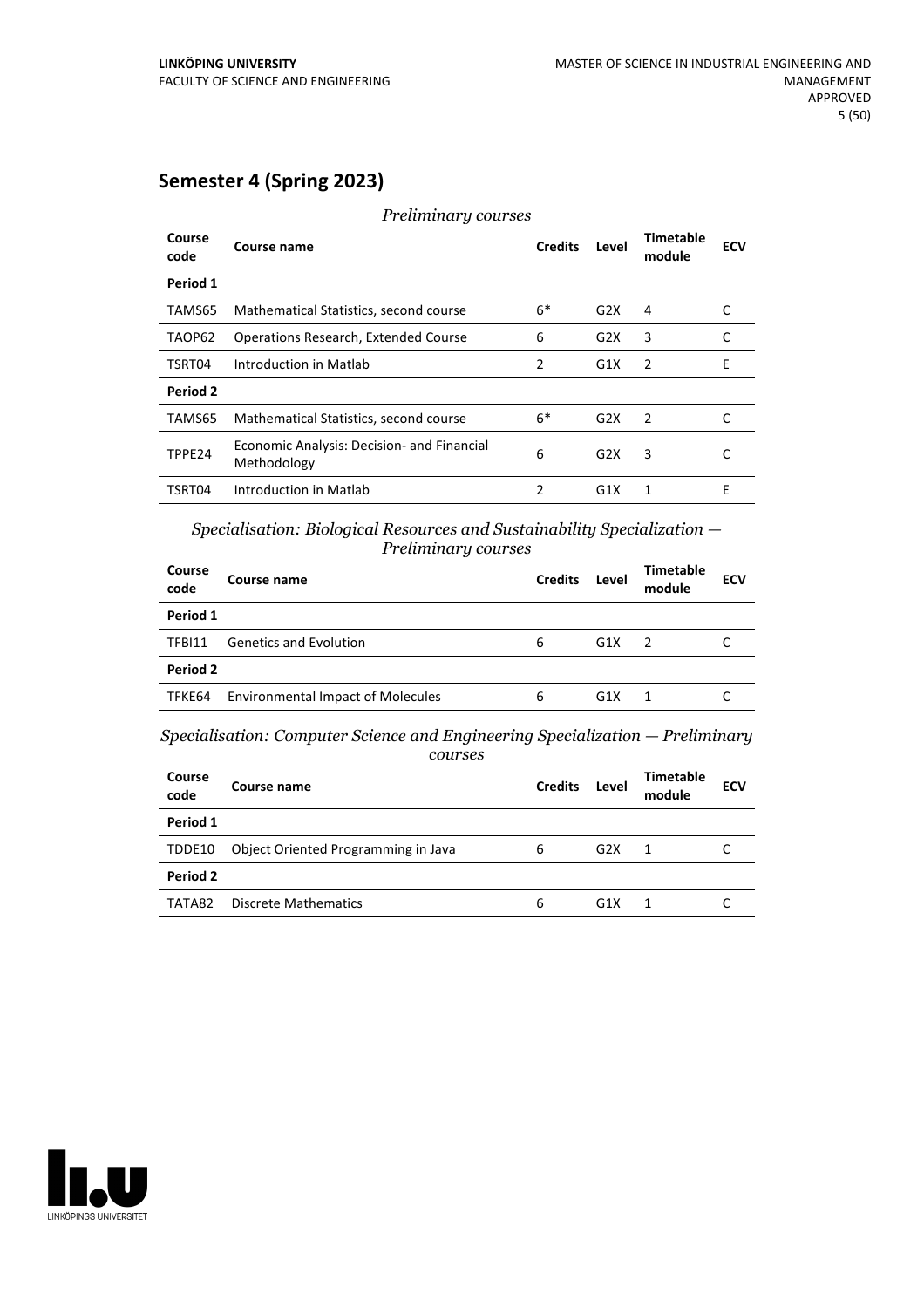### **Semester 4 (Spring 2023)**

| Course<br>code | Course name                                               | <b>Credits</b> | Level            | Timetable<br>module | <b>ECV</b> |
|----------------|-----------------------------------------------------------|----------------|------------------|---------------------|------------|
| Period 1       |                                                           |                |                  |                     |            |
| TAMS65         | Mathematical Statistics, second course                    | $6*$           | G2X              | 4                   |            |
| TAOP62         | <b>Operations Research, Extended Course</b>               | 6              | G2X              | 3                   | C          |
| TSRT04         | Introduction in Matlab                                    | 2              | G1X              | $\mathcal{P}$       | F          |
| Period 2       |                                                           |                |                  |                     |            |
| TAMS65         | Mathematical Statistics, second course                    | $6*$           | G2X              | -2                  | C          |
| TPPE24         | Economic Analysis: Decision- and Financial<br>Methodology | 6              | G2X              | 3                   |            |
| TSRT04         | Introduction in Matlab                                    | $\mathfrak{p}$ | G <sub>1</sub> X | 1                   | E          |

*Preliminary courses*

*Specialisation: Biological Resources and Sustainability Specialization — Preliminary courses*

| Course name                   | <b>Credits</b>                                       | Level | Timetable<br>module | <b>ECV</b> |
|-------------------------------|------------------------------------------------------|-------|---------------------|------------|
|                               |                                                      |       |                     |            |
| <b>Genetics and Evolution</b> | 6                                                    | G1X   |                     |            |
|                               |                                                      |       |                     |            |
|                               | 6                                                    | G1X   |                     |            |
|                               | Period 2<br><b>Environmental Impact of Molecules</b> |       |                     |            |

*Specialisation: Computer Science and Engineering Specialization — Preliminary courses*

| Course<br>code | Course name                         | <b>Credits</b> | Level | Timetable<br>module | <b>ECV</b> |
|----------------|-------------------------------------|----------------|-------|---------------------|------------|
| Period 1       |                                     |                |       |                     |            |
| TDDE10         | Object Oriented Programming in Java | 6              | G2X   |                     |            |
| Period 2       |                                     |                |       |                     |            |
| TATA82         | Discrete Mathematics                | 6              | G1X   |                     |            |

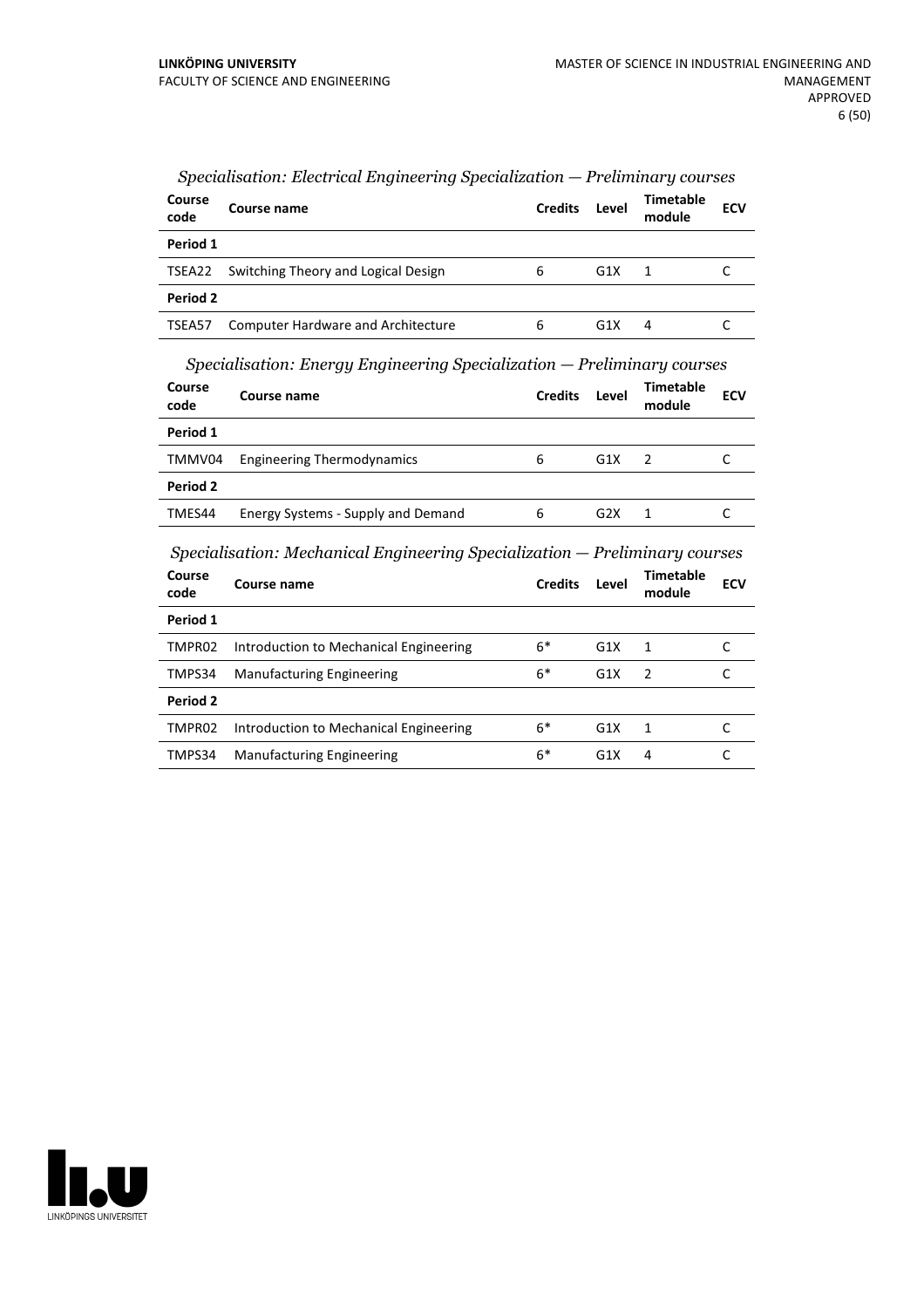| Course<br>code | Course name                                | <b>Credits</b> | Level | Timetable<br>module | <b>ECV</b> |
|----------------|--------------------------------------------|----------------|-------|---------------------|------------|
| Period 1       |                                            |                |       |                     |            |
|                | TSEA22 Switching Theory and Logical Design | 6              | G1X   |                     |            |
| Period 2       |                                            |                |       |                     |            |
| TSEA57         | <b>Computer Hardware and Architecture</b>  | 6              | G1X   | 4                   |            |

#### *Specialisation: Electrical Engineering Specialization — Preliminary courses*

*Specialisation: Energy Engineering Specialization — Preliminary courses*

| Course<br>code | Course name                        | <b>Credits</b> | Level | Timetable<br>module | <b>ECV</b> |
|----------------|------------------------------------|----------------|-------|---------------------|------------|
| Period 1       |                                    |                |       |                     |            |
| TMMV04         | <b>Engineering Thermodynamics</b>  | 6              | G1X   | $\mathcal{L}$       |            |
| Period 2       |                                    |                |       |                     |            |
| TMES44         | Energy Systems - Supply and Demand | 6              | G2X   |                     |            |

*Specialisation: Mechanical Engineering Specialization — Preliminary courses*

| Course<br>code | Course name                            | <b>Credits</b> | Level            | <b>Timetable</b><br>module | <b>ECV</b> |
|----------------|----------------------------------------|----------------|------------------|----------------------------|------------|
| Period 1       |                                        |                |                  |                            |            |
| TMPR02         | Introduction to Mechanical Engineering | $6*$           | G1X              | 1                          |            |
| TMPS34         | <b>Manufacturing Engineering</b>       | $6*$           | G1X              | $\overline{2}$             |            |
| Period 2       |                                        |                |                  |                            |            |
| TMPR02         | Introduction to Mechanical Engineering | $6*$           | G1X              | 1                          |            |
| TMPS34         | <b>Manufacturing Engineering</b>       | $6*$           | G <sub>1</sub> X | 4                          |            |

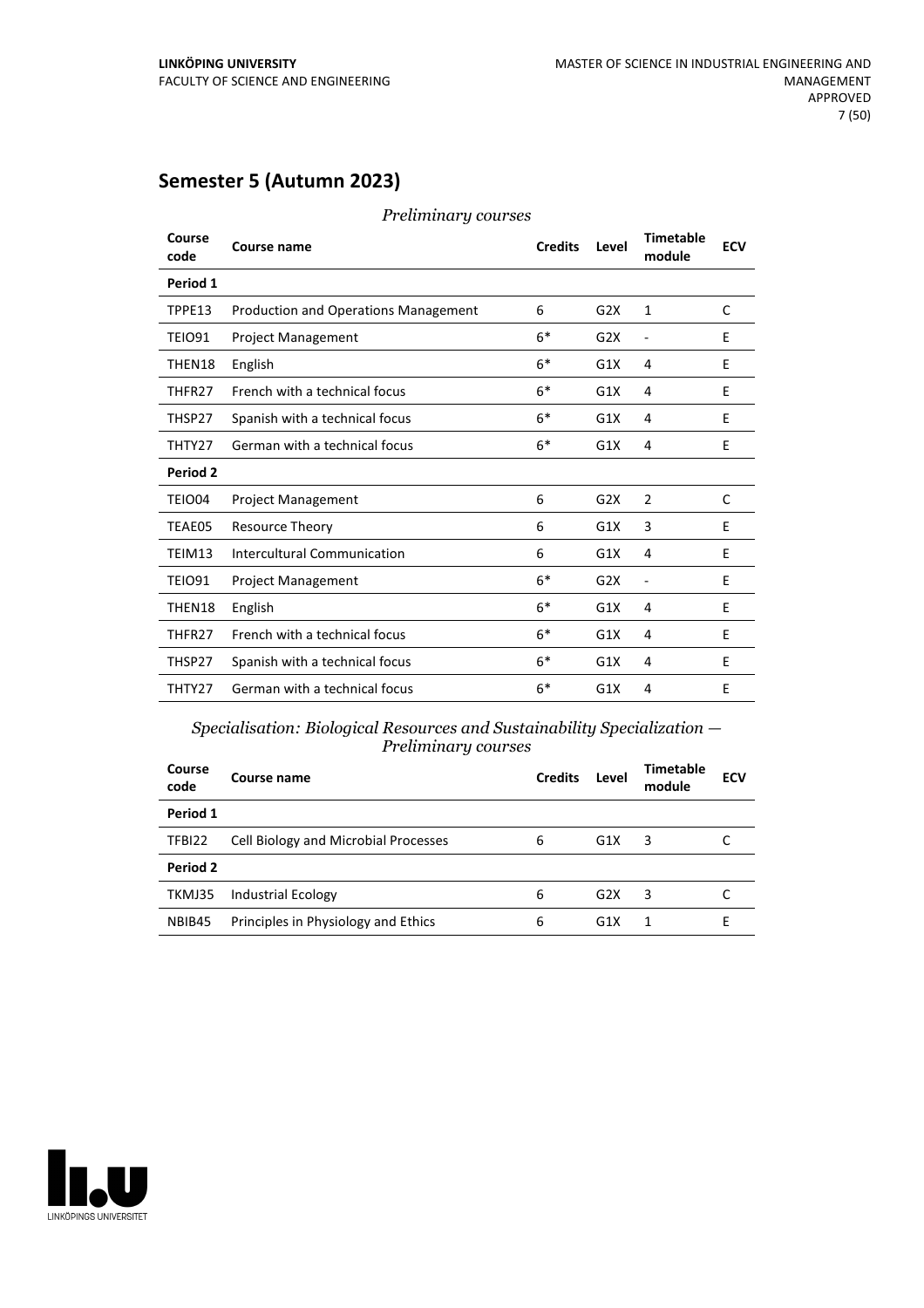### **Semester 5 (Autumn 2023)**

| Course<br>code | Course name                                 | <b>Credits</b> | Level | <b>Timetable</b><br>module | <b>ECV</b> |
|----------------|---------------------------------------------|----------------|-------|----------------------------|------------|
| Period 1       |                                             |                |       |                            |            |
| TPPE13         | <b>Production and Operations Management</b> | 6              | G2X   | $\mathbf{1}$               | C          |
| <b>TEIO91</b>  | <b>Project Management</b>                   | $6*$           | G2X   | $\frac{1}{2}$              | E          |
| THEN18         | English                                     | $6*$           | G1X   | 4                          | E          |
| THFR27         | French with a technical focus               | $6*$           | G1X   | 4                          | E          |
| THSP27         | Spanish with a technical focus              | $6*$           | G1X   | 4                          | E          |
| THTY27         | German with a technical focus               | $6*$           | G1X   | 4                          | E          |
| Period 2       |                                             |                |       |                            |            |
| TEIO04         | <b>Project Management</b>                   | 6              | G2X   | $\overline{2}$             | C          |
| TEAE05         | Resource Theory                             | 6              | G1X   | 3                          | E          |
| TEIM13         | Intercultural Communication                 | 6              | G1X   | 4                          | E          |
| <b>TEIO91</b>  | <b>Project Management</b>                   | $6*$           | G2X   | $\overline{a}$             | E          |
| THEN18         | English                                     | $6*$           | G1X   | 4                          | E          |
| THFR27         | French with a technical focus               | $6*$           | G1X   | 4                          | E          |
| THSP27         | Spanish with a technical focus              | $6*$           | G1X   | 4                          | E          |
| THTY27         | German with a technical focus               | $6*$           | G1X   | 4                          | F          |

*Preliminary courses*

*Specialisation: Biological Resources and Sustainability Specialization — Preliminary courses*

| Course<br>code | Course name                          | <b>Credits</b> | Level | <b>Timetable</b><br>module | <b>ECV</b> |
|----------------|--------------------------------------|----------------|-------|----------------------------|------------|
| Period 1       |                                      |                |       |                            |            |
| TFBI22         | Cell Biology and Microbial Processes | 6              | G1X   | 3                          |            |
| Period 2       |                                      |                |       |                            |            |
| TKMJ35         | <b>Industrial Ecology</b>            | 6              | G2X   | 3                          |            |
| NBIB45         | Principles in Physiology and Ethics  | 6              | G1X   |                            | ь          |

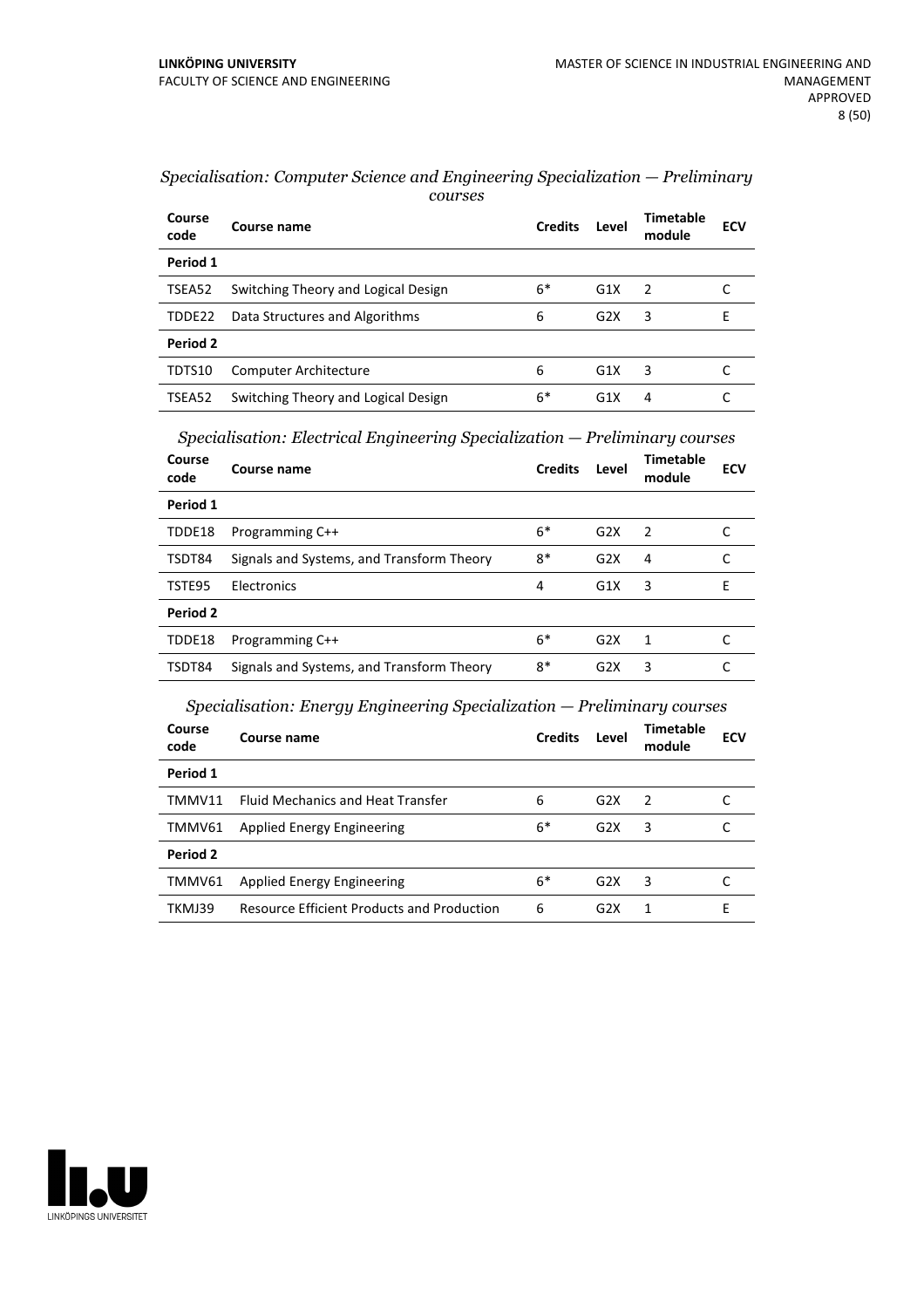| Course<br>code | Course name                         | <b>Credits</b> | Level | <b>Timetable</b><br>module | <b>ECV</b> |
|----------------|-------------------------------------|----------------|-------|----------------------------|------------|
| Period 1       |                                     |                |       |                            |            |
| TSEA52         | Switching Theory and Logical Design | 6*             | G1X   | $\overline{z}$             |            |
| TDDE22         | Data Structures and Algorithms      | 6              | G2X   | 3                          | F          |
| Period 2       |                                     |                |       |                            |            |
| TDTS10         | <b>Computer Architecture</b>        | 6              | G1X   | 3                          |            |
| TSEA52         | Switching Theory and Logical Design | 6*             | G1X   | 4                          |            |

| Specialisation: Computer Science and Engineering Specialization – Preliminary |  |
|-------------------------------------------------------------------------------|--|
| courses                                                                       |  |

*Specialisation: Electrical Engineering Specialization — Preliminary courses*

| Course<br>code | Course name                               | <b>Credits</b> | Level | Timetable<br>module | <b>ECV</b> |
|----------------|-------------------------------------------|----------------|-------|---------------------|------------|
| Period 1       |                                           |                |       |                     |            |
| TDDE18         | Programming C++                           | $6*$           | G2X   | $\mathcal{P}$       |            |
| TSDT84         | Signals and Systems, and Transform Theory | $8*$           | G2X   | 4                   |            |
| TSTE95         | Electronics                               | 4              | G1X   | 3                   | F          |
| Period 2       |                                           |                |       |                     |            |
| TDDE18         | Programming C++                           | $6*$           | G2X   | 1                   |            |
| TSDT84         | Signals and Systems, and Transform Theory | 8*             | G2X   | 3                   |            |

### *Specialisation: Energy Engineering Specialization — Preliminary courses*

| Course<br>code | Course name                                       | <b>Credits</b> | Level | Timetable<br>module | <b>ECV</b> |
|----------------|---------------------------------------------------|----------------|-------|---------------------|------------|
| Period 1       |                                                   |                |       |                     |            |
| TMMV11         | <b>Fluid Mechanics and Heat Transfer</b>          | 6              | G2X   | $\mathcal{P}$       |            |
| TMMV61         | Applied Energy Engineering                        | $6*$           | G2X   | 3                   |            |
| Period 2       |                                                   |                |       |                     |            |
| TMMV61         | Applied Energy Engineering                        | $6*$           | G2X   | 3                   |            |
| TKMJ39         | <b>Resource Efficient Products and Production</b> | 6              | G2X   |                     | F          |

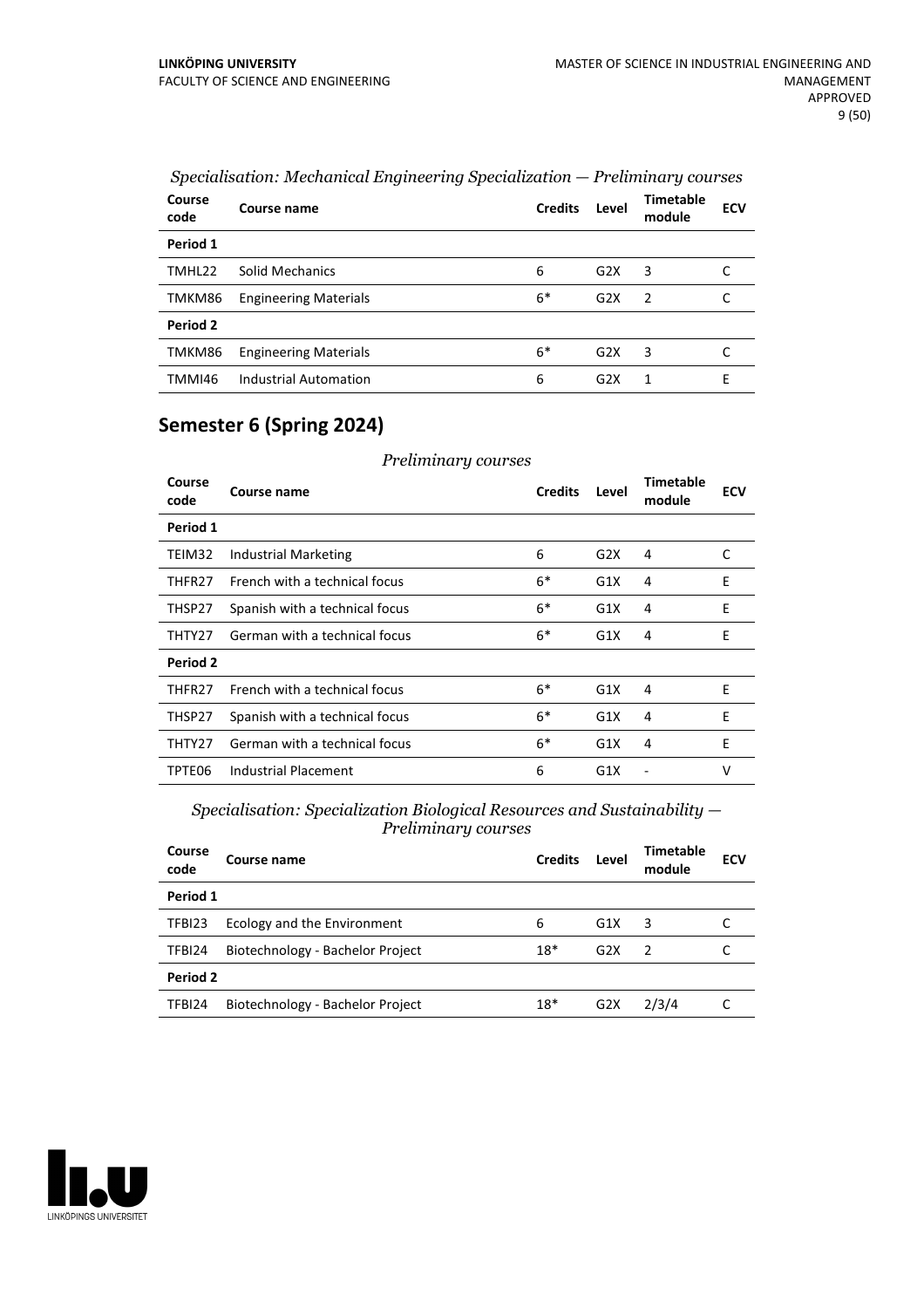| Course<br>code | Course name                  | <b>Credits</b> | Level            | <b>Timetable</b><br>module | <b>ECV</b> |
|----------------|------------------------------|----------------|------------------|----------------------------|------------|
| Period 1       |                              |                |                  |                            |            |
| TMHL22         | Solid Mechanics              | 6              | G <sub>2</sub> X | 3                          | C          |
| TMKM86         | <b>Engineering Materials</b> | $6*$           | G2X              | $\overline{2}$             | C          |
| Period 2       |                              |                |                  |                            |            |
| TMKM86         | <b>Engineering Materials</b> | $6*$           | G <sub>2</sub> X | 3                          | C          |
| TMMI46         | Industrial Automation        | 6              | G2X              | 1                          | F          |

### *Specialisation: Mechanical Engineering Specialization — Preliminary courses*

### **Semester 6 (Spring 2024)**

| Preliminary courses |                                |                |       |                            |            |  |
|---------------------|--------------------------------|----------------|-------|----------------------------|------------|--|
| Course<br>code      | Course name                    | <b>Credits</b> | Level | <b>Timetable</b><br>module | <b>ECV</b> |  |
| Period 1            |                                |                |       |                            |            |  |
| TEIM32              | Industrial Marketing           | 6              | G2X   | 4                          | C          |  |
| THFR27              | French with a technical focus  | $6*$           | G1X   | 4                          | E          |  |
| THSP27              | Spanish with a technical focus | $6*$           | G1X   | 4                          | E          |  |
| THTY27              | German with a technical focus  | 6*             | G1X   | 4                          | E          |  |
| Period 2            |                                |                |       |                            |            |  |
| THFR27              | French with a technical focus  | 6*             | G1X   | 4                          | E          |  |
| THSP27              | Spanish with a technical focus | $6*$           | G1X   | 4                          | E          |  |
| THTY27              | German with a technical focus  | $6*$           | G1X   | 4                          | E          |  |
| TPTE06              | <b>Industrial Placement</b>    | 6              | G1X   |                            | v          |  |

*Specialisation: Specialization Biological Resources and Sustainability — Preliminary courses*

| Course<br>code | Course name                      | <b>Credits</b> | Level            | <b>Timetable</b><br>module | <b>ECV</b> |
|----------------|----------------------------------|----------------|------------------|----------------------------|------------|
| Period 1       |                                  |                |                  |                            |            |
| TFBI23         | Ecology and the Environment      | 6              | G1X              | 3                          |            |
| TFBI24         | Biotechnology - Bachelor Project | $18*$          | G2X              | $\mathcal{P}$              |            |
| Period 2       |                                  |                |                  |                            |            |
| TFBI24         | Biotechnology - Bachelor Project | $18*$          | G <sub>2</sub> X | 2/3/4                      |            |
|                |                                  |                |                  |                            |            |

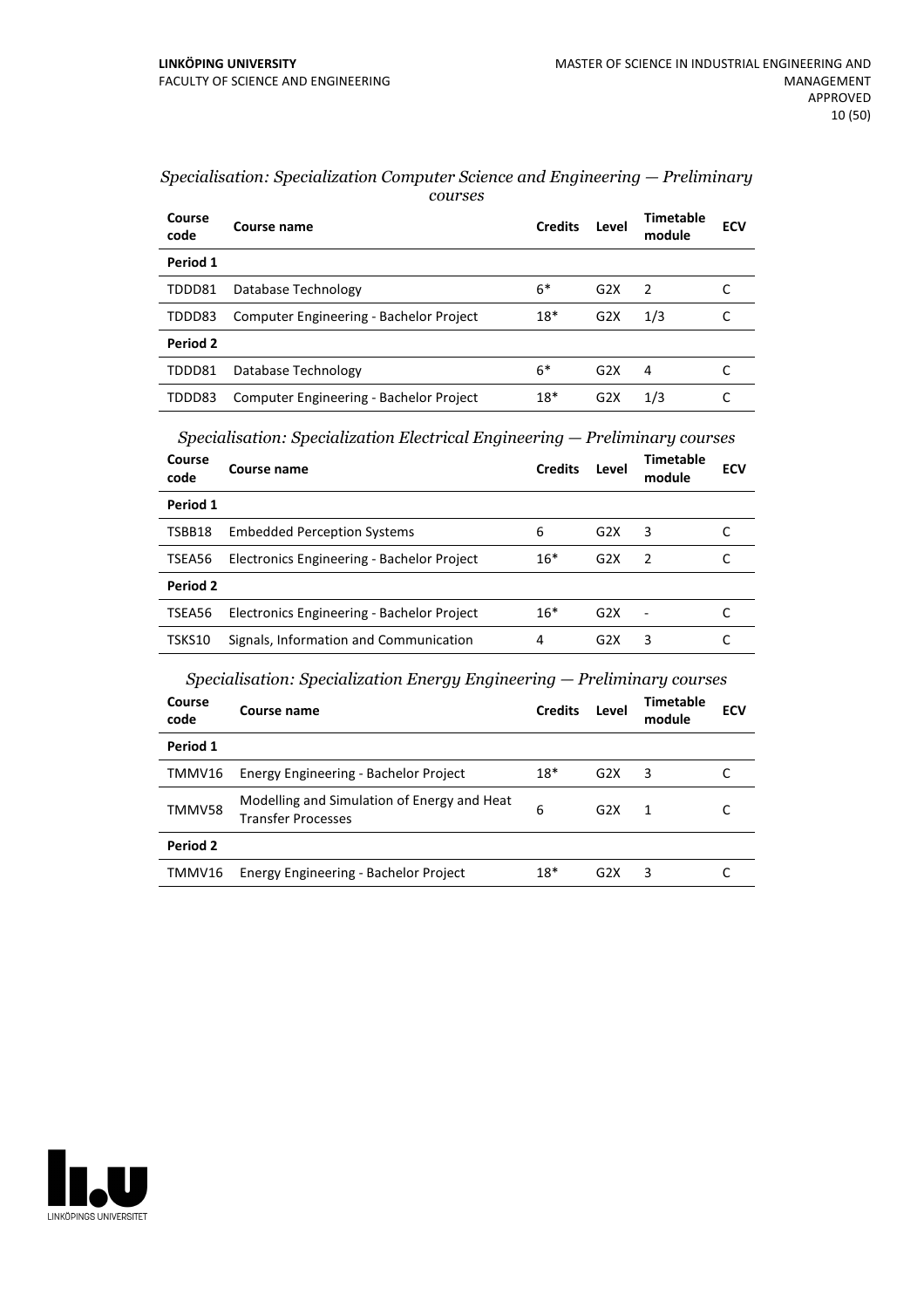| Course<br>code | Course name                             | <b>Credits</b> | Level            | Timetable<br>module | ECV |
|----------------|-----------------------------------------|----------------|------------------|---------------------|-----|
| Period 1       |                                         |                |                  |                     |     |
| TDDD81         | Database Technology                     | $6*$           | G <sub>2</sub> X | $\overline{z}$      |     |
| TDDD83         | Computer Engineering - Bachelor Project | $18*$          | G <sub>2</sub> X | 1/3                 |     |
| Period 2       |                                         |                |                  |                     |     |
| TDDD81         | Database Technology                     | $6*$           | G2X              | 4                   |     |
| TDDD83         | Computer Engineering - Bachelor Project | $18*$          | G2X              | 1/3                 |     |

#### *Specialisation: Specialization Computer Science and Engineering — Preliminary courses*

*Specialisation: Specialization Electrical Engineering — Preliminary courses*

| Course<br>code  | Course name                                | <b>Credits</b> | Level            | <b>Timetable</b><br>module | <b>ECV</b> |
|-----------------|--------------------------------------------|----------------|------------------|----------------------------|------------|
| Period 1        |                                            |                |                  |                            |            |
| TSBB18          | <b>Embedded Perception Systems</b>         | 6              | G2X              | 3                          |            |
| TSEA56          | Electronics Engineering - Bachelor Project | $16*$          | G <sub>2</sub> X | $\mathcal{P}$              |            |
| <b>Period 2</b> |                                            |                |                  |                            |            |
| TSEA56          | Electronics Engineering - Bachelor Project | $16*$          | G2X              | $\overline{\phantom{a}}$   |            |
| TSKS10          | Signals, Information and Communication     | 4              | G <sub>2</sub> X | 3                          |            |

*Specialisation: Specialization Energy Engineering — Preliminary courses*

| Course name<br>code                 |                                             | <b>Credits</b> | Level            | Timetable<br>module | <b>ECV</b> |
|-------------------------------------|---------------------------------------------|----------------|------------------|---------------------|------------|
| Period 1                            |                                             |                |                  |                     |            |
| TMMV16                              | Energy Engineering - Bachelor Project       | $18*$          | G2X              | 3                   |            |
| TMMV58<br><b>Transfer Processes</b> | Modelling and Simulation of Energy and Heat | 6              | G2X              | 1                   |            |
| Period 2                            |                                             |                |                  |                     |            |
| TMMV16                              | Energy Engineering - Bachelor Project       | $18*$          | G <sub>2</sub> X | 3                   |            |

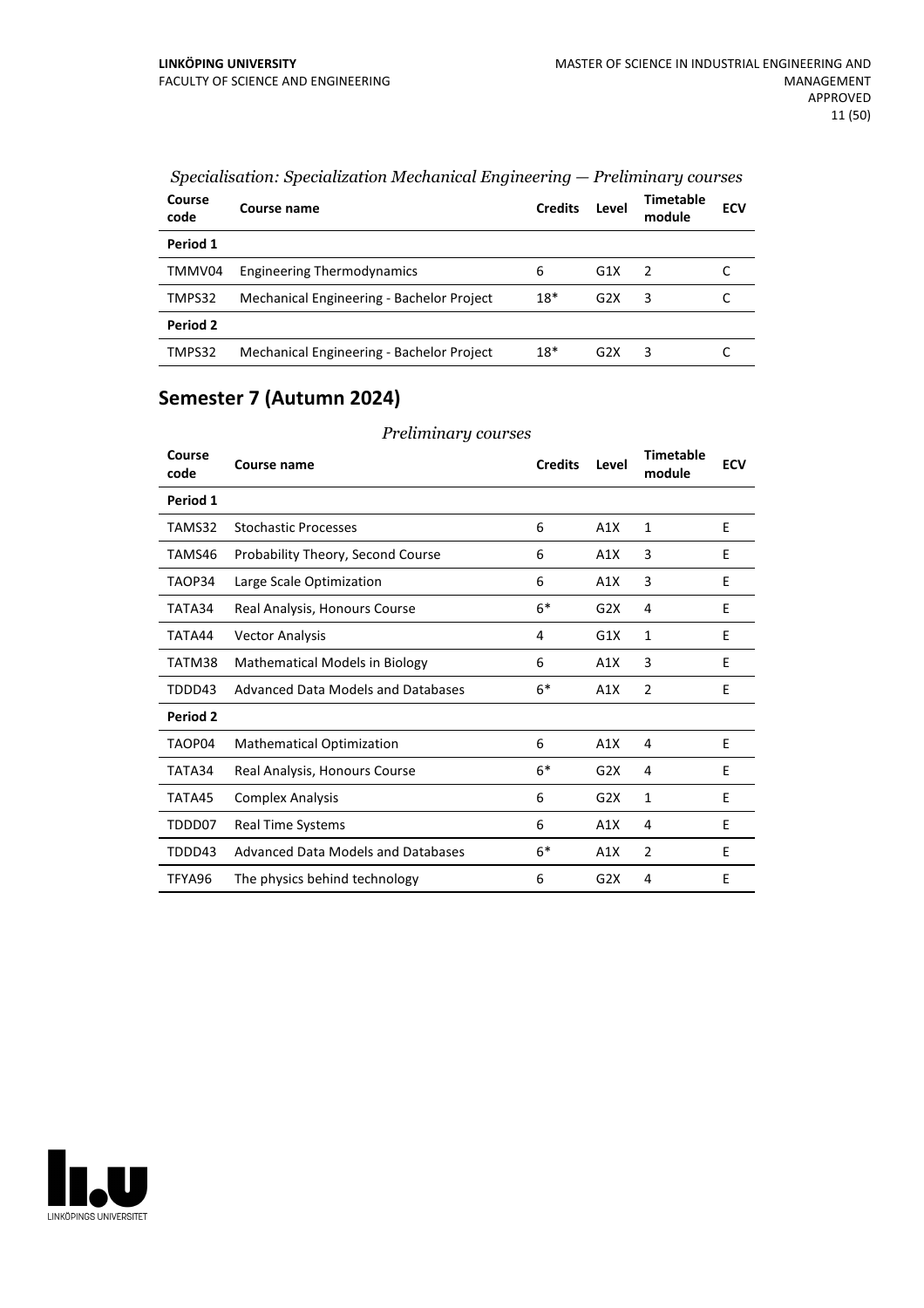| Course<br>code | Course name                               | <b>Credits</b> | Level            | Timetable<br>module | <b>ECV</b> |
|----------------|-------------------------------------------|----------------|------------------|---------------------|------------|
| Period 1       |                                           |                |                  |                     |            |
| TMMV04         | <b>Engineering Thermodynamics</b>         | 6              | G1X              | $\mathcal{L}$       |            |
| TMPS32         | Mechanical Engineering - Bachelor Project | $18*$          | G2X              | 3                   |            |
| Period 2       |                                           |                |                  |                     |            |
| TMPS32         | Mechanical Engineering - Bachelor Project | $18*$          | G <sub>2</sub> X | 3                   |            |

### *Specialisation: Specialization Mechanical Engineering — Preliminary courses*

### **Semester 7 (Autumn 2024)**

| Course<br>code | Course name                           | <b>Credits</b> | Level | Timetable<br>module | <b>ECV</b> |
|----------------|---------------------------------------|----------------|-------|---------------------|------------|
| Period 1       |                                       |                |       |                     |            |
| TAMS32         | <b>Stochastic Processes</b>           | 6              | A1X   | 1                   | E          |
| TAMS46         | Probability Theory, Second Course     | 6              | A1X   | 3                   | E          |
| TAOP34         | Large Scale Optimization              | 6              | A1X   | 3                   | E          |
| TATA34         | Real Analysis, Honours Course         | $6*$           | G2X   | 4                   | E          |
| TATA44         | <b>Vector Analysis</b>                | 4              | G1X   | $\mathbf{1}$        | E          |
| TATM38         | <b>Mathematical Models in Biology</b> | 6              | A1X   | 3                   | E          |
| TDDD43         | Advanced Data Models and Databases    | $6*$           | A1X   | $\overline{2}$      | E          |
| Period 2       |                                       |                |       |                     |            |
| TAOP04         | <b>Mathematical Optimization</b>      | 6              | A1X   | 4                   | E          |
| TATA34         | Real Analysis, Honours Course         | $6*$           | G2X   | 4                   | E          |
| TATA45         | <b>Complex Analysis</b>               | 6              | G2X   | $\mathbf{1}$        | E          |
| TDDD07         | Real Time Systems                     | 6              | A1X   | 4                   | E          |
| TDDD43         | Advanced Data Models and Databases    | $6*$           | A1X   | $\overline{2}$      | E          |
| TFYA96         | The physics behind technology         | 6              | G2X   | 4                   | E          |

*Preliminary courses*

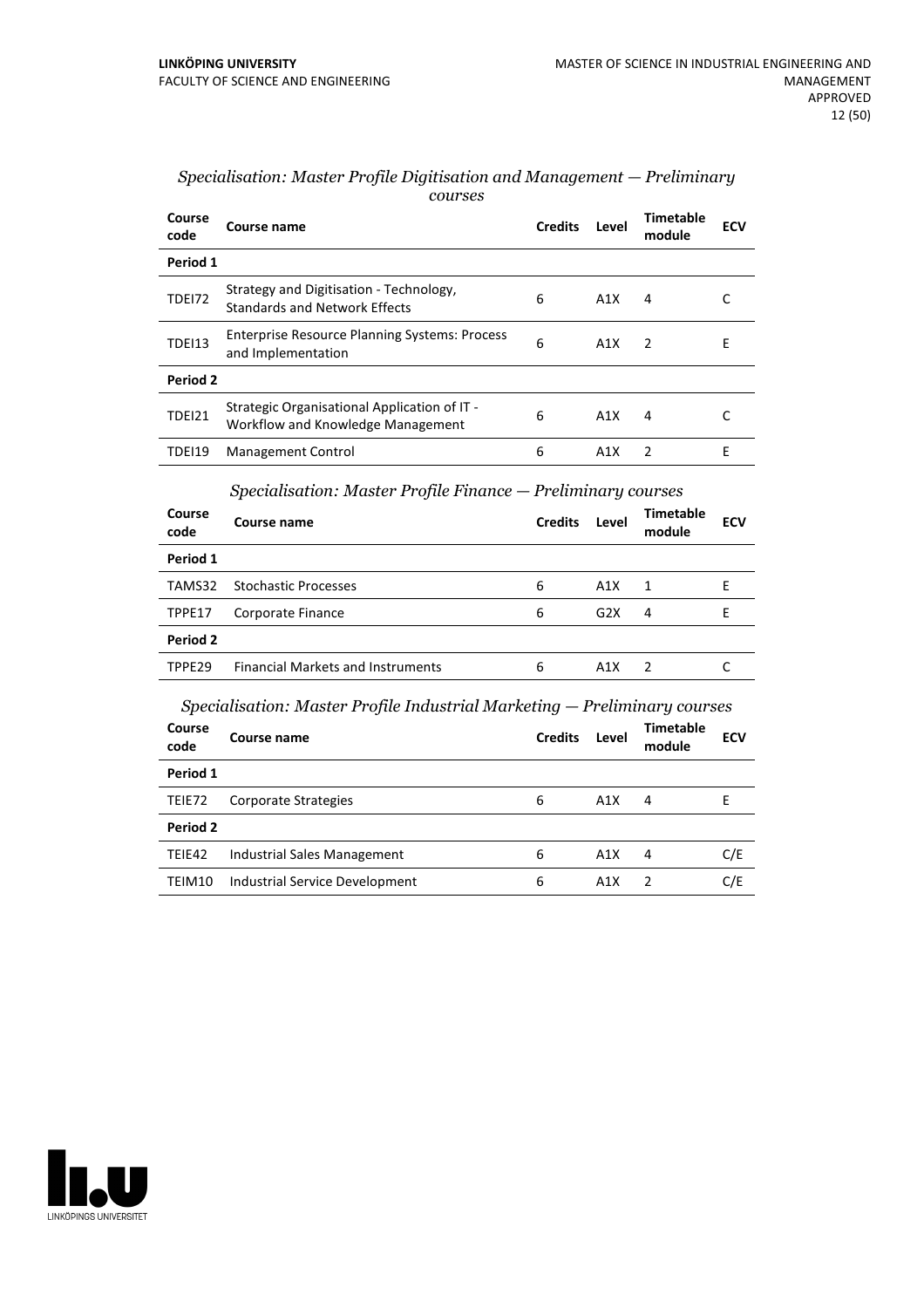| Course<br>code  | Course name                                                                       | <b>Credits</b> | Level | <b>Timetable</b><br>module | <b>ECV</b> |
|-----------------|-----------------------------------------------------------------------------------|----------------|-------|----------------------------|------------|
| Period 1        |                                                                                   |                |       |                            |            |
| <b>TDE172</b>   | Strategy and Digitisation - Technology,<br><b>Standards and Network Effects</b>   | 6              | A1X   | 4                          | C          |
| <b>TDEI13</b>   | <b>Enterprise Resource Planning Systems: Process</b><br>and Implementation        | 6              | A1X   | $\overline{2}$             | E          |
| Period 2        |                                                                                   |                |       |                            |            |
| TDEI21          | Strategic Organisational Application of IT -<br>Workflow and Knowledge Management | 6              | A1X   | 4                          | C          |
| <b>TDEI19</b>   | <b>Management Control</b>                                                         | 6              | A1X   | $\overline{2}$             | E          |
|                 | Specialisation: Master Profile Finance – Preliminary courses                      |                |       |                            |            |
| Course<br>code  | <b>Course name</b>                                                                | <b>Credits</b> | Level | <b>Timetable</b><br>module | <b>ECV</b> |
| Period 1        |                                                                                   |                |       |                            |            |
| TAMS32          | <b>Stochastic Processes</b>                                                       | 6              | A1X   | $\mathbf{1}$               | E          |
| TPPE17          | Corporate Finance                                                                 | 6              | G2X   | 4                          | E          |
| <b>Period 2</b> |                                                                                   |                |       |                            |            |
| TPPE29          | <b>Financial Markets and Instruments</b>                                          | 6              | A1X   | 2                          | C          |
|                 | Specialisation: Master Profile Industrial Marketing — Preliminary courses         |                |       |                            |            |
| Course<br>code  | Course name                                                                       | <b>Credits</b> | Level | Timetable<br>module        | <b>ECV</b> |
| Period 1        |                                                                                   |                |       |                            |            |
| TEIE72          | Corporate Strategies                                                              | 6              | A1X   | 4                          | E          |
| Period 2        |                                                                                   |                |       |                            |            |
| TEIE42          | <b>Industrial Sales Management</b>                                                | 6              | A1X   | 4                          | C/E        |

TEIM10 Industrial Service Development 6 A1X 2 C/E

#### *Specialisation: Master Profile Digitisation and Management — Preliminary courses*

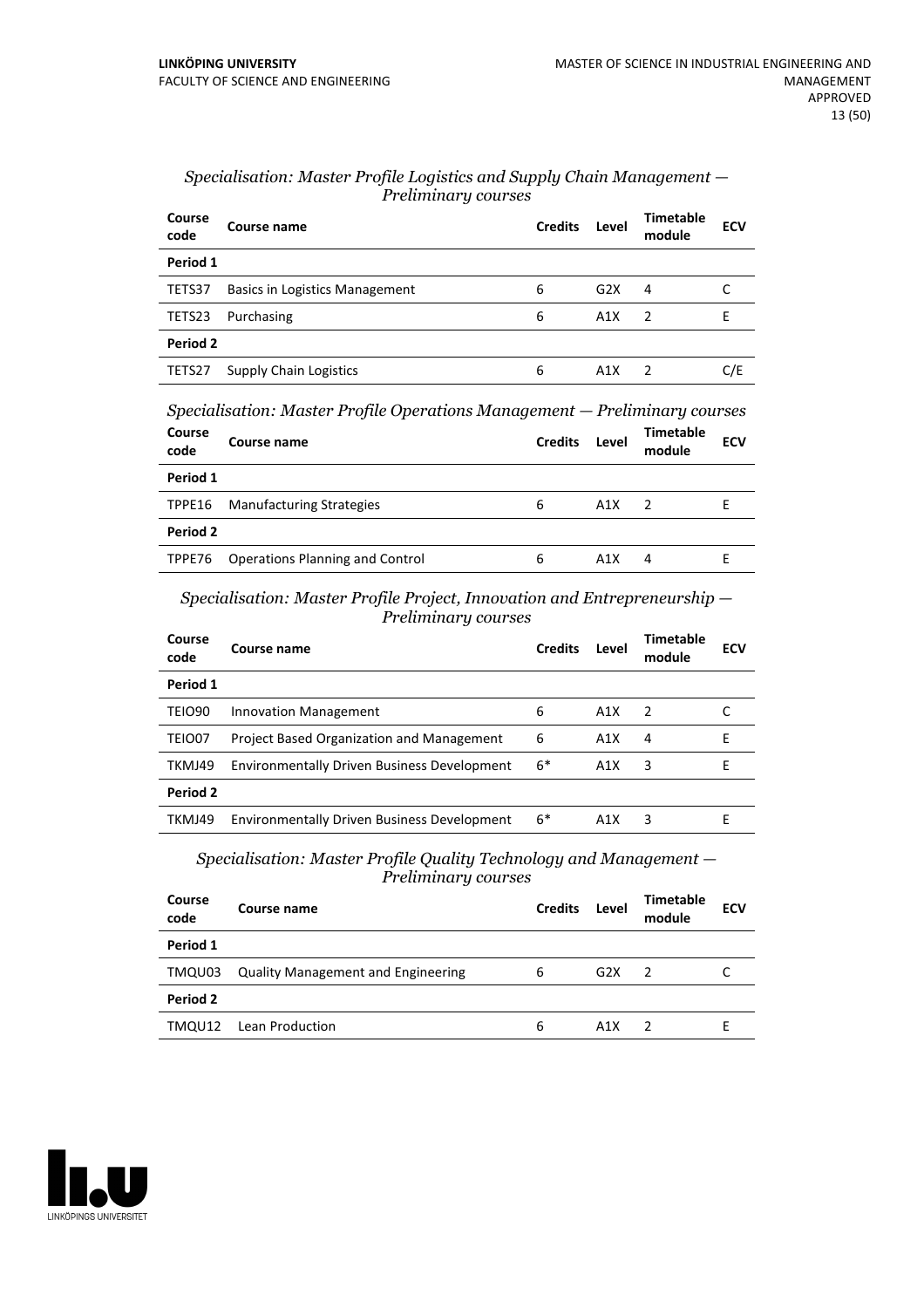| Course<br>code | Course name                           | <b>Credits</b> | Level            | <b>Timetable</b><br>module | <b>ECV</b> |
|----------------|---------------------------------------|----------------|------------------|----------------------------|------------|
| Period 1       |                                       |                |                  |                            |            |
| TETS37         | <b>Basics in Logistics Management</b> | 6              | G <sub>2</sub> X | 4                          |            |
| TETS23         | Purchasing                            | 6              | A1X              | $\mathcal{P}$              |            |
| Period 2       |                                       |                |                  |                            |            |
| TETS27         | <b>Supply Chain Logistics</b>         | 6              | A1X              | 2                          | C/E        |

#### *Specialisation: Master Profile Logistics and Supply Chain Management — Preliminary courses*

*Specialisation: Master Profile Operations Management — Preliminary courses*

| Course<br>code | Course name                            | <b>Credits</b> | Level | Timetable<br>module | <b>ECV</b> |
|----------------|----------------------------------------|----------------|-------|---------------------|------------|
| Period 1       |                                        |                |       |                     |            |
| TPPE16         | <b>Manufacturing Strategies</b>        | 6              | A1X   |                     |            |
| Period 2       |                                        |                |       |                     |            |
| TPPE76         | <b>Operations Planning and Control</b> | 6              | A1X   | 4                   |            |

*Specialisation: Master Profile Project, Innovation and Entrepreneurship — Preliminary courses*

| Course<br>code | Course name                                        | <b>Credits</b> | Level            | Timetable<br>module | <b>ECV</b> |
|----------------|----------------------------------------------------|----------------|------------------|---------------------|------------|
| Period 1       |                                                    |                |                  |                     |            |
| <b>TEIO90</b>  | <b>Innovation Management</b>                       | 6              | A <sub>1</sub> X | 2                   |            |
| TEIO07         | <b>Project Based Organization and Management</b>   | 6              | A <sub>1</sub> X | 4                   | F          |
| TKMJ49         | <b>Environmentally Driven Business Development</b> | $6*$           | A <sub>1</sub> X | 3                   | F          |
| Period 2       |                                                    |                |                  |                     |            |
| TKMJ49         | <b>Environmentally Driven Business Development</b> | $6*$           | A1X              | 3                   | F          |
|                |                                                    |                |                  |                     |            |

*Specialisation: Master Profile Quality Technology and Management — Preliminary courses*

| Course<br>code | Course name                               | <b>Credits</b> | Level | <b>Timetable</b><br>module | <b>ECV</b> |
|----------------|-------------------------------------------|----------------|-------|----------------------------|------------|
| Period 1       |                                           |                |       |                            |            |
| TMQU03         | <b>Quality Management and Engineering</b> | 6              | G2X   | $\overline{2}$             |            |
| Period 2       |                                           |                |       |                            |            |
| TMQU12         | Lean Production                           | 6              | A1X   |                            |            |

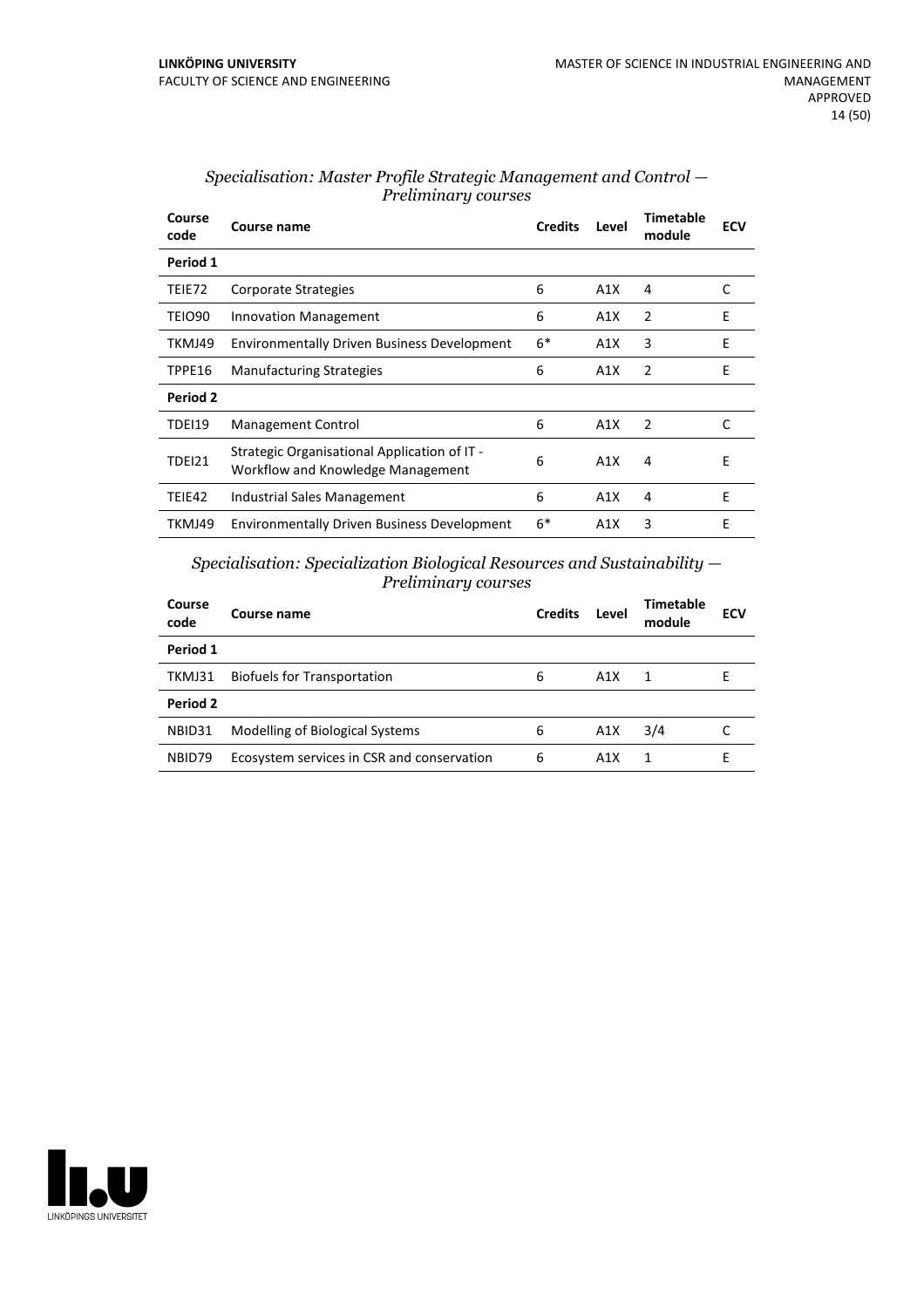| Course<br>code | Course name                                                                       | <b>Credits</b> | Level | <b>Timetable</b><br>module | <b>ECV</b> |
|----------------|-----------------------------------------------------------------------------------|----------------|-------|----------------------------|------------|
| Period 1       |                                                                                   |                |       |                            |            |
| TEIE72         | Corporate Strategies                                                              | 6              | A1X   | 4                          | C          |
| TEIO90         | <b>Innovation Management</b>                                                      | 6              | A1X   | 2                          | E          |
| TKMJ49         | <b>Environmentally Driven Business Development</b>                                | $6*$           | A1X   | 3                          | E          |
| TPPE16         | <b>Manufacturing Strategies</b>                                                   | 6              | A1X   | $\mathcal{P}$              | F          |
| Period 2       |                                                                                   |                |       |                            |            |
| TDEI19         | <b>Management Control</b>                                                         | 6              | A1X   | 2                          | C          |
| TDEI21         | Strategic Organisational Application of IT -<br>Workflow and Knowledge Management | 6              | A1X   | 4                          | E          |
| TEIE42         | Industrial Sales Management                                                       | 6              | A1X   | 4                          | E          |
| TKMJ49         | <b>Environmentally Driven Business Development</b>                                | $6*$           | A1X   | 3                          | E          |

#### *Specialisation: Master Profile Strategic Management and Control — Preliminary courses*

*Specialisation: Specialization Biological Resources and Sustainability — Preliminary courses*

| Course<br>code | Course name                                | <b>Credits</b> | Level | Timetable<br>module | <b>ECV</b> |
|----------------|--------------------------------------------|----------------|-------|---------------------|------------|
| Period 1       |                                            |                |       |                     |            |
| TKMJ31         | <b>Biofuels for Transportation</b>         | 6              | A1X   | 1                   | E          |
| Period 2       |                                            |                |       |                     |            |
| NBID31         | Modelling of Biological Systems            | 6              | A1X   | 3/4                 |            |
| NBID79         | Ecosystem services in CSR and conservation | 6              | A1X   |                     |            |

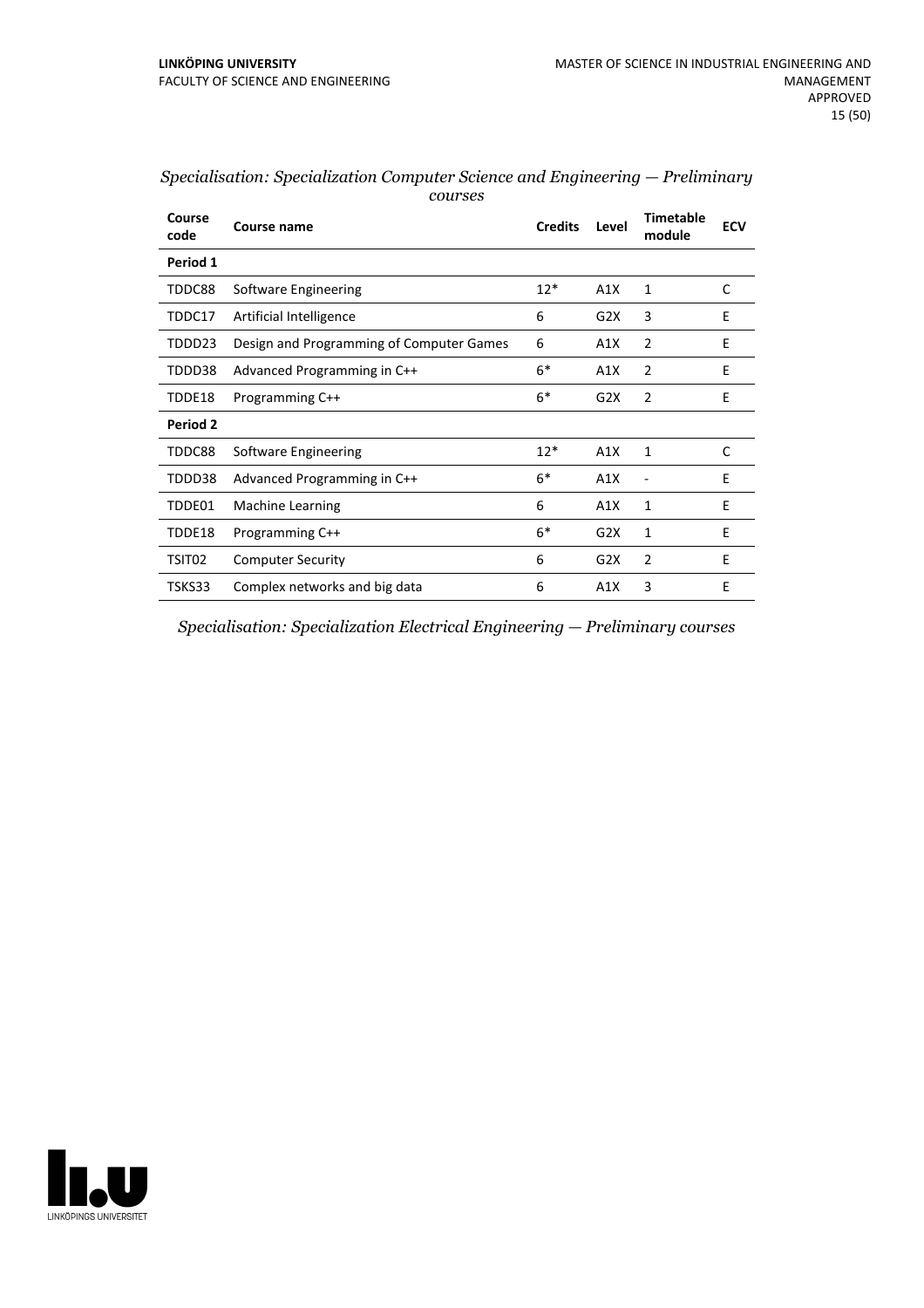| Course<br>code | Course name                              | <b>Credits</b> | Level            | <b>Timetable</b><br>module | <b>ECV</b> |
|----------------|------------------------------------------|----------------|------------------|----------------------------|------------|
| Period 1       |                                          |                |                  |                            |            |
| TDDC88         | Software Engineering                     | $12*$          | A1X              | 1                          | C          |
| TDDC17         | Artificial Intelligence                  | 6              | G2X              | 3                          | E          |
| TDDD23         | Design and Programming of Computer Games | 6              | A1X              | $\overline{2}$             | E          |
| TDDD38         | Advanced Programming in C++              | $6*$           | A1X              | 2                          | E          |
| TDDE18         | Programming C++                          | $6*$           | G <sub>2</sub> X | $\mathcal{P}$              | F.         |
| Period 2       |                                          |                |                  |                            |            |
| TDDC88         | Software Engineering                     | $12*$          | A1X              | 1                          | C          |
| TDDD38         | Advanced Programming in C++              | $6*$           | A1X              |                            | E          |
| TDDE01         | Machine Learning                         | 6              | A1X              | 1                          | E          |
| TDDE18         | Programming C++                          | $6*$           | G2X              | 1                          | E          |
| TSIT02         | <b>Computer Security</b>                 | 6              | G2X              | 2                          | E          |
| TSKS33         | Complex networks and big data            | 6              | A1X              | 3                          | E          |

| Specialisation: Specialization Computer Science and Engineering — Preliminary |  |
|-------------------------------------------------------------------------------|--|
| courses                                                                       |  |

*Specialisation: Specialization Electrical Engineering — Preliminary courses*

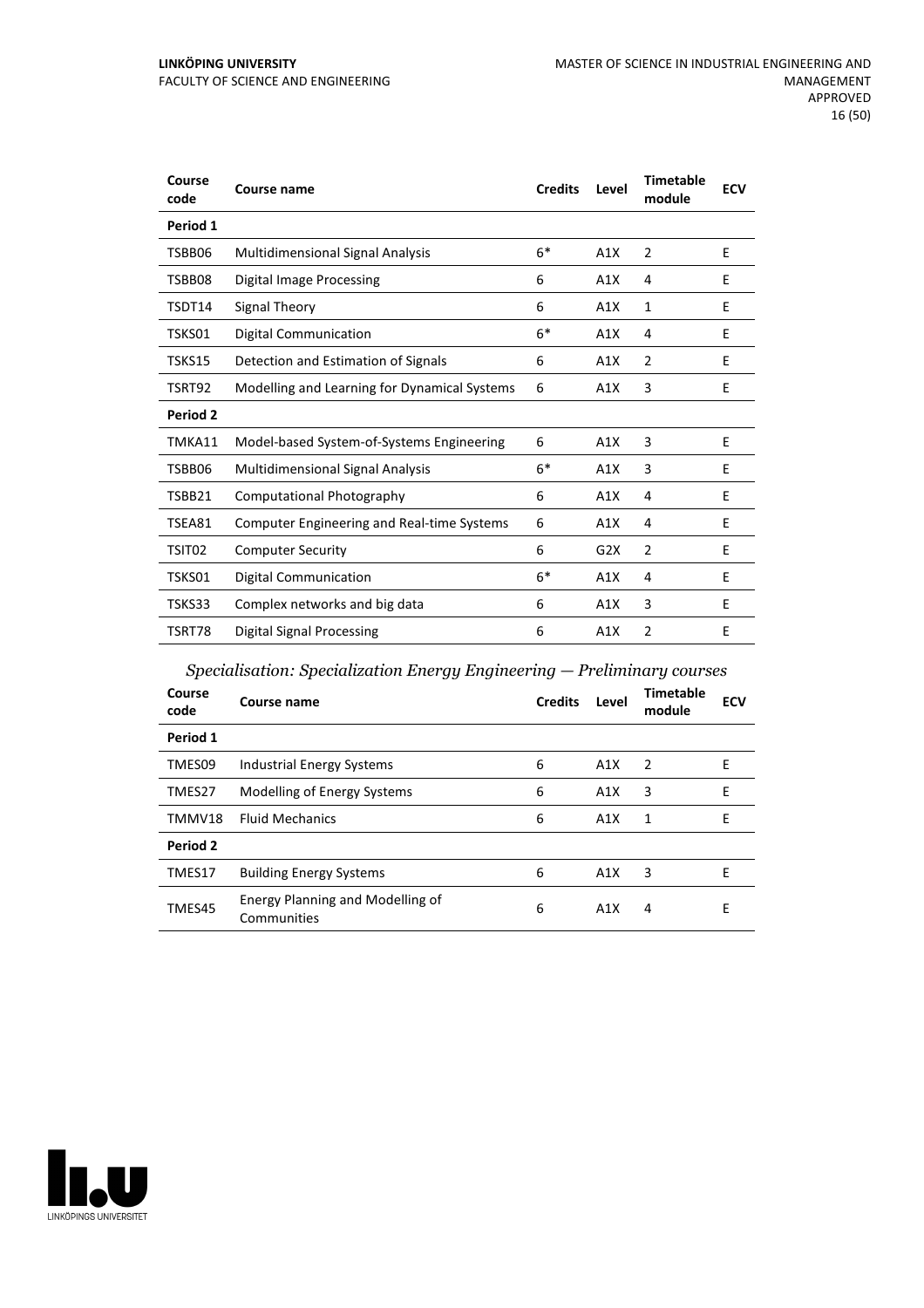| Course<br>code | <b>Course name</b>                                | <b>Credits</b> | Level | <b>Timetable</b><br>module | <b>ECV</b> |
|----------------|---------------------------------------------------|----------------|-------|----------------------------|------------|
| Period 1       |                                                   |                |       |                            |            |
| TSBB06         | <b>Multidimensional Signal Analysis</b>           | $6*$           | A1X   | $\overline{2}$             | E          |
| TSBB08         | <b>Digital Image Processing</b>                   | 6              | A1X   | 4                          | E          |
| TSDT14         | <b>Signal Theory</b>                              | 6              | A1X   | 1                          | E          |
| TSKS01         | <b>Digital Communication</b>                      | $6*$           | A1X   | 4                          | Ε          |
| TSKS15         | Detection and Estimation of Signals               | 6              | A1X   | $\overline{2}$             | E          |
| TSRT92         | Modelling and Learning for Dynamical Systems      | 6              | A1X   | 3                          | E          |
| Period 2       |                                                   |                |       |                            |            |
| TMKA11         | Model-based System-of-Systems Engineering         | 6              | A1X   | 3                          | E          |
| TSBB06         | <b>Multidimensional Signal Analysis</b>           | $6*$           | A1X   | 3                          | E          |
| TSBB21         | Computational Photography                         | 6              | A1X   | 4                          | E          |
| TSEA81         | <b>Computer Engineering and Real-time Systems</b> | 6              | A1X   | 4                          | Ε          |
| TSIT02         | <b>Computer Security</b>                          | 6              | G2X   | $\overline{2}$             | E          |
| TSKS01         | <b>Digital Communication</b>                      | $6*$           | A1X   | 4                          | E          |
| TSKS33         | Complex networks and big data                     | 6              | A1X   | 3                          | E          |
| TSRT78         | Digital Signal Processing                         | 6              | A1X   | $\overline{2}$             | E          |

### *Specialisation: Specialization Energy Engineering — Preliminary courses*

| Course<br>code  | Course name                                     | <b>Credits</b> | Level | <b>Timetable</b><br>module | <b>ECV</b> |
|-----------------|-------------------------------------------------|----------------|-------|----------------------------|------------|
| Period 1        |                                                 |                |       |                            |            |
| TMES09          | Industrial Energy Systems                       | 6              | A1X   | 2                          | E          |
| TMES27          | Modelling of Energy Systems                     | 6              | A1X   | 3                          | E          |
| TMMV18          | <b>Fluid Mechanics</b>                          | 6              | A1X   | 1                          | E          |
| <b>Period 2</b> |                                                 |                |       |                            |            |
| TMES17          | <b>Building Energy Systems</b>                  | 6              | A1X   | 3                          | E          |
| TMES45          | Energy Planning and Modelling of<br>Communities | 6              | A1X   | 4                          | E          |

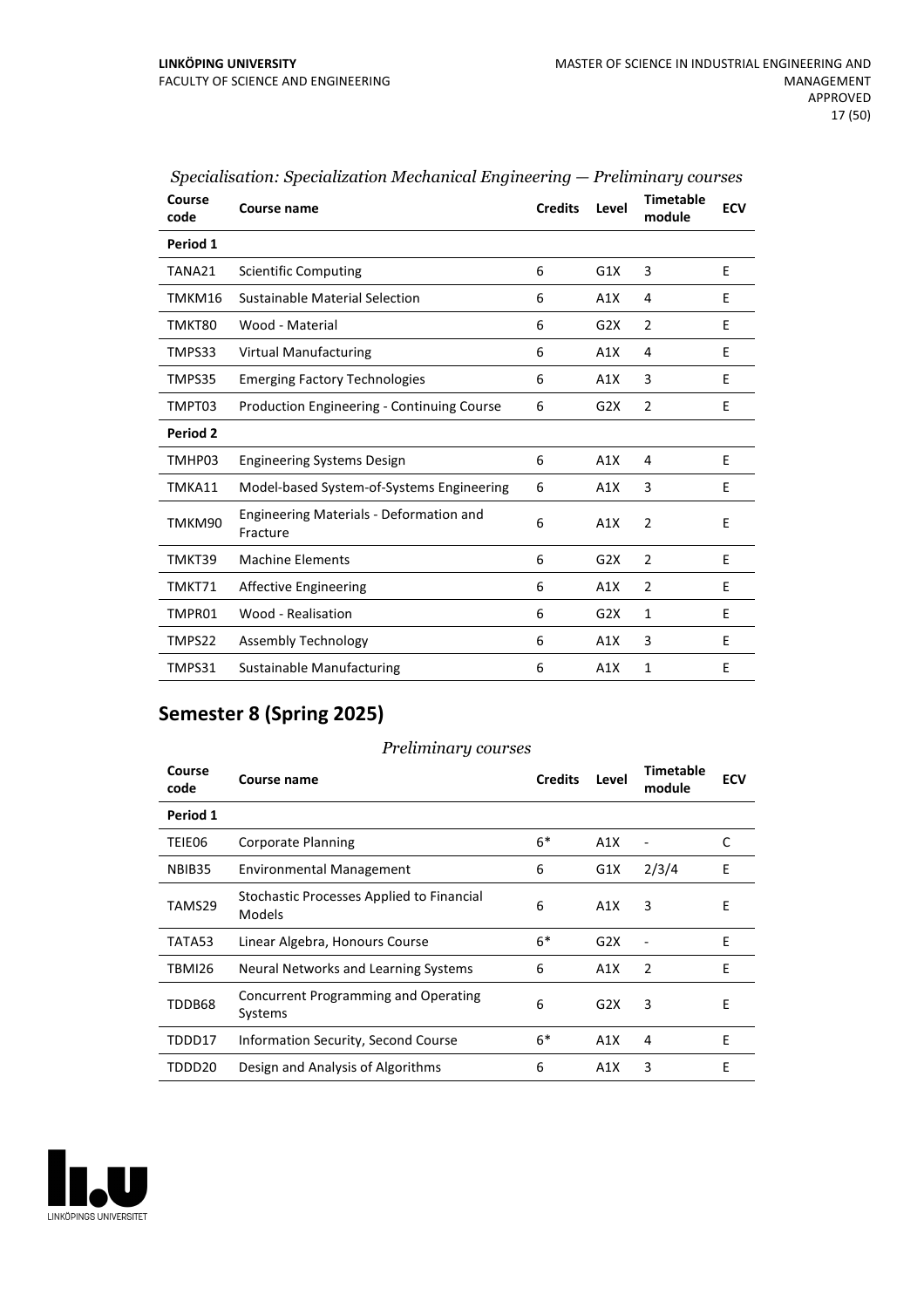| Course<br>code | Course name                                         | <b>Credits</b> | Level | <b>Timetable</b><br>module | <b>ECV</b> |
|----------------|-----------------------------------------------------|----------------|-------|----------------------------|------------|
| Period 1       |                                                     |                |       |                            |            |
| TANA21         | <b>Scientific Computing</b>                         | 6              | G1X   | 3                          | E          |
| TMKM16         | Sustainable Material Selection                      | 6              | A1X   | 4                          | E          |
| TMKT80         | Wood - Material                                     | 6              | G2X   | 2                          | E          |
| TMPS33         | <b>Virtual Manufacturing</b>                        | 6              | A1X   | 4                          | E          |
| TMPS35         | <b>Emerging Factory Technologies</b>                | 6              | A1X   | 3                          | E          |
| TMPT03         | <b>Production Engineering - Continuing Course</b>   | 6              | G2X   | $\overline{2}$             | E          |
| Period 2       |                                                     |                |       |                            |            |
| TMHP03         | <b>Engineering Systems Design</b>                   | 6              | A1X   | 4                          | E          |
| TMKA11         | Model-based System-of-Systems Engineering           | 6              | A1X   | 3                          | E          |
| TMKM90         | Engineering Materials - Deformation and<br>Fracture | 6              | A1X   | $\overline{2}$             | E          |
| TMKT39         | <b>Machine Elements</b>                             | 6              | G2X   | $\overline{2}$             | E          |
| TMKT71         | <b>Affective Engineering</b>                        | 6              | A1X   | $\overline{2}$             | E          |
| TMPR01         | Wood - Realisation                                  | 6              | G2X   | $\mathbf{1}$               | E          |
| TMPS22         | Assembly Technology                                 | 6              | A1X   | 3                          | E          |
| TMPS31         | <b>Sustainable Manufacturing</b>                    | 6              | A1X   | 1                          | E          |
|                |                                                     |                |       |                            |            |

### *Specialisation: Specialization Mechanical Engineering — Preliminary courses*

### **Semester 8 (Spring 2025)**

#### *Preliminary courses*

| Course<br>code | Course name                                            | <b>Credits</b> | Level | Timetable<br>module | <b>ECV</b> |
|----------------|--------------------------------------------------------|----------------|-------|---------------------|------------|
| Period 1       |                                                        |                |       |                     |            |
| TEIE06         | Corporate Planning                                     | $6*$           | A1X   |                     | C          |
| NBIB35         | <b>Environmental Management</b>                        | 6              | G1X   | 2/3/4               | E          |
| TAMS29         | Stochastic Processes Applied to Financial<br>Models    | 6              | A1X   | 3                   | E          |
| TATA53         | Linear Algebra, Honours Course                         | $6*$           | G2X   |                     | E          |
| TBMI26         | Neural Networks and Learning Systems                   | 6              | A1X   | 2                   | E          |
| TDDB68         | <b>Concurrent Programming and Operating</b><br>Systems | 6              | G2X   | 3                   | Ε          |
| TDDD17         | Information Security, Second Course                    | $6*$           | A1X   | 4                   | E          |
| TDDD20         | Design and Analysis of Algorithms                      | 6              | A1X   | 3                   | E          |

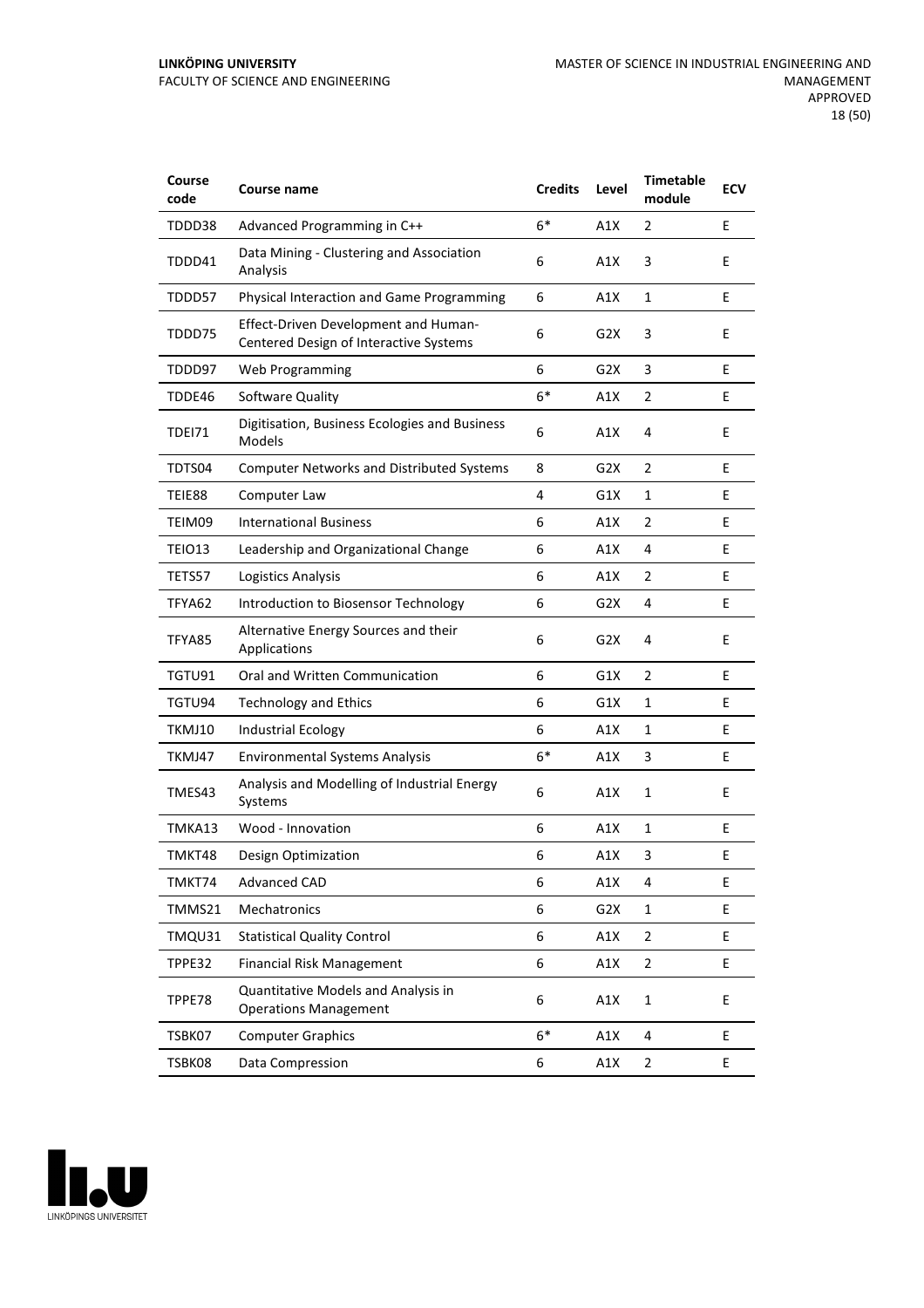#### **LINKÖPING UNIVERSITY** FACULTY OF SCIENCE AND ENGINEERING

| Course<br>code | Course name                                                                           | <b>Credits</b> | Level            | <b>Timetable</b><br>module | <b>ECV</b> |
|----------------|---------------------------------------------------------------------------------------|----------------|------------------|----------------------------|------------|
| TDDD38         | Advanced Programming in C++                                                           | $6*$           | A1X              | 2                          | E          |
| TDDD41         | Data Mining - Clustering and Association<br>Analysis                                  | 6              | A1X              | 3                          | E          |
| TDDD57         | Physical Interaction and Game Programming                                             | 6              | A1X              | 1                          | E          |
| TDDD75         | <b>Effect-Driven Development and Human-</b><br>Centered Design of Interactive Systems | 6              | G2X              | 3                          | E          |
| TDDD97         | Web Programming                                                                       | 6              | G2X              | 3                          | E          |
| TDDE46         | Software Quality                                                                      | $6*$           | A1X              | 2                          | E          |
| TDEI71         | Digitisation, Business Ecologies and Business<br>Models                               | 6              | A1X              | 4                          | E          |
| TDTS04         | <b>Computer Networks and Distributed Systems</b>                                      | 8              | G2X              | 2                          | E          |
| TEIE88         | Computer Law                                                                          | 4              | G1X              | 1                          | E          |
| TEIM09         | <b>International Business</b>                                                         | 6              | A1X              | 2                          | E          |
| <b>TEIO13</b>  | Leadership and Organizational Change                                                  | 6              | A1X              | 4                          | E          |
| TETS57         | Logistics Analysis                                                                    | 6              | A1X              | 2                          | E          |
| TFYA62         | Introduction to Biosensor Technology                                                  | 6              | G2X              | 4                          | E          |
| TFYA85         | Alternative Energy Sources and their<br>Applications                                  | 6              | G <sub>2</sub> X | 4                          | E          |
| TGTU91         | Oral and Written Communication                                                        | 6              | G1X              | 2                          | E          |
| TGTU94         | <b>Technology and Ethics</b>                                                          | 6              | G1X              | 1                          | E          |
| TKMJ10         | <b>Industrial Ecology</b>                                                             | 6              | A1X              | 1                          | E          |
| TKMJ47         | <b>Environmental Systems Analysis</b>                                                 | $6*$           | A1X              | 3                          | E          |
| TMES43         | Analysis and Modelling of Industrial Energy<br>Systems                                | 6              | A1X              | $\mathbf{1}$               | E          |
| TMKA13         | Wood - Innovation                                                                     | 6              | A1X              | 1                          | E          |
| TMKT48         | Design Optimization                                                                   | 6              | A1X              | 3                          | E          |
| TMKT74         | <b>Advanced CAD</b>                                                                   | 6              | A1X              | 4                          | E          |
| TMMS21         | <b>Mechatronics</b>                                                                   | 6              | G2X              | 1                          | E          |
| TMQU31         | <b>Statistical Quality Control</b>                                                    | 6              | A1X              | 2                          | E          |
| TPPE32         | <b>Financial Risk Management</b>                                                      | 6              | A1X              | $\overline{2}$             | E          |
| TPPE78         | Quantitative Models and Analysis in<br><b>Operations Management</b>                   | 6              | A1X              | $\mathbf 1$                | E          |
| TSBK07         | <b>Computer Graphics</b>                                                              | $6*$           | A1X              | 4                          | E          |
| TSBK08         | Data Compression                                                                      | 6              | A1X              | $\overline{2}$             | E          |

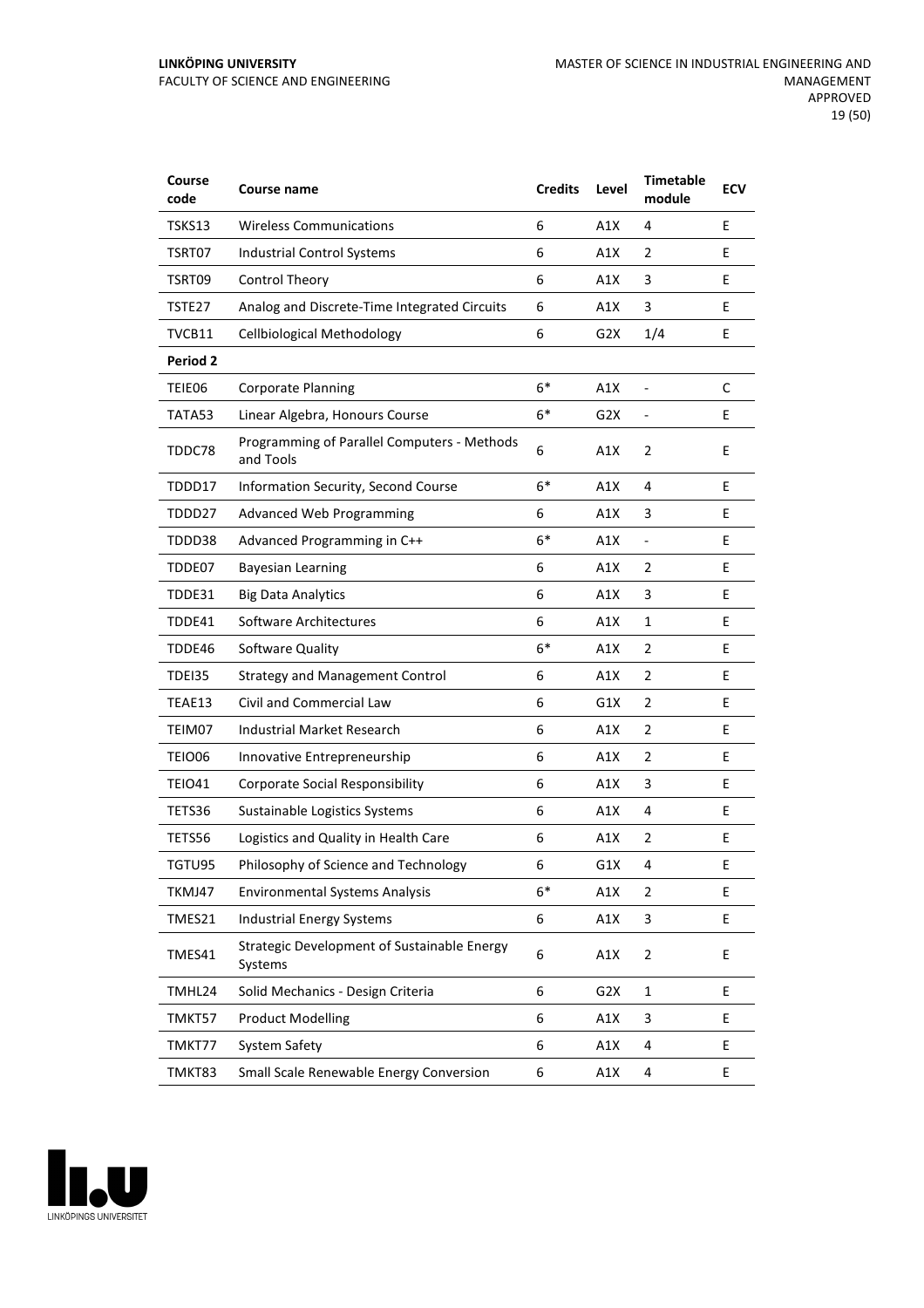| Course<br>code  | Course name                                              | <b>Credits</b> | Level            | <b>Timetable</b><br>module | <b>ECV</b> |
|-----------------|----------------------------------------------------------|----------------|------------------|----------------------------|------------|
| TSKS13          | <b>Wireless Communications</b>                           | 6              | A1X              | 4                          | E          |
| TSRT07          | <b>Industrial Control Systems</b>                        | 6              | A1X              | 2                          | E          |
| TSRT09          | Control Theory                                           | 6              | A1X              | 3                          | E          |
| TSTE27          | Analog and Discrete-Time Integrated Circuits             | 6              | A1X              | 3                          | E          |
| TVCB11          | <b>Cellbiological Methodology</b>                        | 6              | G <sub>2</sub> X | 1/4                        | E          |
| <b>Period 2</b> |                                                          |                |                  |                            |            |
| TEIE06          | <b>Corporate Planning</b>                                | $6*$           | A1X              | $\overline{a}$             | C          |
| TATA53          | Linear Algebra, Honours Course                           | $6*$           | G2X              |                            | E          |
| TDDC78          | Programming of Parallel Computers - Methods<br>and Tools | 6              | A1X              | $\overline{2}$             | E          |
| TDDD17          | Information Security, Second Course                      | $6*$           | A1X              | 4                          | E          |
| TDDD27          | <b>Advanced Web Programming</b>                          | 6              | A1X              | 3                          | E          |
| TDDD38          | Advanced Programming in C++                              | $6*$           | A1X              | $\overline{\phantom{0}}$   | E          |
| TDDE07          | <b>Bayesian Learning</b>                                 | 6              | A1X              | 2                          | E          |
| TDDE31          | <b>Big Data Analytics</b>                                | 6              | A1X              | 3                          | E          |
| TDDE41          | Software Architectures                                   | 6              | A1X              | 1                          | E          |
| TDDE46          | Software Quality                                         | $6*$           | A1X              | $\overline{2}$             | Е          |
| TDEI35          | <b>Strategy and Management Control</b>                   | 6              | A1X              | $\overline{2}$             | E          |
| TEAE13          | Civil and Commercial Law                                 | 6              | G1X              | 2                          | E          |
| TEIM07          | Industrial Market Research                               | 6              | A1X              | 2                          | E          |
| TEIO06          | Innovative Entrepreneurship                              | 6              | A1X              | 2                          | E          |
| <b>TEIO41</b>   | <b>Corporate Social Responsibility</b>                   | 6              | A1X              | 3                          | Е          |
| TETS36          | Sustainable Logistics Systems                            | 6              | A1X              | 4                          | E          |
| TETS56          | Logistics and Quality in Health Care                     | 6              | A1X              | 2                          | E          |
| TGTU95          | Philosophy of Science and Technology                     | 6              | G1X              | 4                          | Ε          |
| TKMJ47          | <b>Environmental Systems Analysis</b>                    | $6*$           | A1X              | 2                          | E          |
| TMES21          | <b>Industrial Energy Systems</b>                         | 6              | A1X              | 3                          | E          |
| TMES41          | Strategic Development of Sustainable Energy<br>Systems   | 6              | A1X              | 2                          | E          |
| TMHL24          | Solid Mechanics - Design Criteria                        | 6              | G <sub>2</sub> X | $\mathbf{1}$               | E          |
| TMKT57          | <b>Product Modelling</b>                                 | 6              | A1X              | 3                          | E          |
| TMKT77          | System Safety                                            | 6              | A1X              | 4                          | E          |
| TMKT83          | Small Scale Renewable Energy Conversion                  | 6              | A1X              | 4                          | E          |

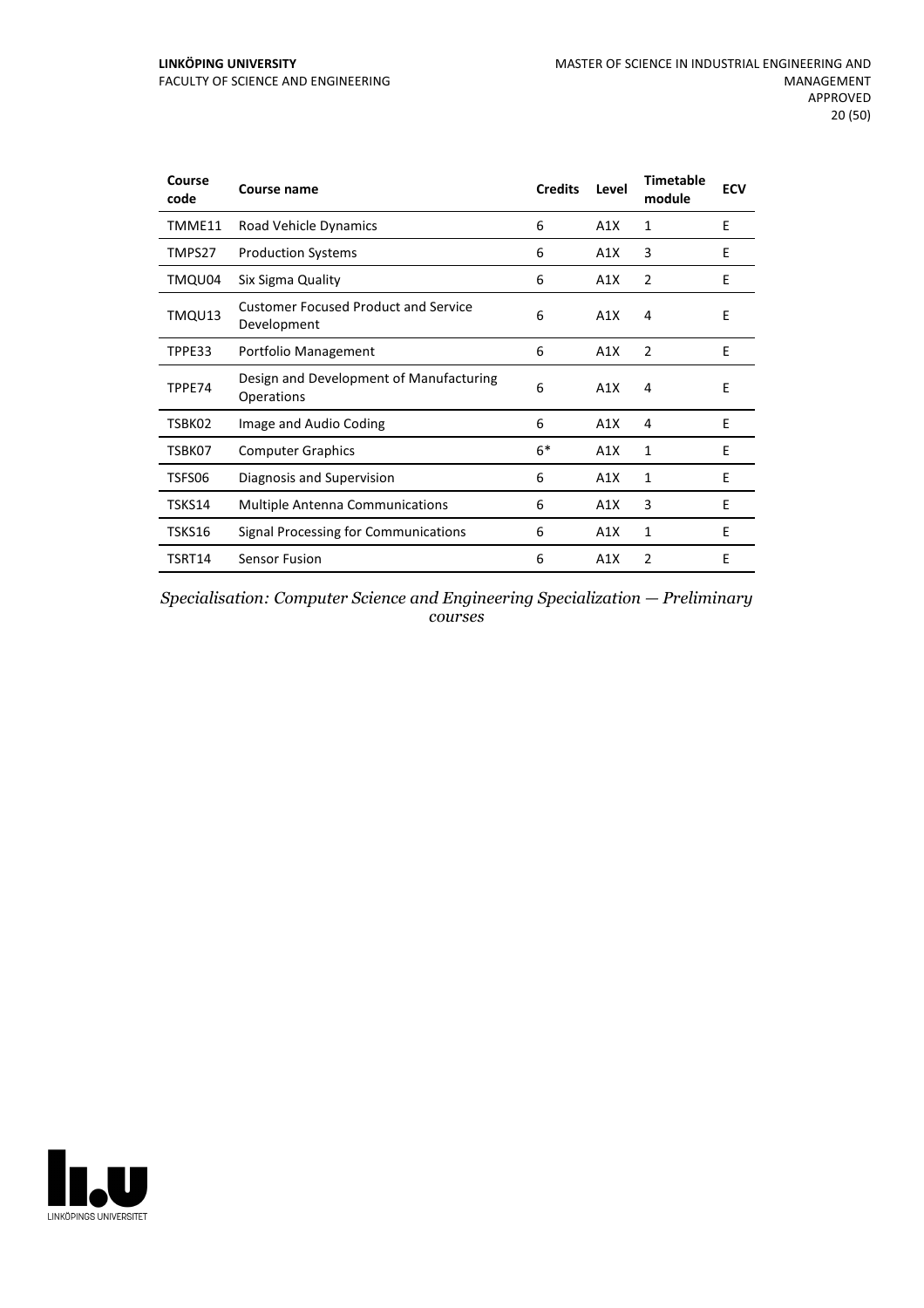| Course<br>code | <b>Course name</b>                                         | <b>Credits</b> | Level | <b>Timetable</b><br>module | <b>ECV</b> |
|----------------|------------------------------------------------------------|----------------|-------|----------------------------|------------|
| TMME11         | Road Vehicle Dynamics                                      | 6              | A1X   | 1                          | E          |
| TMPS27         | <b>Production Systems</b>                                  | 6              | A1X   | 3                          | F          |
| TMQU04         | Six Sigma Quality                                          | 6              | A1X   | 2                          | E          |
| TMQU13         | <b>Customer Focused Product and Service</b><br>Development | 6              | A1X   | 4                          | E          |
| TPPE33         | Portfolio Management                                       | 6              | A1X   | 2                          | E          |
| TPPE74         | Design and Development of Manufacturing<br>Operations      | 6              | A1X   | 4                          | E          |
| TSBK02         | Image and Audio Coding                                     | 6              | A1X   | 4                          | E          |
| TSBK07         | <b>Computer Graphics</b>                                   | $6*$           | A1X   | 1                          | E          |
| TSFS06         | Diagnosis and Supervision                                  | 6              | A1X   | 1                          | E          |
| TSKS14         | <b>Multiple Antenna Communications</b>                     | 6              | A1X   | 3                          | E          |
| TSKS16         | Signal Processing for Communications                       | 6              | A1X   | 1                          | E          |
| TSRT14         | <b>Sensor Fusion</b>                                       | 6              | A1X   | 2                          | E          |

*Specialisation: Computer Science and Engineering Specialization — Preliminary courses*

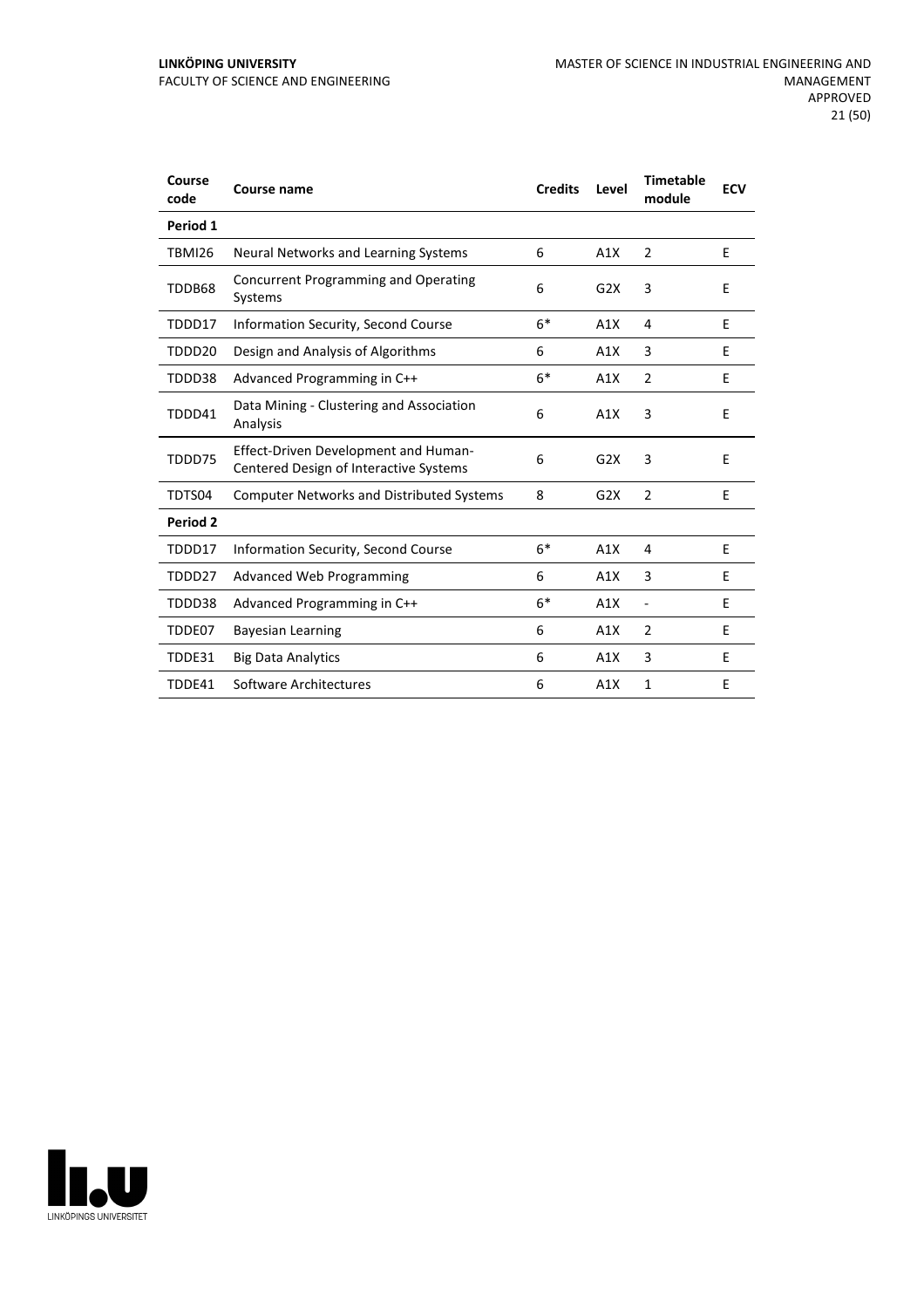#### **LINKÖPING UNIVERSITY** FACULTY OF SCIENCE AND ENGINEERING

| Course<br>code     | Course name                                                                    | <b>Credits</b> | Level | <b>Timetable</b><br>module | <b>ECV</b> |
|--------------------|--------------------------------------------------------------------------------|----------------|-------|----------------------------|------------|
| Period 1           |                                                                                |                |       |                            |            |
| <b>TBMI26</b>      | Neural Networks and Learning Systems                                           | 6              | A1X   | $\overline{2}$             | E          |
| TDDB68             | Concurrent Programming and Operating<br>Systems                                | 6              | G2X   | 3                          | E          |
| TDDD17             | Information Security, Second Course                                            | $6*$           | A1X   | 4                          | E          |
| TDDD <sub>20</sub> | Design and Analysis of Algorithms                                              | 6              | A1X   | 3                          | Ε          |
| TDDD38             | Advanced Programming in C++                                                    | $6*$           | A1X   | $\overline{2}$             | E          |
| TDDD41             | Data Mining - Clustering and Association<br>Analysis                           | 6              | A1X   | 3                          | E          |
| TDDD75             | Effect-Driven Development and Human-<br>Centered Design of Interactive Systems | 6              | G2X   | 3                          | E          |
| TDTS04             | <b>Computer Networks and Distributed Systems</b>                               | 8              | G2X   | $\overline{2}$             | E          |
| Period 2           |                                                                                |                |       |                            |            |
| TDDD17             | Information Security, Second Course                                            | $6*$           | A1X   | 4                          | E          |
| TDDD27             | <b>Advanced Web Programming</b>                                                | 6              | A1X   | 3                          | E          |
| TDDD38             | Advanced Programming in C++                                                    | $6*$           | A1X   | ٠                          | E          |
| TDDE07             | <b>Bayesian Learning</b>                                                       | 6              | A1X   | $\overline{2}$             | Ε          |
| TDDE31             | <b>Big Data Analytics</b>                                                      | 6              | A1X   | 3                          | E          |
| TDDE41             | Software Architectures                                                         | 6              | A1X   | $\mathbf{1}$               | Ε          |

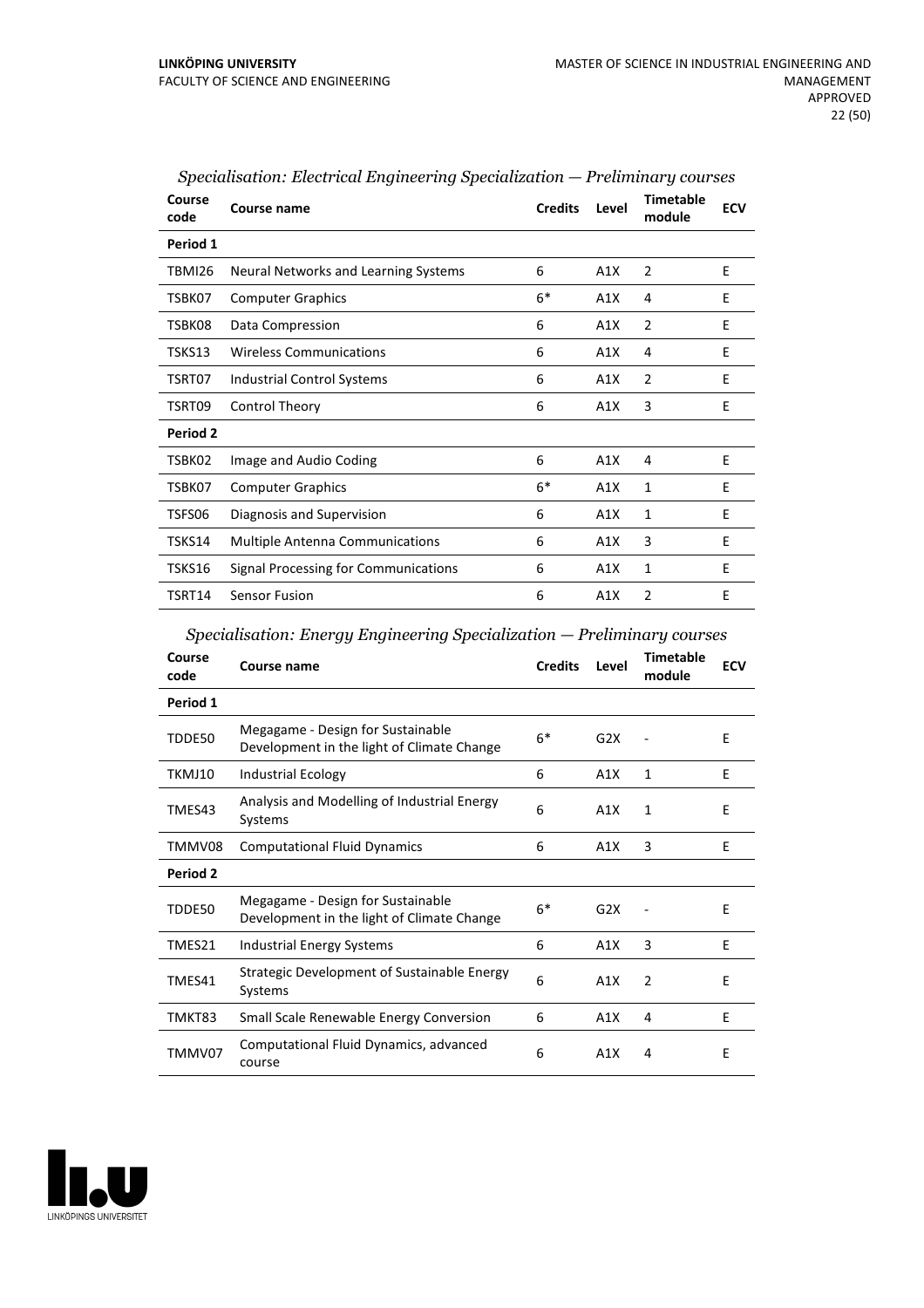| Course<br>code | Course name                            | <b>Credits</b> | Level | <b>Timetable</b><br>module | <b>ECV</b> |
|----------------|----------------------------------------|----------------|-------|----------------------------|------------|
| Period 1       |                                        |                |       |                            |            |
| TBMI26         | Neural Networks and Learning Systems   | 6              | A1X   | $\overline{2}$             | E          |
| TSBK07         | <b>Computer Graphics</b>               | $6*$           | A1X   | 4                          | E          |
| TSBK08         | Data Compression                       | 6              | A1X   | $\overline{2}$             | E          |
| TSKS13         | <b>Wireless Communications</b>         | 6              | A1X   | 4                          | E          |
| TSRT07         | <b>Industrial Control Systems</b>      | 6              | A1X   | 2                          | E          |
| TSRT09         | Control Theory                         | 6              | A1X   | 3                          | E          |
| Period 2       |                                        |                |       |                            |            |
| TSBK02         | Image and Audio Coding                 | 6              | A1X   | 4                          | E          |
| TSBK07         | <b>Computer Graphics</b>               | $6*$           | A1X   | 1                          | E          |
| TSFS06         | Diagnosis and Supervision              | 6              | A1X   | 1                          | E          |
| TSKS14         | <b>Multiple Antenna Communications</b> | 6              | A1X   | 3                          | E          |
| TSKS16         | Signal Processing for Communications   | 6              | A1X   | 1                          | E          |
| TSRT14         | Sensor Fusion                          | 6              | A1X   | 2                          | E          |

| Specialisation: Electrical Engineering Specialization — Preliminary courses |  |
|-----------------------------------------------------------------------------|--|
|                                                                             |  |

|  |  | Specialisation: Energy Engineering Specialization - Preliminary courses |
|--|--|-------------------------------------------------------------------------|
|  |  |                                                                         |

| Course<br>code | Course name                                                                     | <b>Credits</b> | Level | Timetable<br>module | <b>ECV</b> |
|----------------|---------------------------------------------------------------------------------|----------------|-------|---------------------|------------|
| Period 1       |                                                                                 |                |       |                     |            |
| TDDE50         | Megagame - Design for Sustainable<br>Development in the light of Climate Change | $6*$           | G2X   |                     | E          |
| TKMJ10         | <b>Industrial Ecology</b>                                                       | 6              | A1X   | $\mathbf{1}$        | E          |
| TMES43         | Analysis and Modelling of Industrial Energy<br>Systems                          | 6              | A1X   | 1                   | E          |
| TMMV08         | <b>Computational Fluid Dynamics</b>                                             | 6              | A1X   | 3                   | E          |
| Period 2       |                                                                                 |                |       |                     |            |
| TDDE50         | Megagame - Design for Sustainable<br>Development in the light of Climate Change | $6*$           | G2X   |                     | E          |
| TMES21         | Industrial Energy Systems                                                       | 6              | A1X   | 3                   | F          |
| TMES41         | <b>Strategic Development of Sustainable Energy</b><br>Systems                   | 6              | A1X   | $\overline{2}$      | E          |
| TMKT83         | Small Scale Renewable Energy Conversion                                         | 6              | A1X   | 4                   | E          |
| TMMV07         | Computational Fluid Dynamics, advanced<br>course                                | 6              | A1X   | 4                   | E          |

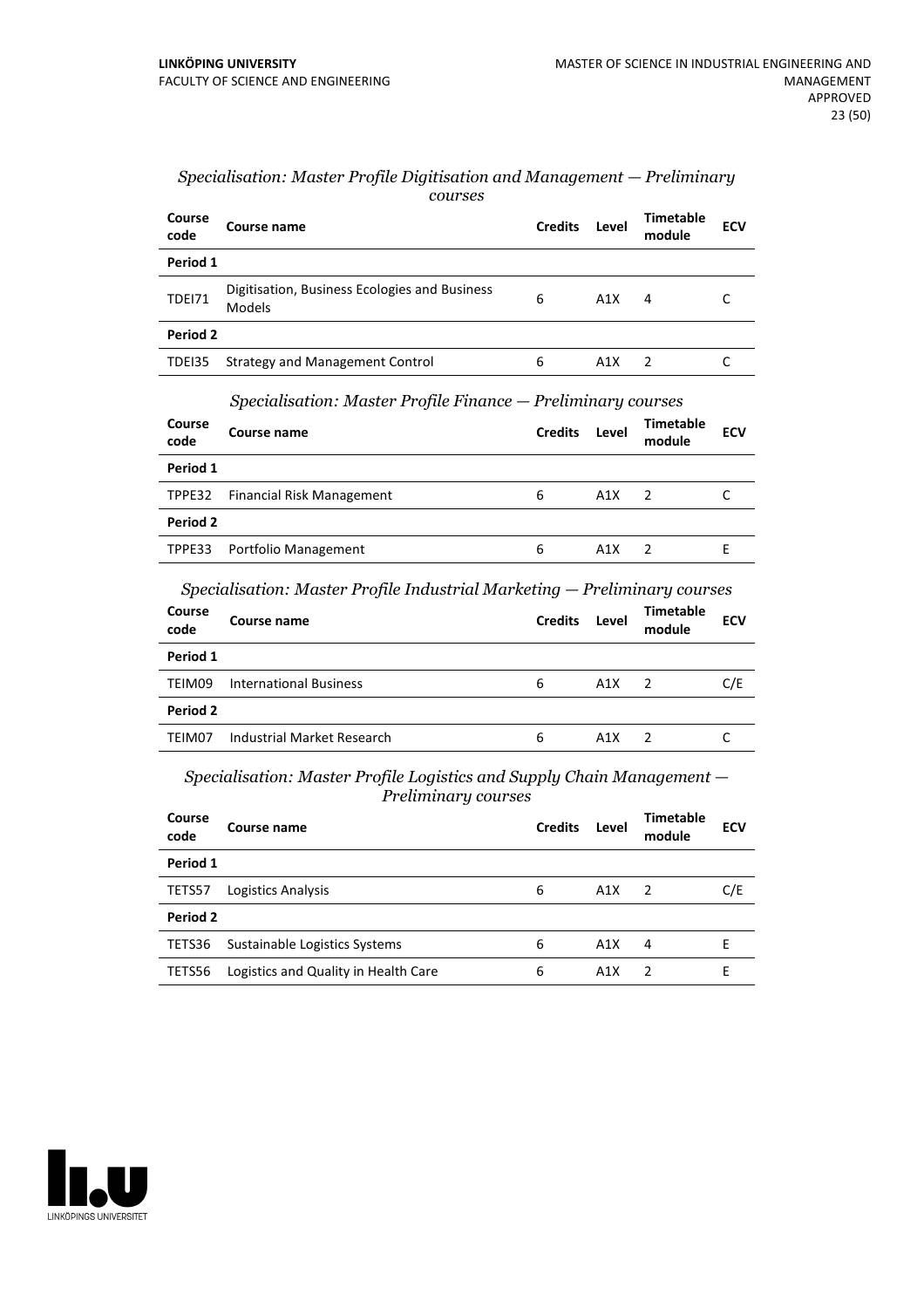| Course<br>code | Course name                                                    | <b>Credits</b> | Level | <b>Timetable</b><br>module | <b>ECV</b> |  |  |  |
|----------------|----------------------------------------------------------------|----------------|-------|----------------------------|------------|--|--|--|
| Period 1       |                                                                |                |       |                            |            |  |  |  |
| <b>TDE171</b>  | Digitisation, Business Ecologies and Business<br>Models        | 6              | A1X   | 4                          | C          |  |  |  |
| Period 2       |                                                                |                |       |                            |            |  |  |  |
| TDEI35         | Strategy and Management Control                                | 6              | A1X   | 2                          | C          |  |  |  |
|                | $Specialisation: Master Profile Finance - Preliminary courses$ |                |       |                            |            |  |  |  |
| Course<br>code | Course name                                                    | <b>Credits</b> | Level | <b>Timetable</b><br>module | <b>ECV</b> |  |  |  |
|                |                                                                |                |       |                            |            |  |  |  |
| Period 1       |                                                                |                |       |                            |            |  |  |  |
| TPPE32         | Financial Risk Management                                      | 6              | A1X   | 2                          | C          |  |  |  |
| Period 2       |                                                                |                |       |                            |            |  |  |  |
| TPPE33         | Portfolio Management                                           | 6              | A1X   | 2                          | E          |  |  |  |

#### *Specialisation: Master Profile Digitisation and Management — Preliminary courses*

*Specialisation: Master Profile Industrial Marketing — Preliminary courses*

| Course<br>code | Course name                   | <b>Credits</b> | Level | <b>Timetable</b><br>module | <b>ECV</b> |
|----------------|-------------------------------|----------------|-------|----------------------------|------------|
| Period 1       |                               |                |       |                            |            |
| TEIM09         | <b>International Business</b> | 6              | A1X   | $\overline{2}$             | C/E        |
| Period 2       |                               |                |       |                            |            |
| TEIM07         | Industrial Market Research    | 6              | A1X   |                            |            |
|                |                               |                |       |                            |            |

*Specialisation: Master Profile Logistics and Supply Chain Management — Preliminary courses*

| Course<br>code | Course name                          | <b>Credits</b> | Level            | Timetable<br>module | <b>ECV</b> |  |  |
|----------------|--------------------------------------|----------------|------------------|---------------------|------------|--|--|
| Period 1       |                                      |                |                  |                     |            |  |  |
| TETS57         | Logistics Analysis                   | 6              | A1X              | $\overline{2}$      | C/E        |  |  |
| Period 2       |                                      |                |                  |                     |            |  |  |
| TETS36         | Sustainable Logistics Systems        | 6              | A1X              | 4                   | F          |  |  |
| TETS56         | Logistics and Quality in Health Care | 6              | A <sub>1</sub> X | $\mathcal{P}$       | F          |  |  |

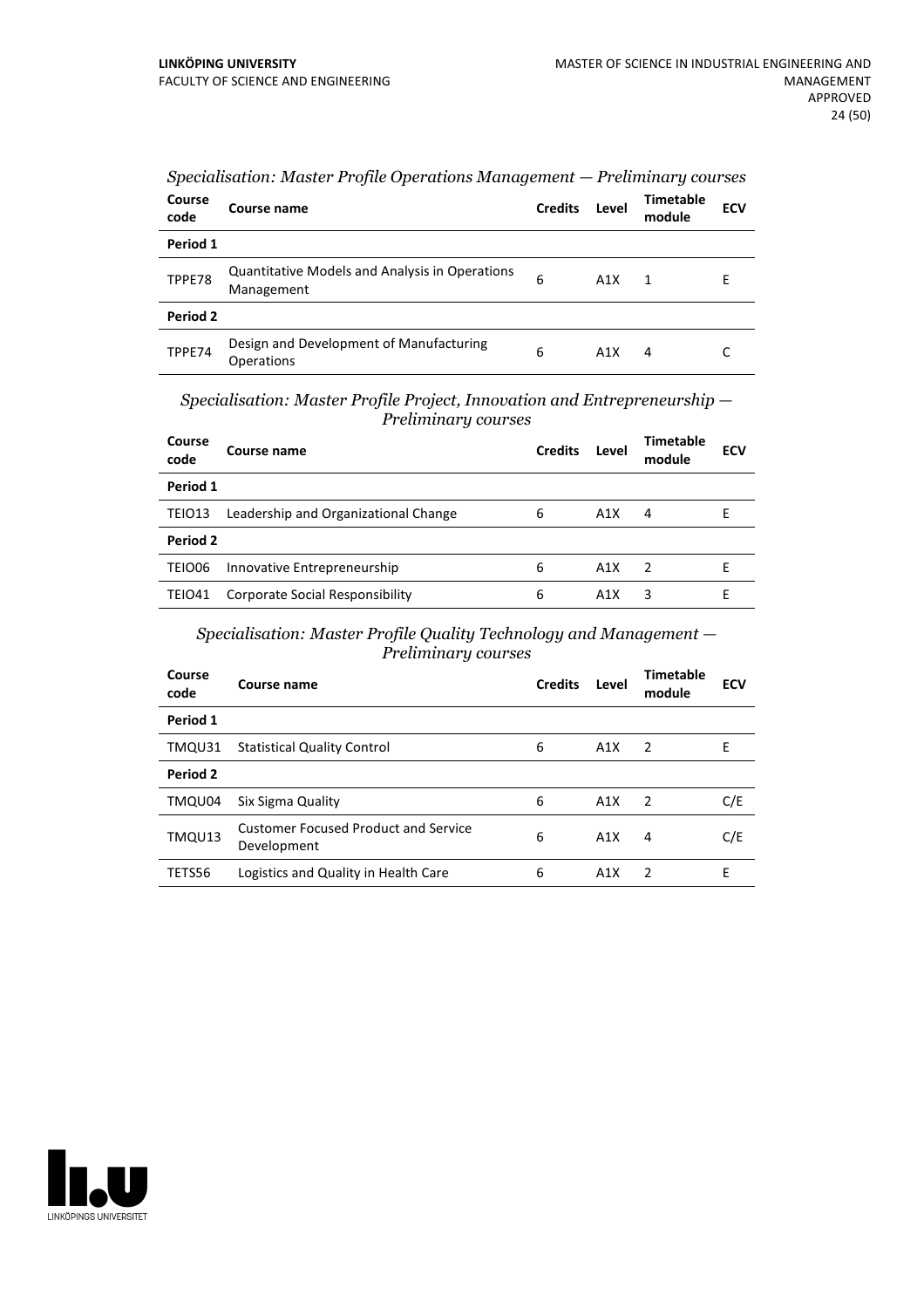| Course<br>code | Course name                                                         | <b>Credits</b> | Level | Timetable<br>module | <b>ECV</b> |
|----------------|---------------------------------------------------------------------|----------------|-------|---------------------|------------|
| Period 1       |                                                                     |                |       |                     |            |
| TPPE78         | <b>Quantitative Models and Analysis in Operations</b><br>Management | 6              | A1X   | 1                   | E          |
| Period 2       |                                                                     |                |       |                     |            |
| TPPE74         | Design and Development of Manufacturing<br><b>Operations</b>        | 6              | A1X   | 4                   | C          |

*Specialisation: Master Profile Operations Management — Preliminary courses*

*Specialisation: Master Profile Project, Innovation and Entrepreneurship — Preliminary courses*

| Course<br>code | Course name                            | <b>Credits</b> | Level | <b>Timetable</b><br>module | <b>ECV</b> |
|----------------|----------------------------------------|----------------|-------|----------------------------|------------|
| Period 1       |                                        |                |       |                            |            |
| TEIO13         | Leadership and Organizational Change   | 6              | A1X   | 4                          |            |
| Period 2       |                                        |                |       |                            |            |
| TEIO06         | Innovative Entrepreneurship            | 6              | A1X   | $\overline{2}$             | F          |
| <b>TEIO41</b>  | <b>Corporate Social Responsibility</b> | 6              | A1X   | ੨                          |            |

*Specialisation: Master Profile Quality Technology and Management — Preliminary courses*

| Course<br>code | Course name                                                | <b>Credits</b> | Level | Timetable<br>module | <b>ECV</b> |
|----------------|------------------------------------------------------------|----------------|-------|---------------------|------------|
| Period 1       |                                                            |                |       |                     |            |
| TMQU31         | <b>Statistical Quality Control</b>                         | 6              | A1X   | 2                   | E          |
| Period 2       |                                                            |                |       |                     |            |
| TMQU04         | Six Sigma Quality                                          | 6              | A1X   | -2                  | C/E        |
| TMQU13         | <b>Customer Focused Product and Service</b><br>Development | 6              | A1X   | 4                   | C/E        |
| TETS56         | Logistics and Quality in Health Care                       | 6              | A1X   | $\mathcal{P}$       | E          |
|                |                                                            |                |       |                     |            |

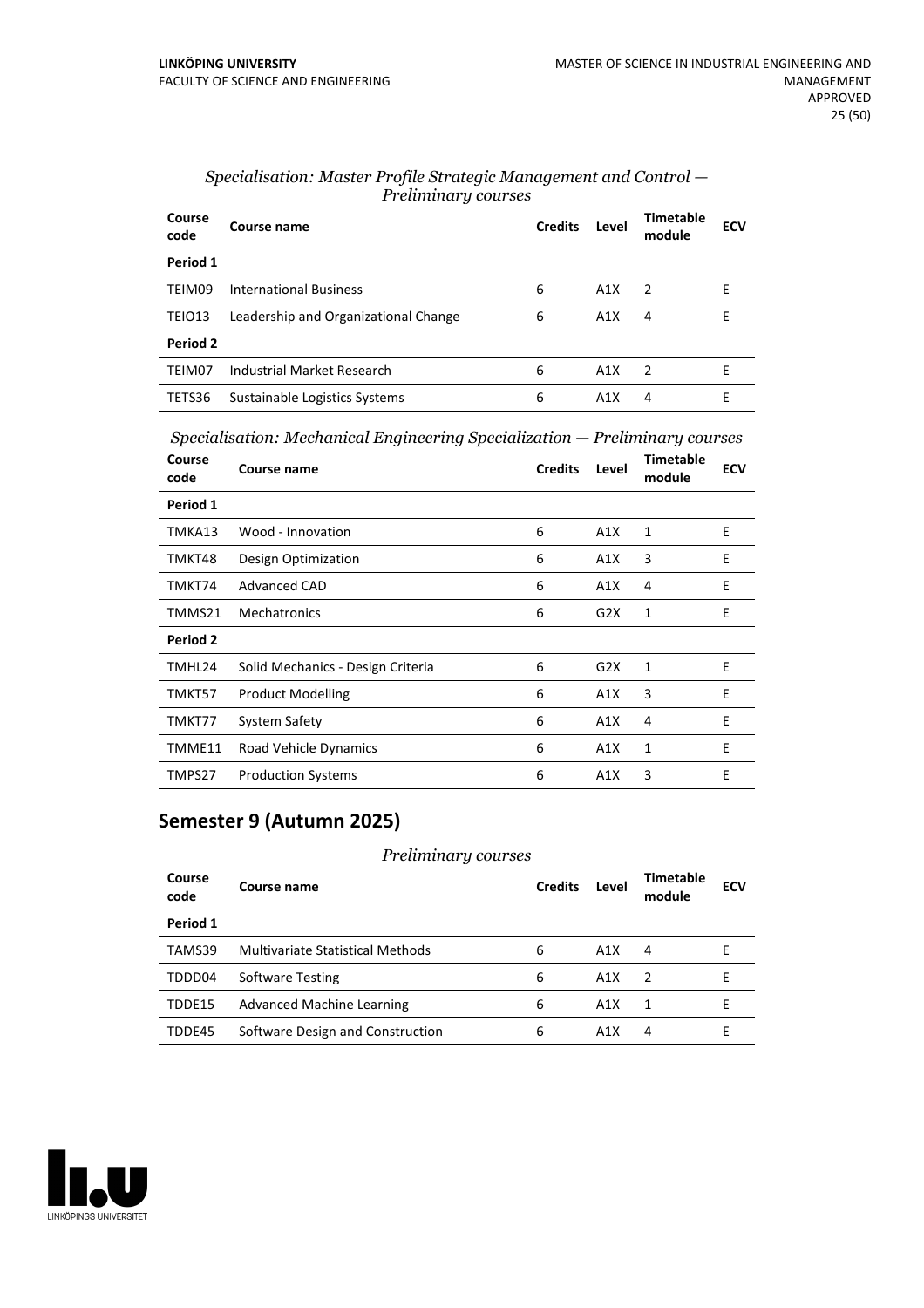| Course<br>code | Course name                          | <b>Credits</b> | Level | <b>Timetable</b><br>module | <b>ECV</b> |
|----------------|--------------------------------------|----------------|-------|----------------------------|------------|
| Period 1       |                                      |                |       |                            |            |
| TEIM09         | <b>International Business</b>        | 6              | A1X   | $\overline{2}$             | F          |
| TEIO13         | Leadership and Organizational Change | 6              | A1X   | 4                          | Е          |
| Period 2       |                                      |                |       |                            |            |
| TEIM07         | Industrial Market Research           | 6              | A1X   | $\overline{z}$             | F          |
| TETS36         | Sustainable Logistics Systems        | 6              | A1X   | 4                          | F          |

#### *Specialisation: Master Profile Strategic Management and Control — Preliminary courses*

*Specialisation: Mechanical Engineering Specialization — Preliminary courses*

| Course<br>code | Course name                       | <b>Credits</b> | Level | <b>Timetable</b><br>module | <b>ECV</b> |
|----------------|-----------------------------------|----------------|-------|----------------------------|------------|
| Period 1       |                                   |                |       |                            |            |
| TMKA13         | Wood - Innovation                 | 6              | A1X   | 1                          | E          |
| TMKT48         | Design Optimization               | 6              | A1X   | 3                          | E          |
| TMKT74         | Advanced CAD                      | 6              | A1X   | 4                          | E          |
| TMMS21         | <b>Mechatronics</b>               | 6              | G2X   | 1                          | E          |
| Period 2       |                                   |                |       |                            |            |
| TMHL24         | Solid Mechanics - Design Criteria | 6              | G2X   | 1                          | E          |
| TMKT57         | <b>Product Modelling</b>          | 6              | A1X   | 3                          | E          |
| TMKT77         | System Safety                     | 6              | A1X   | 4                          | E          |
| TMME11         | Road Vehicle Dynamics             | 6              | A1X   | 1                          | E          |
| TMPS27         | <b>Production Systems</b>         | 6              | A1X   | 3                          | E          |

### **Semester 9 (Autumn 2025)**

#### *Preliminary courses*

| Course<br>code | Course name                      | <b>Credits</b> | Level            | Timetable<br>module | ECV |
|----------------|----------------------------------|----------------|------------------|---------------------|-----|
| Period 1       |                                  |                |                  |                     |     |
| TAMS39         | Multivariate Statistical Methods | 6              | A1X              | 4                   | н   |
| TDDD04         | Software Testing                 | 6              | A1X              | $\overline{z}$      | F   |
| TDDE15         | Advanced Machine Learning        | 6              | A1X              | 1                   | F   |
| TDDE45         | Software Design and Construction | 6              | A <sub>1</sub> X | 4                   |     |

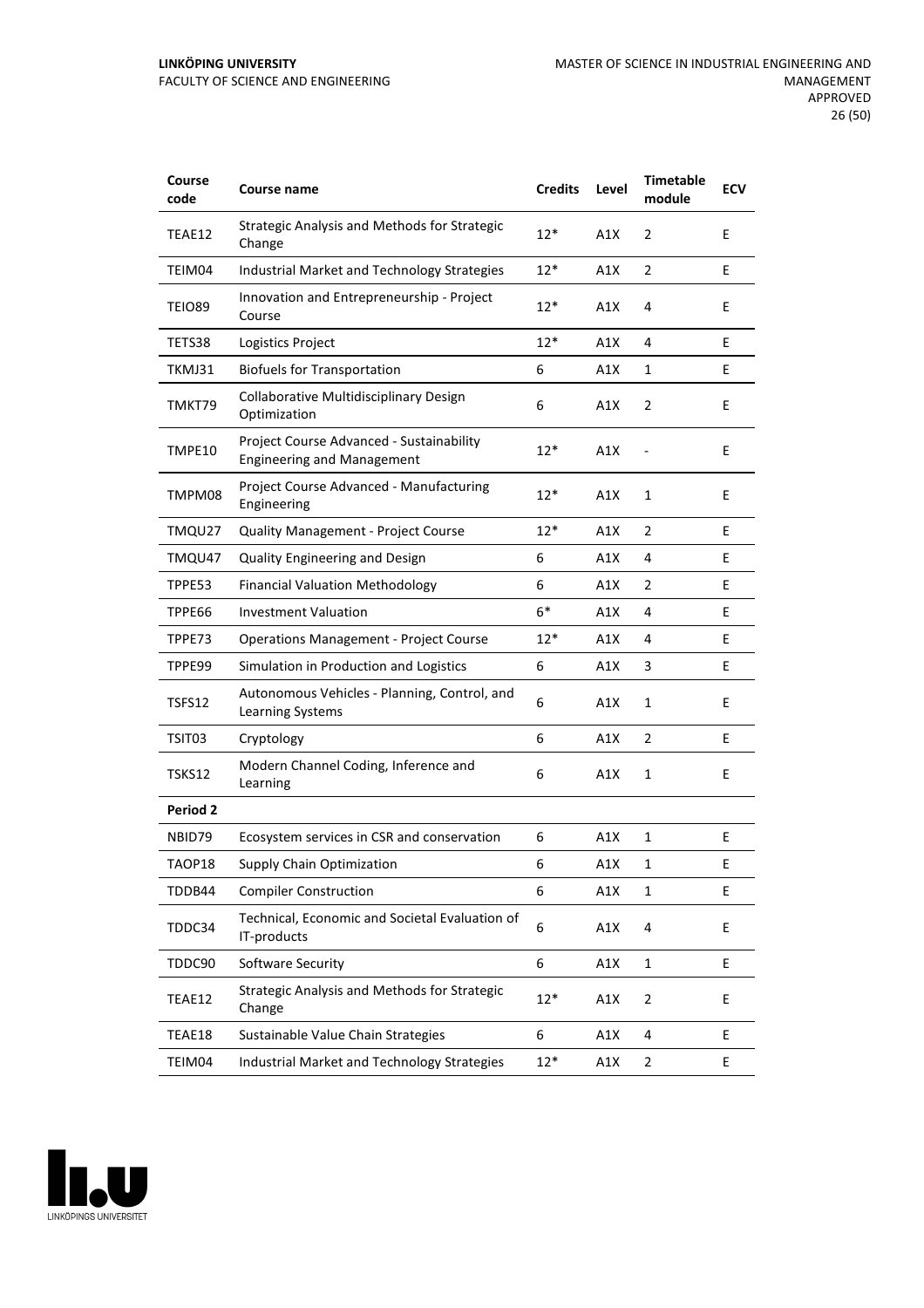#### **LINKÖPING UNIVERSITY** FACULTY OF SCIENCE AND ENGINEERING

| Course<br>code | <b>Course name</b>                                                            | <b>Credits</b> | Level | <b>Timetable</b><br>module | <b>ECV</b> |
|----------------|-------------------------------------------------------------------------------|----------------|-------|----------------------------|------------|
| TEAE12         | <b>Strategic Analysis and Methods for Strategic</b><br>Change                 | $12*$          | A1X   | $\overline{2}$             | E          |
| TEIM04         | Industrial Market and Technology Strategies                                   | $12*$          | A1X   | $\overline{2}$             | Е          |
| <b>TEIO89</b>  | Innovation and Entrepreneurship - Project<br>Course                           | $12*$          | A1X   | 4                          | E          |
| TETS38         | Logistics Project                                                             | $12*$          | A1X   | 4                          | E          |
| TKMJ31         | <b>Biofuels for Transportation</b>                                            | 6              | A1X   | 1                          | Е          |
| TMKT79         | Collaborative Multidisciplinary Design<br>Optimization                        | 6              | A1X   | $\overline{2}$             | Е          |
| TMPE10         | Project Course Advanced - Sustainability<br><b>Engineering and Management</b> | $12*$          | A1X   |                            | E          |
| TMPM08         | Project Course Advanced - Manufacturing<br>Engineering                        | $12*$          | A1X   | 1                          | E          |
| TMQU27         | <b>Quality Management - Project Course</b>                                    | $12*$          | A1X   | $\overline{2}$             | Е          |
| TMQU47         | <b>Quality Engineering and Design</b>                                         | 6              | A1X   | 4                          | E          |
| TPPE53         | <b>Financial Valuation Methodology</b>                                        | 6              | A1X   | $\overline{2}$             | E          |
| TPPE66         | <b>Investment Valuation</b>                                                   | $6*$           | A1X   | 4                          | E          |
| TPPE73         | <b>Operations Management - Project Course</b>                                 | $12*$          | A1X   | 4                          | Е          |
| TPPE99         | Simulation in Production and Logistics                                        | 6              | A1X   | 3                          | Е          |
| TSFS12         | Autonomous Vehicles - Planning, Control, and<br>Learning Systems              | 6              | A1X   | 1                          | E          |
| TSIT03         | Cryptology                                                                    | 6              | A1X   | $\overline{2}$             | E          |
| <b>TSKS12</b>  | Modern Channel Coding, Inference and<br>Learning                              | 6              | A1X   | $\mathbf{1}$               | E          |
| Period 2       |                                                                               |                |       |                            |            |
| NBID79         | Ecosystem services in CSR and conservation                                    | 6              | A1X   | 1                          | E          |
| TAOP18         | Supply Chain Optimization                                                     | 6              | A1X   | 1                          | Ε          |
| TDDB44         | <b>Compiler Construction</b>                                                  | 6              | A1X   | 1                          | E          |
| TDDC34         | Technical, Economic and Societal Evaluation of<br>IT-products                 | 6              | A1X   | 4                          | E          |
| TDDC90         | Software Security                                                             | 6              | A1X   | $\mathbf 1$                | E          |
| TEAE12         | Strategic Analysis and Methods for Strategic<br>Change                        | $12*$          | A1X   | $\overline{2}$             | E          |
| TEAE18         | Sustainable Value Chain Strategies                                            | 6              | A1X   | 4                          | E          |
| TEIM04         | Industrial Market and Technology Strategies                                   | $12*$          | A1X   | $\overline{2}$             | E          |

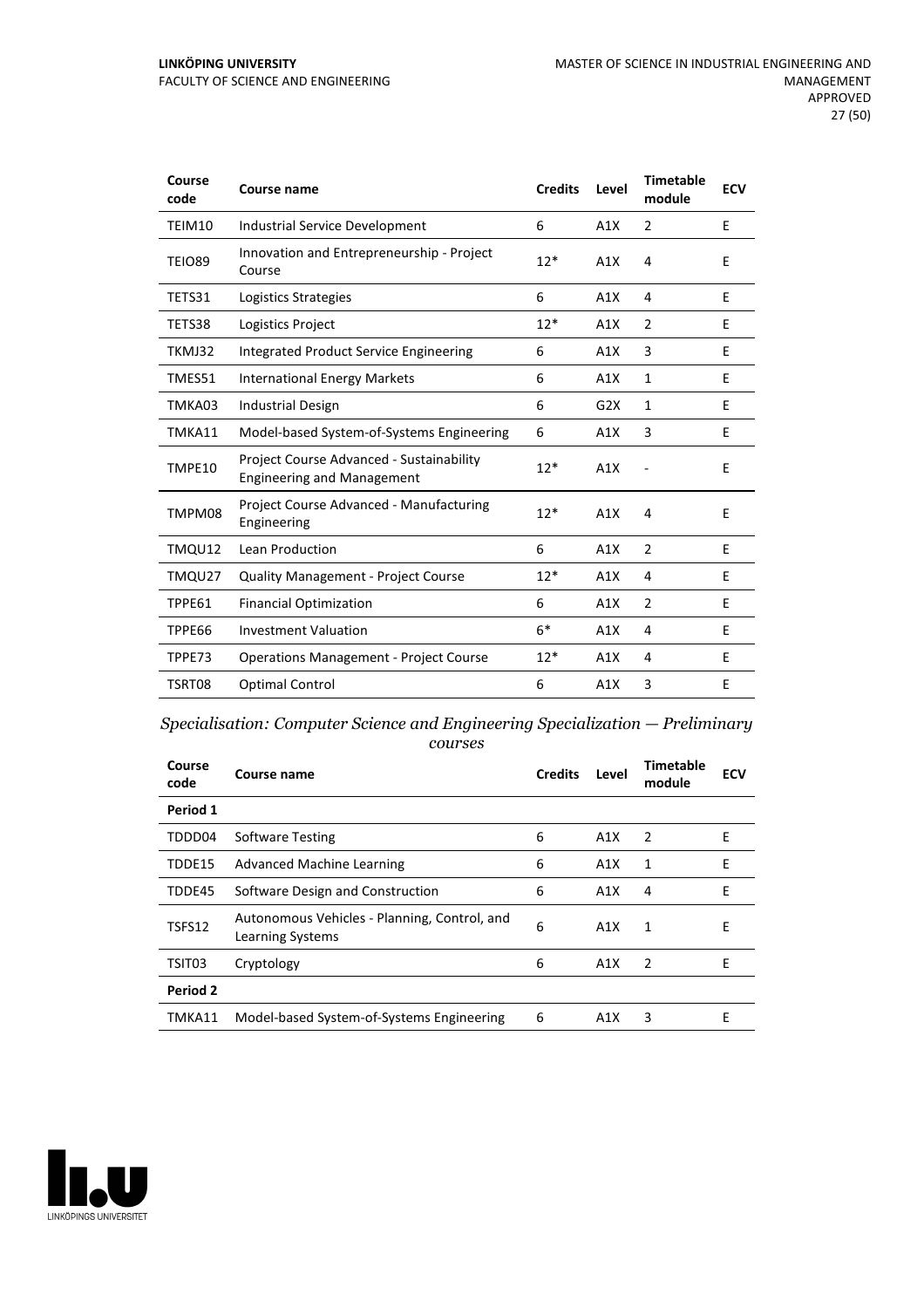#### **LINKÖPING UNIVERSITY** FACULTY OF SCIENCE AND ENGINEERING

| Course<br>code | <b>Course name</b>                                                            | <b>Credits</b> | Level | <b>Timetable</b><br>module | <b>ECV</b> |
|----------------|-------------------------------------------------------------------------------|----------------|-------|----------------------------|------------|
| TEIM10         | Industrial Service Development                                                | 6              | A1X   | 2                          | E          |
| <b>TEIO89</b>  | Innovation and Entrepreneurship - Project<br>Course                           | $12*$          | A1X   | 4                          | E          |
| TETS31         | Logistics Strategies                                                          | 6              | A1X   | 4                          | E          |
| TETS38         | Logistics Project                                                             | $12*$          | A1X   | 2                          | E          |
| TKMJ32         | Integrated Product Service Engineering                                        | 6              | A1X   | 3                          | E          |
| TMES51         | <b>International Energy Markets</b>                                           | 6              | A1X   | $\mathbf{1}$               | E          |
| TMKA03         | <b>Industrial Design</b>                                                      | 6              | G2X   | 1                          | Е          |
| TMKA11         | Model-based System-of-Systems Engineering                                     | 6              | A1X   | 3                          | E          |
| TMPE10         | Project Course Advanced - Sustainability<br><b>Engineering and Management</b> | $12*$          | A1X   |                            | E          |
| TMPM08         | Project Course Advanced - Manufacturing<br>Engineering                        | $12*$          | A1X   | 4                          | E          |
| TMQU12         | Lean Production                                                               | 6              | A1X   | $\overline{2}$             | E          |
| TMQU27         | <b>Quality Management - Project Course</b>                                    | $12*$          | A1X   | 4                          | E          |
| TPPE61         | <b>Financial Optimization</b>                                                 | 6              | A1X   | 2                          | E          |
| TPPE66         | <b>Investment Valuation</b>                                                   | $6*$           | A1X   | 4                          | E          |
| TPPE73         | <b>Operations Management - Project Course</b>                                 | $12*$          | A1X   | 4                          | E          |
| TSRT08         | <b>Optimal Control</b>                                                        | 6              | A1X   | 3                          | Е          |

### *Specialisation: Computer Science and Engineering Specialization — Preliminary courses*

| Course<br>code | Course name                                                             | <b>Credits</b> | Level | Timetable<br>module | <b>ECV</b> |
|----------------|-------------------------------------------------------------------------|----------------|-------|---------------------|------------|
| Period 1       |                                                                         |                |       |                     |            |
| TDDD04         | <b>Software Testing</b>                                                 | 6              | A1X   | -2                  | E          |
| TDDE15         | <b>Advanced Machine Learning</b>                                        | 6              | A1X   | 1                   | F          |
| TDDE45         | Software Design and Construction                                        | 6              | A1X   | 4                   | E          |
| TSFS12         | Autonomous Vehicles - Planning, Control, and<br><b>Learning Systems</b> | 6              | A1X   | 1                   | E          |
| TSIT03         | Cryptology                                                              | 6              | A1X   | $\overline{2}$      | E          |
| Period 2       |                                                                         |                |       |                     |            |
| TMKA11         | Model-based System-of-Systems Engineering                               | 6              | A1X   | 3                   | E          |

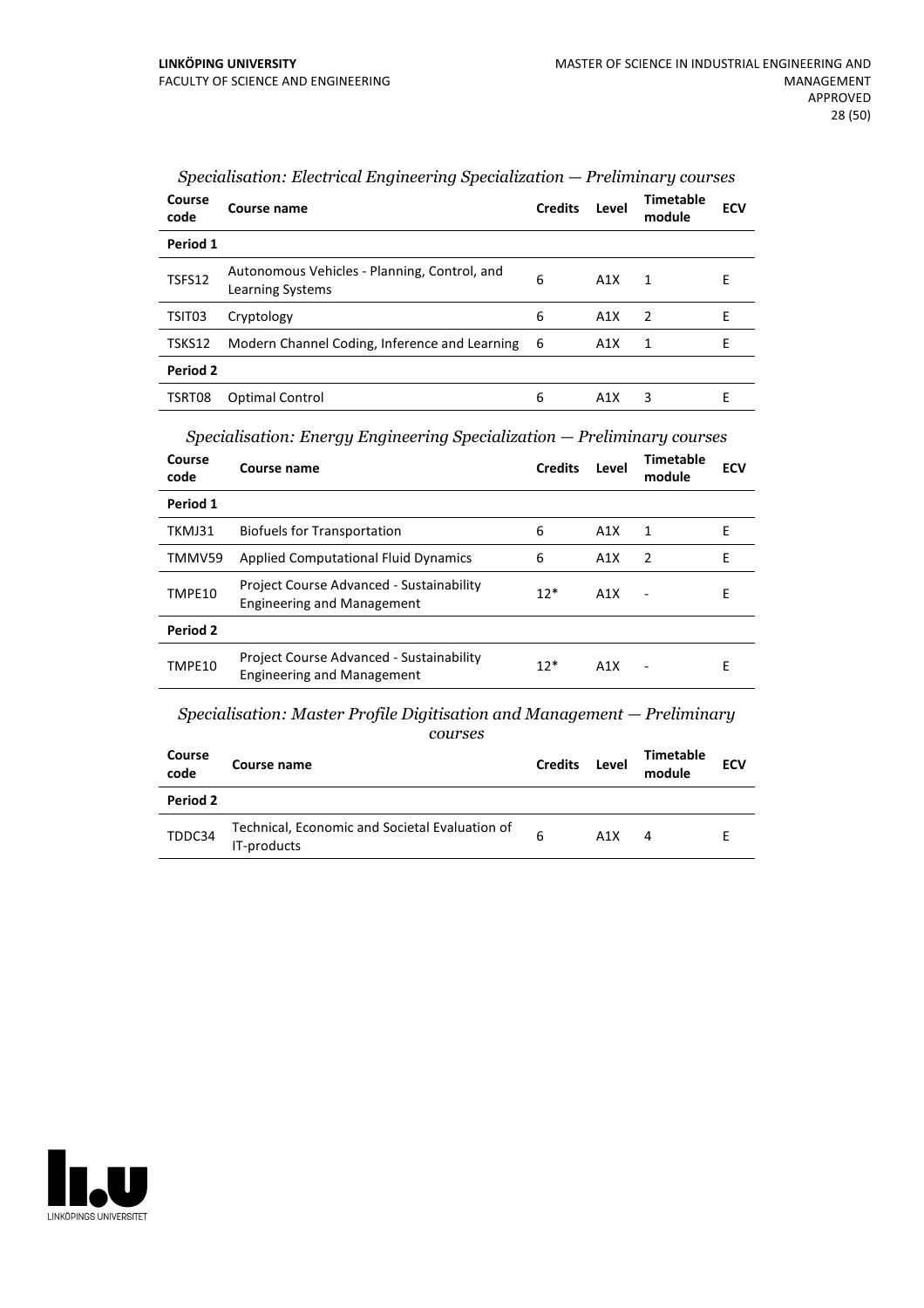| Course<br>code | Course name                                                      | <b>Credits</b> | Level | Timetable<br>module | <b>ECV</b> |  |
|----------------|------------------------------------------------------------------|----------------|-------|---------------------|------------|--|
| Period 1       |                                                                  |                |       |                     |            |  |
| TSFS12         | Autonomous Vehicles - Planning, Control, and<br>Learning Systems | 6              | A1X   | 1                   | Е          |  |
| TSIT03         | Cryptology                                                       | 6              | A1X   | $\overline{2}$      | F          |  |
| TSKS12         | Modern Channel Coding, Inference and Learning 6                  |                | A1X   | 1                   | E          |  |
| Period 2       |                                                                  |                |       |                     |            |  |
| TSRT08         | Optimal Control                                                  | 6              | A1X   | 3                   | F          |  |

| Specialisation: Electrical Engineering Specialization – Preliminary courses |  |  |  |
|-----------------------------------------------------------------------------|--|--|--|
|-----------------------------------------------------------------------------|--|--|--|

*Specialisation: Energy Engineering Specialization — Preliminary courses*

| Course<br>code | Course name                                                                   | <b>Credits</b> | Level | Timetable<br>module | <b>ECV</b> |
|----------------|-------------------------------------------------------------------------------|----------------|-------|---------------------|------------|
| Period 1       |                                                                               |                |       |                     |            |
| TKMJ31         | <b>Biofuels for Transportation</b>                                            | 6              | A1X   | 1                   | Е          |
| TMMV59         | <b>Applied Computational Fluid Dynamics</b>                                   | 6              | A1X   | $\mathcal{P}$       | F          |
| TMPE10         | Project Course Advanced - Sustainability<br><b>Engineering and Management</b> | $12*$          | A1X   |                     | Е          |
| Period 2       |                                                                               |                |       |                     |            |
| TMPE10         | Project Course Advanced - Sustainability<br><b>Engineering and Management</b> | $12*$          | A1X   |                     | Е          |

*Specialisation: Master Profile Digitisation and Management — Preliminary courses*

| Course<br>code | Course name                                                   | <b>Credits</b> | Level | <b>Timetable</b><br>module | <b>ECV</b> |
|----------------|---------------------------------------------------------------|----------------|-------|----------------------------|------------|
| Period 2       |                                                               |                |       |                            |            |
| TDDC34         | Technical, Economic and Societal Evaluation of<br>IT-products | 6              | A1X   | 4                          |            |

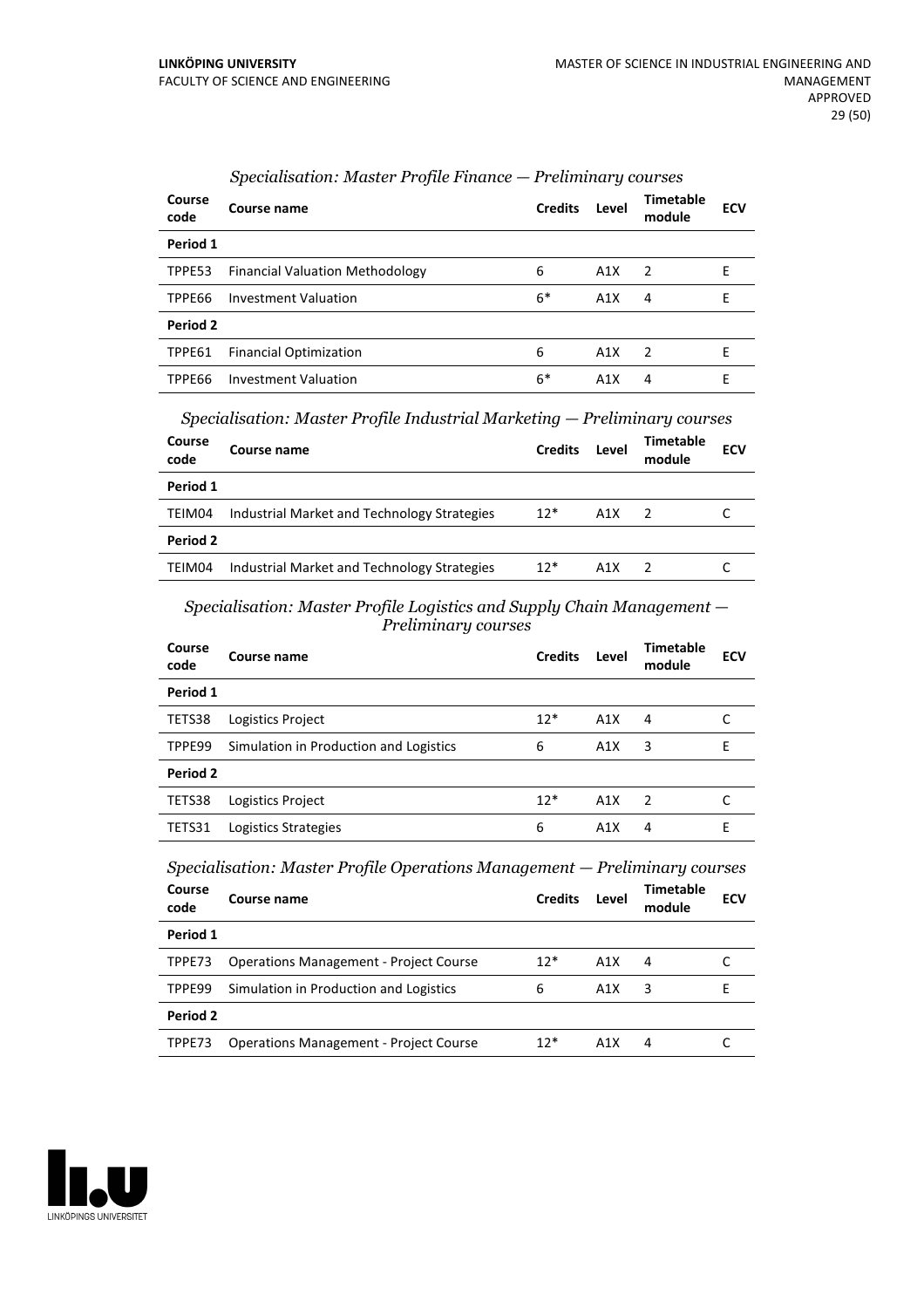| Course<br>code | Course name                            | <b>Credits</b> | Level | <b>Timetable</b><br>module | <b>ECV</b> |
|----------------|----------------------------------------|----------------|-------|----------------------------|------------|
| Period 1       |                                        |                |       |                            |            |
| TPPE53         | <b>Financial Valuation Methodology</b> | 6              | A1X   | $\overline{\phantom{a}}$   | F          |
| TPPE66         | Investment Valuation                   | $6*$           | A1X   | 4                          | Е          |
| Period 2       |                                        |                |       |                            |            |
| TPPE61         | <b>Financial Optimization</b>          | 6              | A1X   | $\mathcal{P}$              | F          |
| TPPE66         | <b>Investment Valuation</b>            | 6*             | A1X   | 4                          | F          |

### *Specialisation: Master Profile Finance — Preliminary courses*

*Specialisation: Master Profile Industrial Marketing — Preliminary courses*

| <b>Course</b><br>code | Course name                                 | <b>Credits</b> | Level | Timetable<br>module | <b>ECV</b> |
|-----------------------|---------------------------------------------|----------------|-------|---------------------|------------|
| Period 1              |                                             |                |       |                     |            |
| TEIM04                | Industrial Market and Technology Strategies | $12*$          | A1X   | $\overline{z}$      |            |
| Period 2              |                                             |                |       |                     |            |
| TEIM04                | Industrial Market and Technology Strategies | $12*$          | A1X   | $\overline{2}$      |            |
|                       |                                             |                |       |                     |            |

#### *Specialisation: Master Profile Logistics and Supply Chain Management — Preliminary courses*

| Course<br>code | Course name                                                                | <b>Credits</b> | Level | <b>Timetable</b><br>module | <b>ECV</b> |
|----------------|----------------------------------------------------------------------------|----------------|-------|----------------------------|------------|
| Period 1       |                                                                            |                |       |                            |            |
| TETS38         | Logistics Project                                                          | $12*$          | A1X   | 4                          | C          |
| TPPE99         | Simulation in Production and Logistics                                     | 6              | A1X   | 3                          | E          |
| Period 2       |                                                                            |                |       |                            |            |
| TETS38         | Logistics Project                                                          | $12*$          | A1X   | 2                          | C          |
|                |                                                                            |                |       |                            |            |
| TETS31         | Logistics Strategies                                                       | 6              | A1X   | 4                          | E          |
|                | Specialisation: Master Profile Operations Management - Preliminary courses |                |       |                            |            |
| Course<br>code | Course name                                                                | <b>Credits</b> | Level | <b>Timetable</b><br>module | <b>ECV</b> |
| Period 1       |                                                                            |                |       |                            |            |
| TPPE73         | <b>Operations Management - Project Course</b>                              | $12*$          | A1X   | 4                          | C          |
| TPPE99         | Simulation in Production and Logistics                                     | 6              | A1X   | 3                          | E          |
| Period 2       |                                                                            |                |       |                            |            |

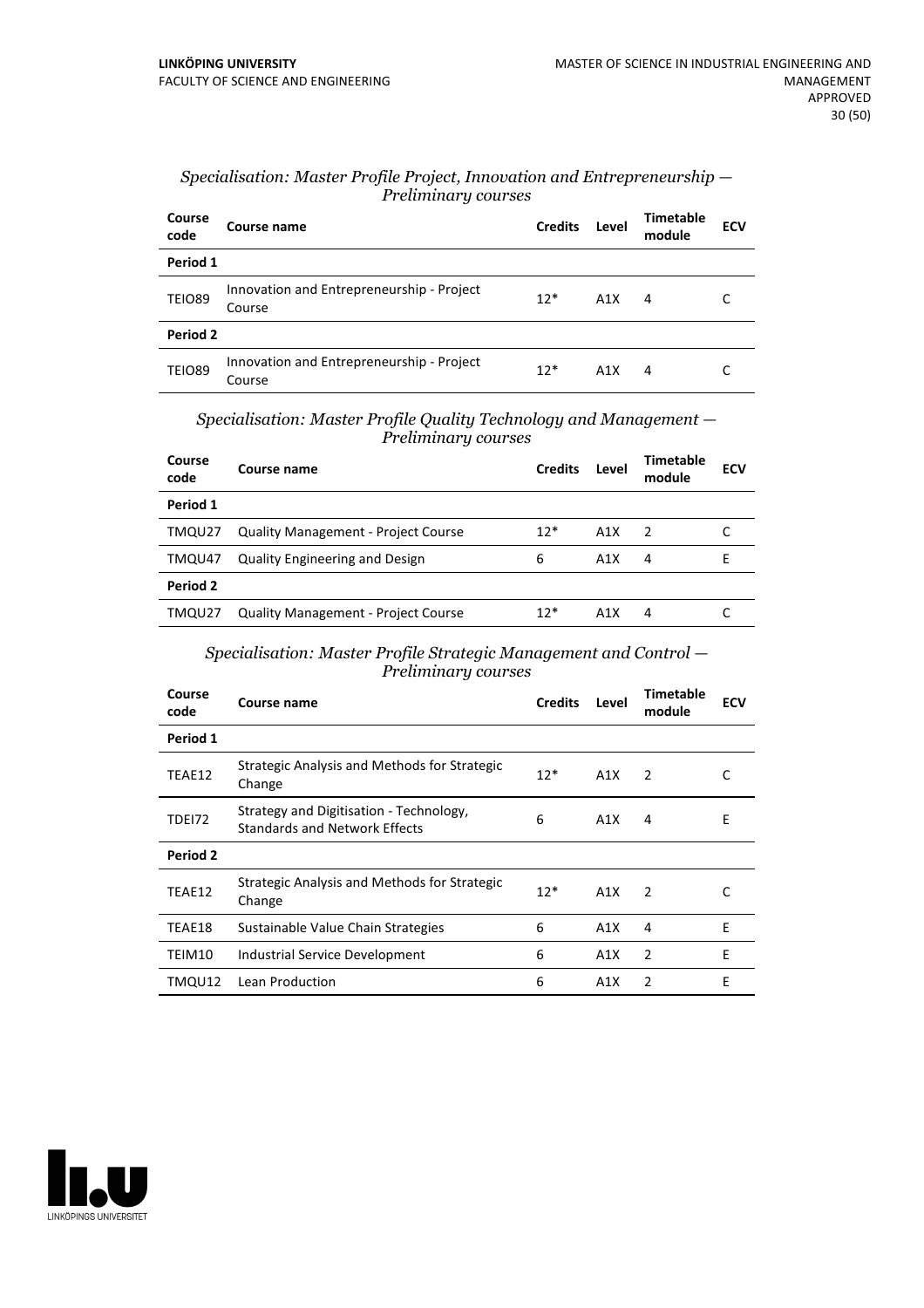| Specialisation: Master Profile Project, Innovation and Entrepreneurship $-$ |  |
|-----------------------------------------------------------------------------|--|
| Preliminary courses                                                         |  |

| Course<br>code | Course name                                         | <b>Credits</b> | Level | <b>Timetable</b><br>module | <b>ECV</b> |
|----------------|-----------------------------------------------------|----------------|-------|----------------------------|------------|
| Period 1       |                                                     |                |       |                            |            |
| <b>TEIO89</b>  | Innovation and Entrepreneurship - Project<br>Course | $12*$          | A1X   | 4                          |            |
| Period 2       |                                                     |                |       |                            |            |
| <b>TEIO89</b>  | Innovation and Entrepreneurship - Project<br>Course | $12*$          | A1X   | 4                          |            |

*Specialisation: Master Profile Quality Technology and Management — Preliminary courses*

| Course<br>code | Course name                                | <b>Credits</b> | Level | Timetable<br>module | <b>ECV</b> |
|----------------|--------------------------------------------|----------------|-------|---------------------|------------|
| Period 1       |                                            |                |       |                     |            |
| TMQU27         | <b>Quality Management - Project Course</b> | $12*$          | A1X   | $\overline{2}$      |            |
| TMQU47         | <b>Quality Engineering and Design</b>      | 6              | A1X   | 4                   | F.         |
| Period 2       |                                            |                |       |                     |            |
| TMQU27         | <b>Quality Management - Project Course</b> | $12*$          | A1X   | 4                   |            |

### *Specialisation: Master Profile Strategic Management and Control — Preliminary courses*

| Course name                                                                     | <b>Credits</b> | Level | <b>Timetable</b><br>module | <b>ECV</b> |
|---------------------------------------------------------------------------------|----------------|-------|----------------------------|------------|
|                                                                                 |                |       |                            |            |
| Strategic Analysis and Methods for Strategic<br>Change                          | $12*$          | A1X   | 2                          | C          |
| Strategy and Digitisation - Technology,<br><b>Standards and Network Effects</b> | 6              | A1X   | 4                          | E          |
|                                                                                 |                |       |                            |            |
| Strategic Analysis and Methods for Strategic<br>Change                          | $12*$          | A1X   | $\mathcal{P}$              | C          |
| Sustainable Value Chain Strategies                                              | 6              | A1X   | 4                          | E          |
| Industrial Service Development                                                  | 6              | A1X   | 2                          | F          |
| Lean Production                                                                 | 6              | A1X   | 2                          | E          |
|                                                                                 |                |       |                            |            |

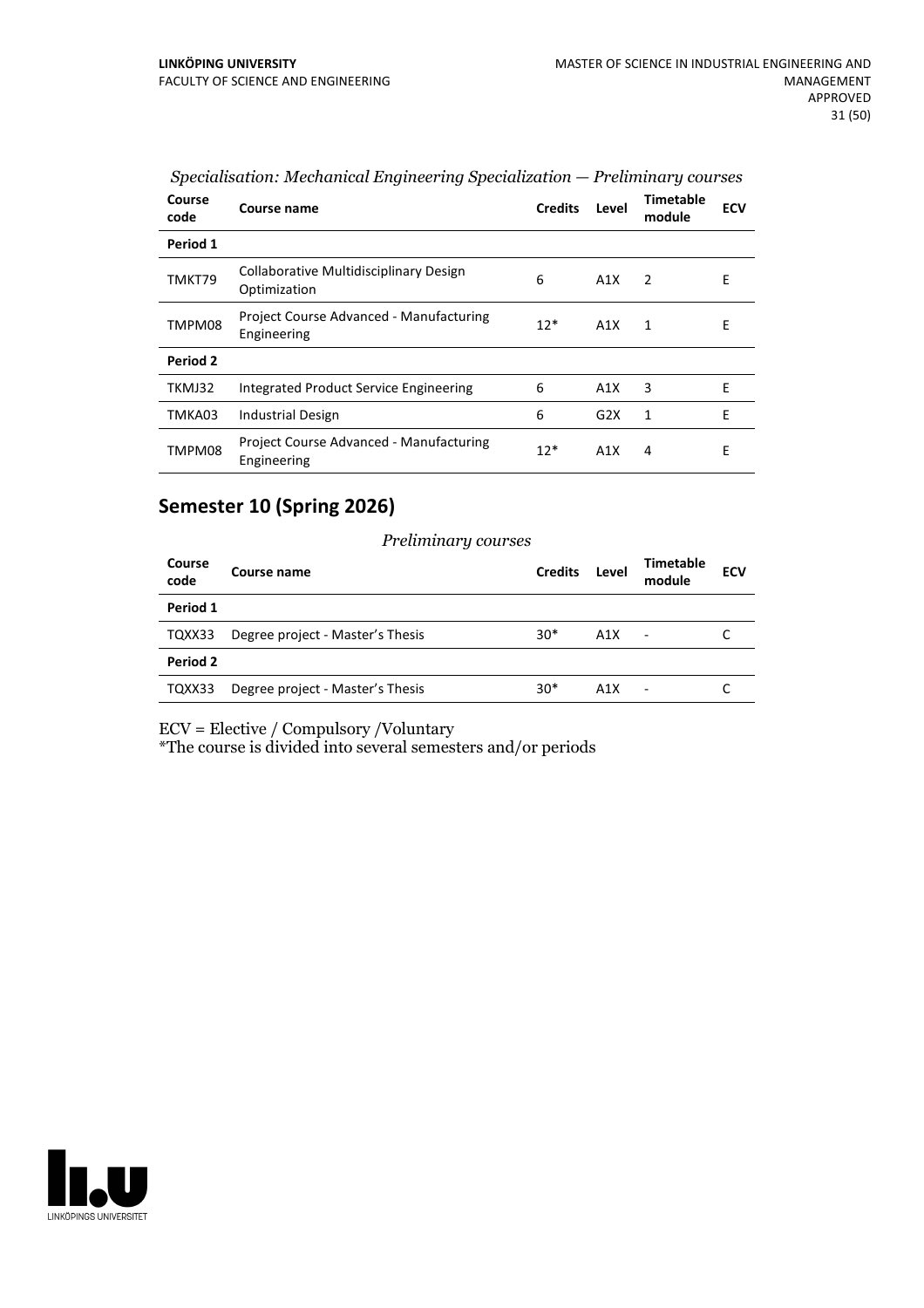| Course<br>code | Course name                                            | <b>Credits</b> | Level | <b>Timetable</b><br>module | <b>ECV</b> |
|----------------|--------------------------------------------------------|----------------|-------|----------------------------|------------|
| Period 1       |                                                        |                |       |                            |            |
| TMKT79         | Collaborative Multidisciplinary Design<br>Optimization | 6              | A1X   | $\overline{2}$             | E          |
| TMPM08         | Project Course Advanced - Manufacturing<br>Engineering | $12*$          | A1X   | 1                          | E          |
| Period 2       |                                                        |                |       |                            |            |
| TKMJ32         | Integrated Product Service Engineering                 | 6              | A1X   | 3                          | E          |
| TMKA03         | Industrial Design                                      | 6              | G2X   | 1                          | E          |
| TMPM08         | Project Course Advanced - Manufacturing<br>Engineering | $12*$          | A1X   | 4                          | Е          |

*Specialisation: Mechanical Engineering Specialization — Preliminary courses*

### **Semester 10 (Spring 2026)**

#### *Preliminary courses*

| Course<br>code | Course name                      | <b>Credits</b> | Level | Timetable<br>module      | <b>ECV</b> |
|----------------|----------------------------------|----------------|-------|--------------------------|------------|
| Period 1       |                                  |                |       |                          |            |
| TQXX33         | Degree project - Master's Thesis | $30*$          | A1X   | $\overline{\phantom{a}}$ |            |
| Period 2       |                                  |                |       |                          |            |
| TQXX33         | Degree project - Master's Thesis | $30*$          | A1X   | ٠                        |            |

ECV = Elective / Compulsory /Voluntary

\*The course is divided into several semesters and/or periods

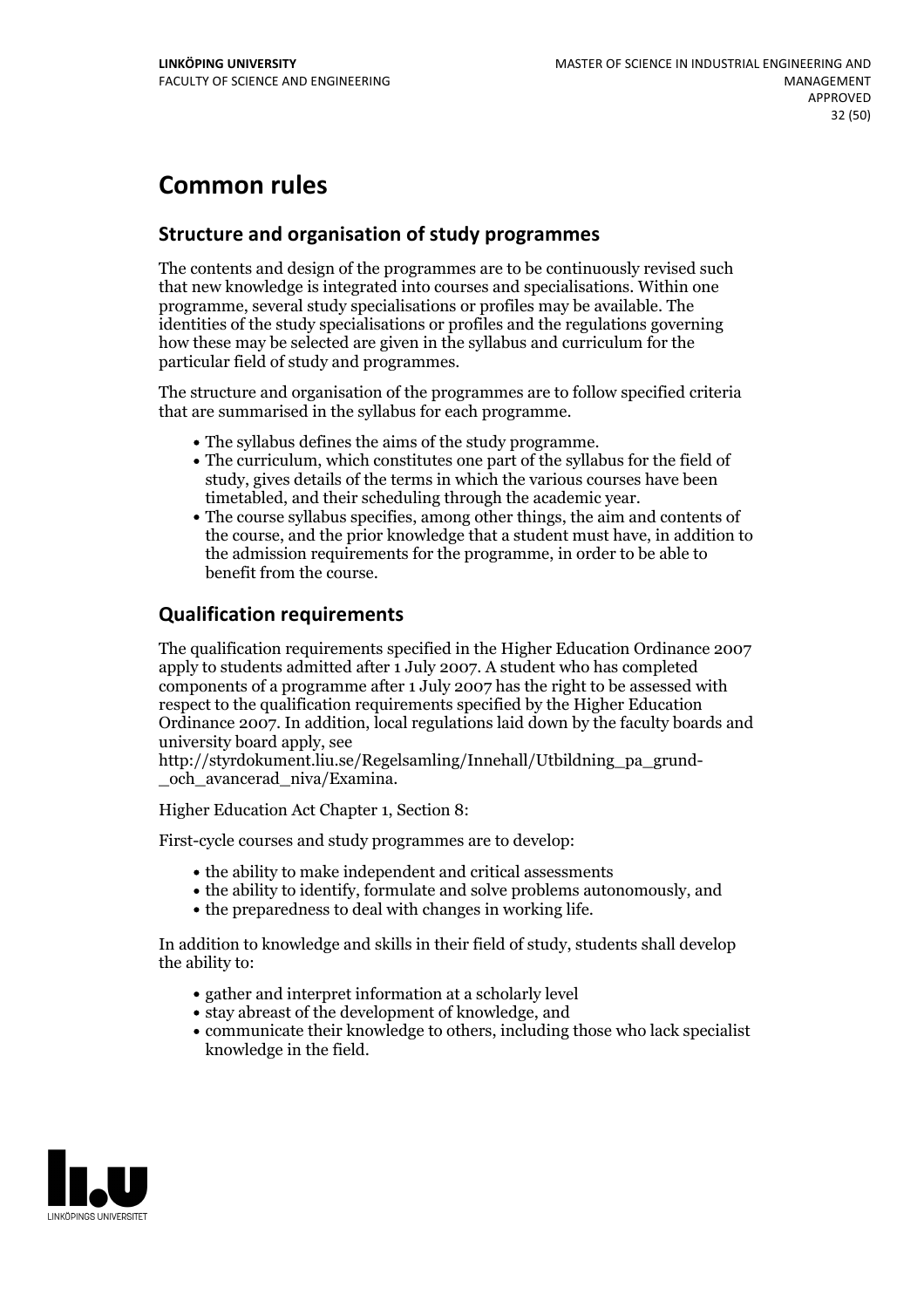### **Common rules**

### **Structure and organisation of study programmes**

The contents and design of the programmes are to be continuously revised such that new knowledge is integrated into courses and specialisations. Within one programme, several study specialisations or profiles may be available. The identities of the study specialisations or profiles and the regulations governing how these may be selected are given in the syllabus and curriculum for the particular field of study and programmes.

The structure and organisation of the programmes are to follow specified criteria that are summarised in the syllabus for each programme.

- 
- The syllabus defines the aims of the study programme.<br>• The curriculum, which constitutes one part of the syllabus for the field of study, gives details of the terms in which the various courses have been
- timetabled, and their scheduling through the academic year.<br>• The course syllabus specifies, among other things, the aim and contents of the course, and the prior knowledge that a student must have, in addition to the admission requirements for the programme, in order to be able to benefit from the course.

### **Qualification requirements**

The qualification requirements specified in the Higher Education Ordinance 2007 apply to students admitted after 1 July 2007. A student who has completed components of a programme after 1 July 2007 has the right to be assessed with respect to the qualification requirements specified by the Higher Education Ordinance 2007. In addition, local regulations laid down by the faculty boards and university board apply, see

http://styrdokument.liu.se/Regelsamling/Innehall/Utbildning\_pa\_grund-och\_avancerad\_niva/Examina.

Higher Education Act Chapter 1, Section 8:

First-cycle courses and study programmes are to develop:

- the ability to make independent and critical assessments
- the ability to identify, formulate and solve problems autonomously, and
- the preparedness to deal with changes in working life.

In addition to knowledge and skills in their field of study, students shall develop the ability to:

- gather and interpret information at a scholarly level
- stay abreast of the development of knowledge, and
- communicate their knowledge to others, including those who lack specialist knowledge in the field.

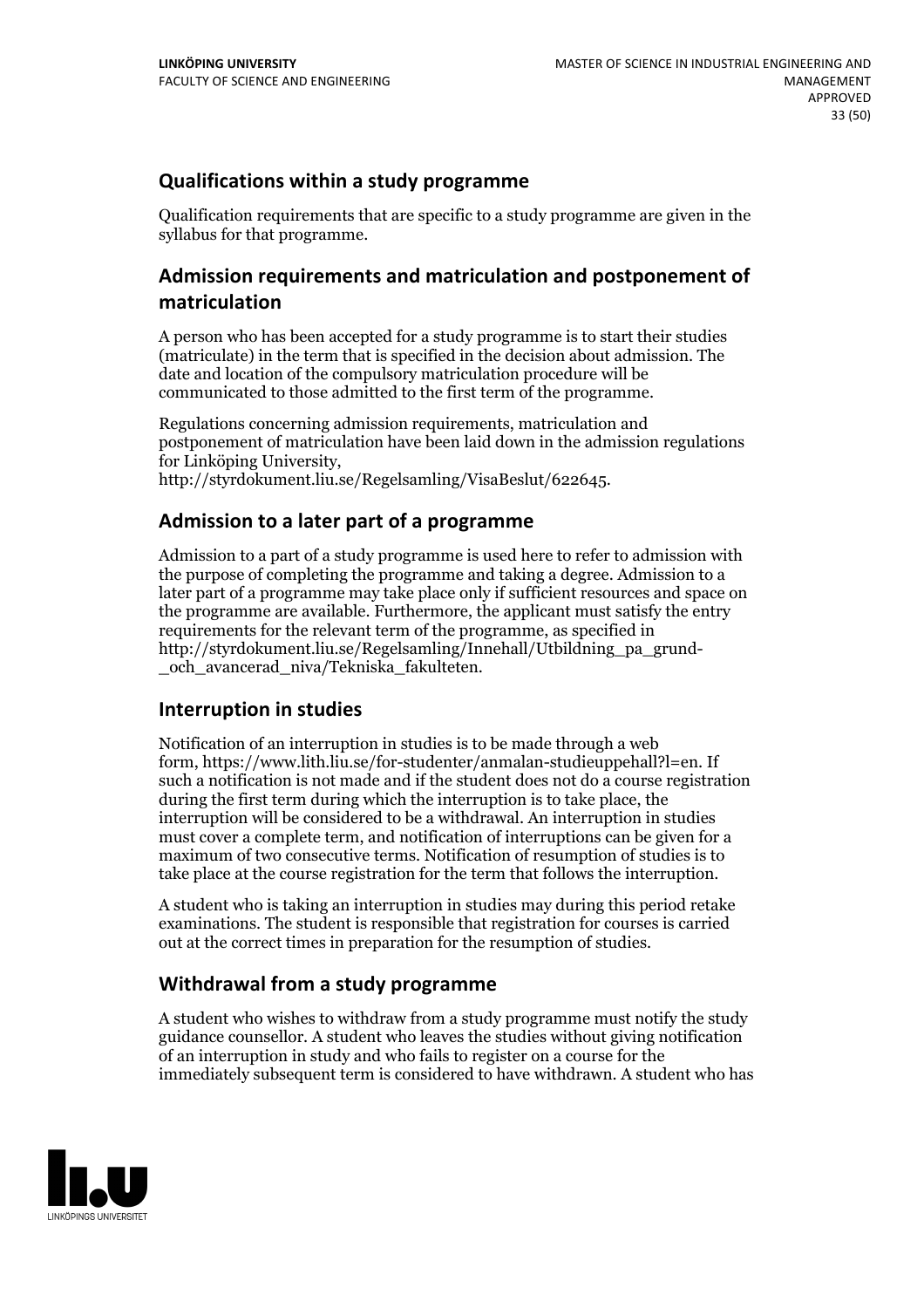### **Qualifications within a study programme**

Qualification requirements that are specific to a study programme are given in the syllabus for that programme.

### **Admission requirements and matriculation and postponement of matriculation**

A person who has been accepted for a study programme is to start their studies (matriculate) in the term that is specified in the decision about admission. The date and location of the compulsory matriculation procedure will be communicated to those admitted to the first term of the programme.

Regulations concerning admission requirements, matriculation and postponement of matriculation have been laid down in the admission regulations for Linköping University, http://styrdokument.liu.se/Regelsamling/VisaBeslut/622645.

### **Admission to a later part of a programme**

Admission to a part of a study programme is used here to refer to admission with the purpose of completing the programme and taking a degree. Admission to a later part of a programme may take place only if sufficient resources and space on the programme are available. Furthermore, the applicant must satisfy the entry requirements for the relevant term of the programme, as specified in http://styrdokument.liu.se/Regelsamling/Innehall/Utbildning\_pa\_grund- \_och\_avancerad\_niva/Tekniska\_fakulteten.

### **Interruption in studies**

Notification of an interruption in studies is to be made through a web form, https://www.lith.liu.se/for-studenter/anmalan-studieuppehall?l=en. If such a notification is not made and if the student does not do a course registration during the first term during which the interruption is to take place, the interruption will be considered to be a withdrawal. An interruption in studies must cover a complete term, and notification of interruptions can be given for a maximum of two consecutive terms. Notification of resumption of studies is to take place at the course registration for the term that follows the interruption.

A student who is taking an interruption in studies may during this period retake examinations. The student is responsible that registration for courses is carried out at the correct times in preparation for the resumption of studies.

### **Withdrawal from a study programme**

A student who wishes to withdraw from a study programme must notify the study guidance counsellor. A student who leaves the studies without giving notification of an interruption in study and who fails to register on a course for the immediately subsequent term is considered to have withdrawn. A student who has

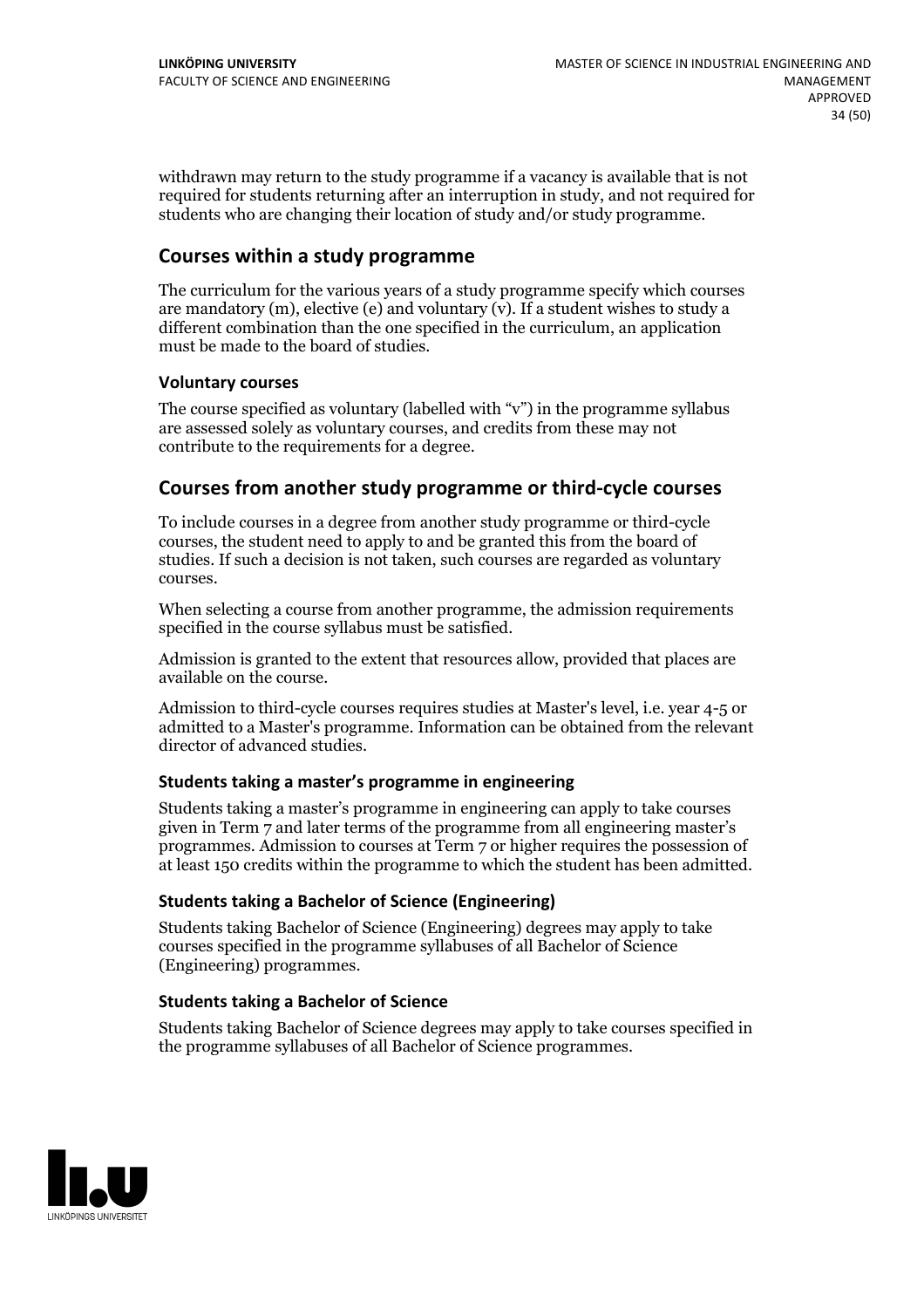withdrawn may return to the study programme if a vacancy is available that is not required for students returning after an interruption in study, and not required for students who are changing their location of study and/or study programme.

### **Courses within a study programme**

The curriculum for the various years of a study programme specify which courses are mandatory  $(m)$ , elective (e) and voluntary  $(v)$ . If a student wishes to study a different combination than the one specified in the curriculum, an application must be made to the board of studies.

### **Voluntarycourses**

The course specified as voluntary (labelled with "v") in the programme syllabus are assessed solely as voluntary courses, and credits from these may not contribute to the requirements for a degree.

### **Courses from another study programme orthird-cycle courses**

To include courses in a degree from another study programme or third-cycle courses, the student need to apply to and be granted this from the board of studies. If such a decision is not taken, such courses are regarded as voluntary courses.

When selecting a course from another programme, the admission requirements specified in the course syllabus must be satisfied.

Admission is granted to the extent that resources allow, provided that places are available on the course.

Admission to third-cycle courses requires studies at Master's level, i.e. year 4-5 or admitted to a Master's programme. Information can be obtained from the relevant director of advanced studies.

#### **Students taking a master's programme in engineering**

Students taking a master's programme in engineering can apply to take courses given in Term 7 and later terms of the programme from all engineering master's programmes. Admission to courses at Term 7 or higher requires the possession of at least 150 credits within the programme to which the student has been admitted.

#### **Students taking a Bachelor of Science (Engineering)**

Students taking Bachelor of Science (Engineering) degrees may apply to take courses specified in the programme syllabuses of all Bachelor of Science (Engineering) programmes.

### **Students taking a Bachelor of Science**

Students taking Bachelor of Science degrees may apply to take courses specified in the programme syllabuses of all Bachelor of Science programmes.

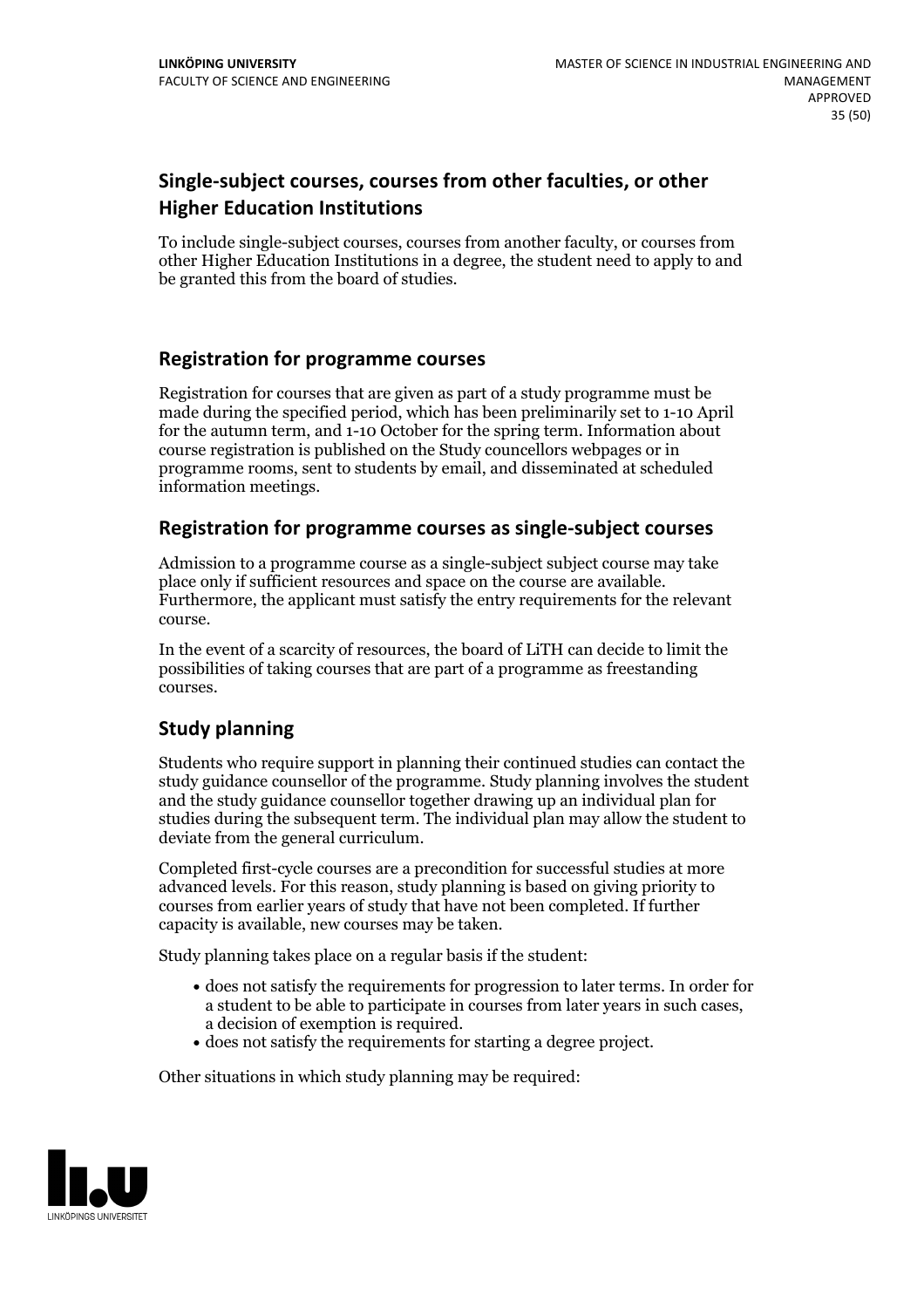### **Single-subject courses, courses from other faculties, or other Higher Education Institutions**

To include single-subject courses, courses from another faculty, or courses from other Higher Education Institutions in a degree, the student need to apply to and be granted this from the board of studies.

### **Registration for programme courses**

Registration for courses that are given as part of a study programme must be made during the specified period, which has been preliminarily set to 1-10 April for the autumn term, and 1-10 October for the spring term. Information about course registration is published on the Study councellors webpages or in programme rooms, sent to students by email, and disseminated at scheduled information meetings.

### **Registration for programme courses as single-subject courses**

Admission to a programme course as a single-subject subject course may take place only if sufficient resources and space on the course are available. Furthermore, the applicant must satisfy the entry requirements for the relevant course.

In the event of a scarcity of resources, the board of LiTH can decide to limit the possibilities of taking courses that are part of a programme as freestanding courses.

### **Study planning**

Students who require support in planning their continued studies can contact the study guidance counsellor of the programme. Study planning involves the student and the study guidance counsellor together drawing up an individual plan for studies during the subsequent term. The individual plan may allow the student to deviate from the general curriculum.

Completed first-cycle courses are a precondition for successful studies at more advanced levels. For this reason, study planning is based on giving priority to courses from earlier years of study that have not been completed. If further capacity is available, new courses may be taken.

Study planning takes place on a regular basis if the student:

- does not satisfy the requirements for progression to later terms. In order for a student to be able to participate in courses from later years in such cases, a decision of exemption is required.<br>
• does not satisfy the requirements for starting a degree project.
- 

Other situations in which study planning may be required:

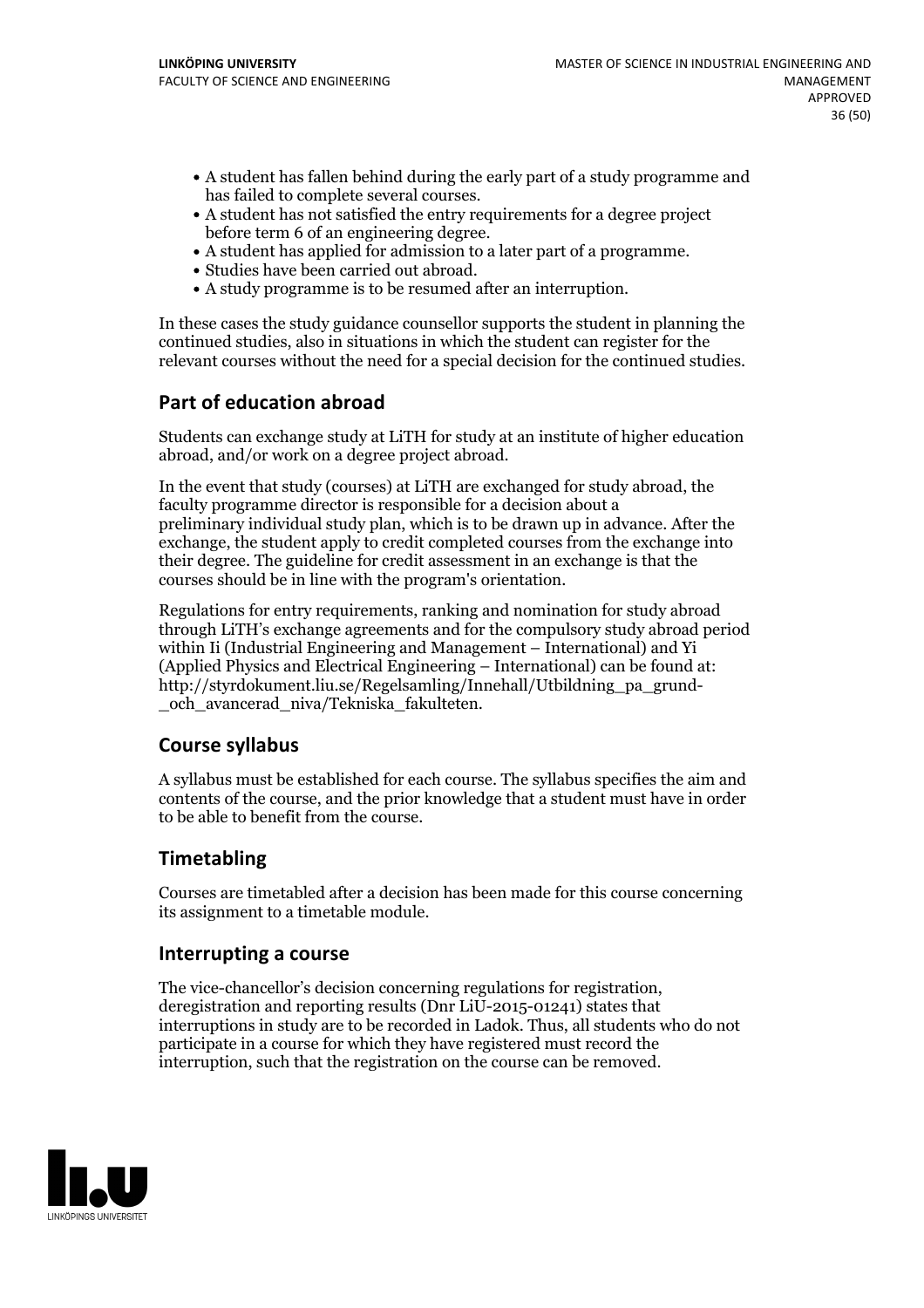- A student has fallen behind during the early part of a study programme and
- has failed to complete several courses.<br>• A student has not satisfied the entry requirements for a degree project
- before term 6 of an engineering degree.<br>
 A student has applied for admission to a later part of a programme.<br>
 Studies have been carried out abroad.<br>
 A study programme is to be resumed after an interruption.
- 
- 

In these cases the study guidance counsellor supports the student in planning the continued studies, also in situations in which the student can register for the relevant courses without the need for a special decision for the continued studies.

### **Part of education abroad**

Students can exchange study at LiTH for study at an institute of higher education abroad, and/or work on a degree project abroad.

In the event that study (courses) at LiTH are exchanged for study abroad, the faculty programme director is responsible for a decision about a preliminary individual study plan, which is to be drawn up in advance. After the exchange, the student apply to credit completed courses from the exchange into their degree. The guideline for credit assessment in an exchange is that the courses should be in line with the program's orientation.

Regulations for entry requirements, ranking and nomination for study abroad through LiTH's exchange agreements and for the compulsory study abroad period within Ii (Industrial Engineering and Management – International) and Yi (Applied Physics and Electrical Engineering – International) can be found at: http://styrdokument.liu.se/Regelsamling/Innehall/Utbildning\_pa\_grund- \_och\_avancerad\_niva/Tekniska\_fakulteten.

### **Course syllabus**

A syllabus must be established for each course. The syllabus specifies the aim and contents of the course, and the prior knowledge that a student must have in order to be able to benefit from the course.

### **Timetabling**

Courses are timetabled after a decision has been made for this course concerning its assignment to a timetable module.

### **Interrupting a course**

The vice-chancellor's decision concerning regulations for registration, deregistration and reporting results (Dnr LiU-2015-01241) states that interruptions in study are to be recorded in Ladok. Thus, all students who do not participate in a course for which they have registered must record the interruption, such that the registration on the course can be removed.

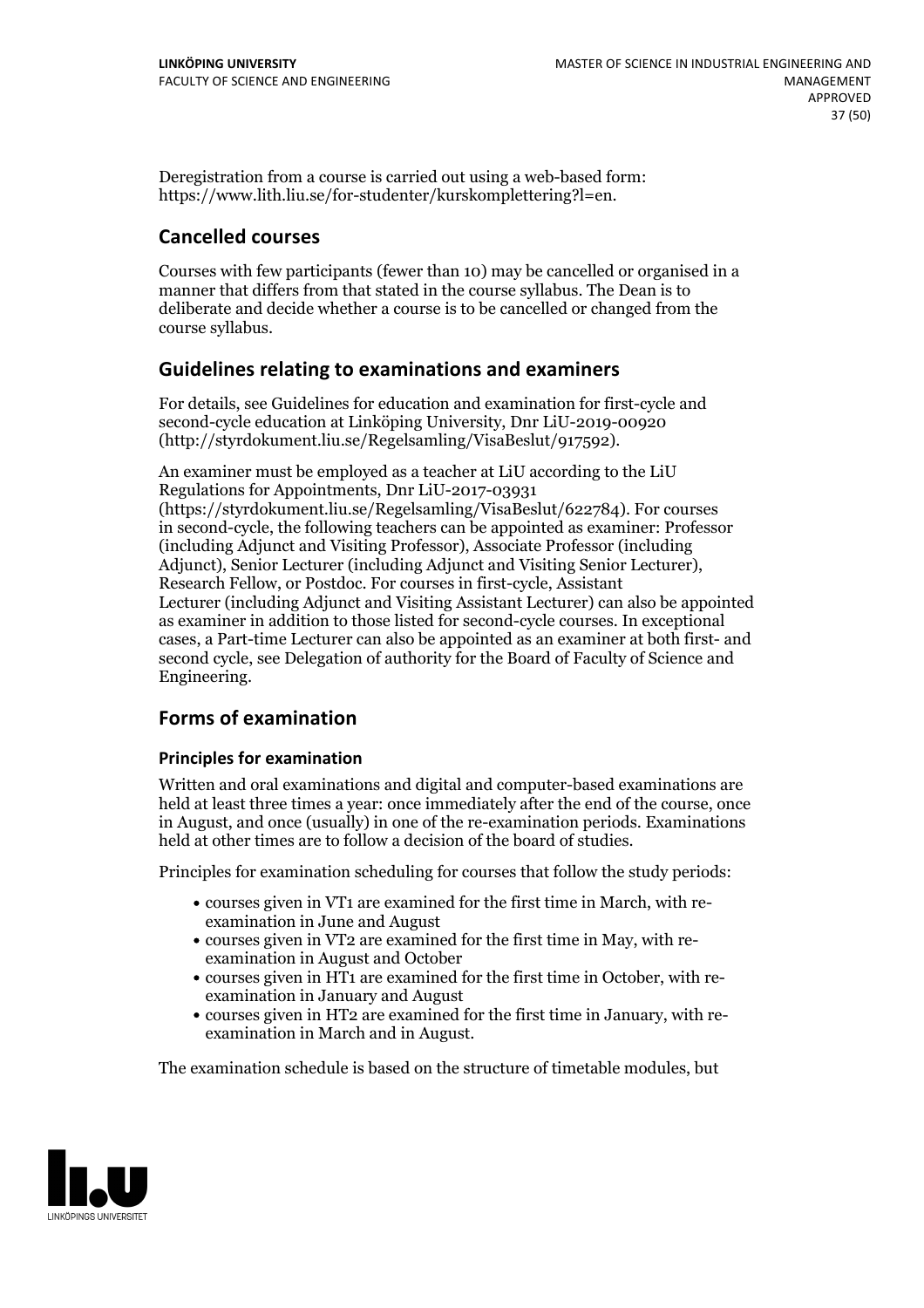Deregistration from a course is carried out using a web-based form: https://www.lith.liu.se/for-studenter/kurskomplettering?l=en.

### **Cancelled courses**

Courses with few participants (fewer than 10) may be cancelled or organised in a manner that differs from that stated in the course syllabus. The Dean is to deliberate and decide whether a course is to be cancelled or changed from the course syllabus.

### **Guidelines relatingto examinations and examiners**

For details, see Guidelines for education and examination for first-cycle and second-cycle education at Linköping University, Dnr LiU-2019-00920 (http://styrdokument.liu.se/Regelsamling/VisaBeslut/917592).

An examiner must be employed as a teacher at LiU according to the LiU Regulations for Appointments, Dnr LiU-2017-03931 (https://styrdokument.liu.se/Regelsamling/VisaBeslut/622784). For courses in second-cycle, the following teachers can be appointed as examiner: Professor (including Adjunct and Visiting Professor), Associate Professor (including Adjunct), Senior Lecturer (including Adjunct and Visiting Senior Lecturer), Research Fellow, or Postdoc. For courses in first-cycle, Assistant Lecturer (including Adjunct and Visiting Assistant Lecturer) can also be appointed as examiner in addition to those listed for second-cycle courses. In exceptional cases, a Part-time Lecturer can also be appointed as an examiner at both first- and second cycle, see Delegation of authority for the Board of Faculty of Science and Engineering.

### **Forms of examination**

### **Principles for examination**

Written and oral examinations and digital and computer-based examinations are held at least three times a year: once immediately after the end of the course, once in August, and once (usually) in one of the re-examination periods. Examinations held at other times are to follow a decision of the board of studies.

Principles for examination scheduling for courses that follow the study periods:

- courses given in VT1 are examined for the first time in March, with re-examination in June and August
- courses given in VT2 are examined for the first time in May, with re-examination in August and October
- courses given in HT1 are examined for the first time in October, with re-examination in January and August
- courses given in HT2 are examined for the first time in January, with re-examination in March and in August.

The examination schedule is based on the structure of timetable modules, but

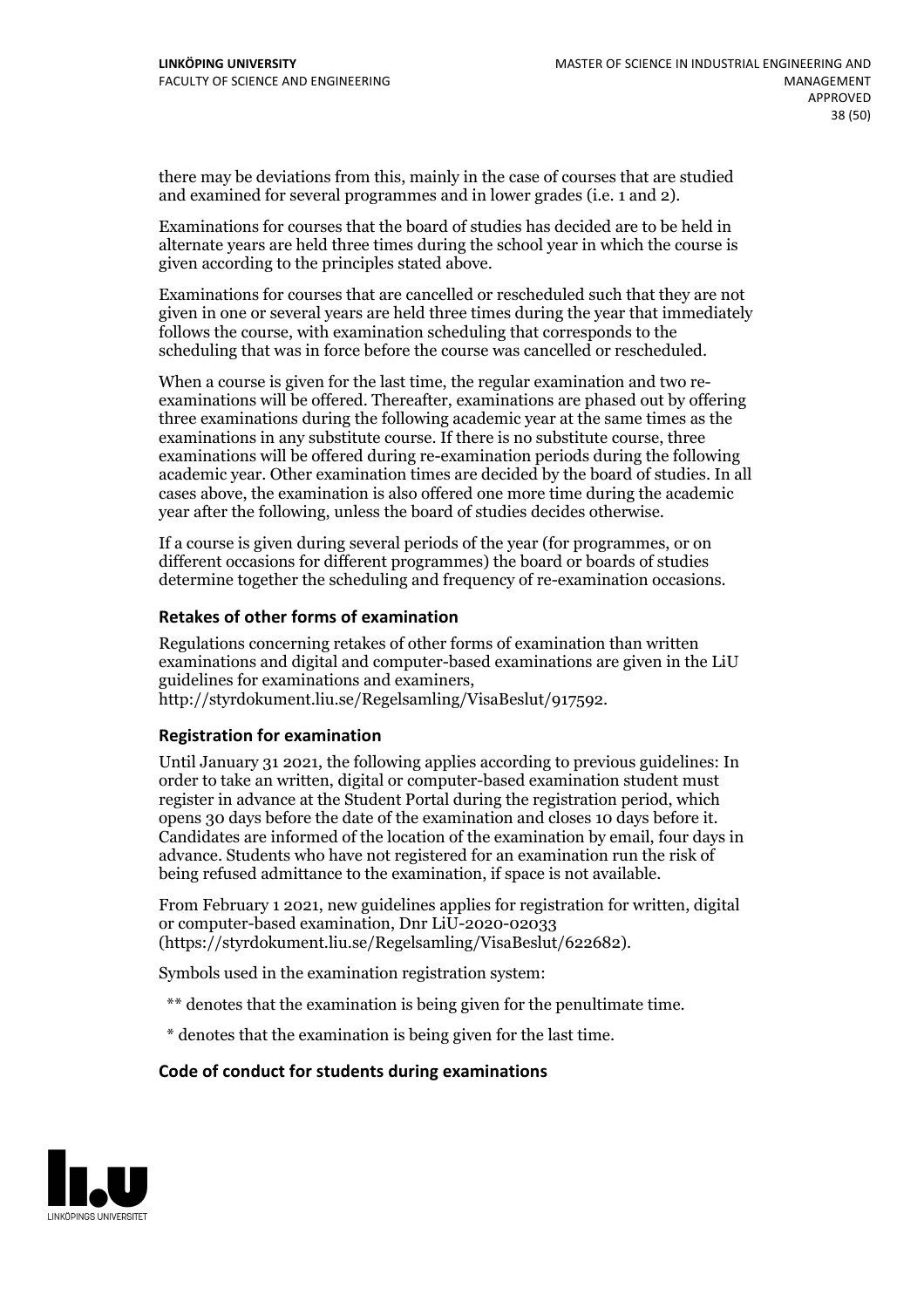there may be deviations from this, mainly in the case of courses that are studied and examined for several programmes and in lower grades (i.e. 1 and 2).

Examinations for courses that the board of studies has decided are to be held in alternate years are held three times during the school year in which the course is given according to the principles stated above.

Examinations for courses that are cancelled or rescheduled such that they are not given in one or several years are held three times during the year that immediately follows the course, with examination scheduling that corresponds to the scheduling that was in force before the course was cancelled or rescheduled.

When a course is given for the last time, the regular examination and two re-<br>examinations will be offered. Thereafter, examinations are phased out by offering three examinations during the following academic year at the same times as the examinations in any substitute course. If there is no substitute course, three examinations will be offered during re-examination periods during the following academic year. Other examination times are decided by the board of studies. In all cases above, the examination is also offered one more time during the academic year after the following, unless the board of studies decides otherwise.

If a course is given during several periods of the year (for programmes, or on different occasions for different programmes) the board or boards of studies determine together the scheduling and frequency of re-examination occasions.

#### **Retakes of other forms of examination**

Regulations concerning retakes of other forms of examination than written examinations and digital and computer-based examinations are given in the LiU guidelines for examinations and examiners, http://styrdokument.liu.se/Regelsamling/VisaBeslut/917592.

#### **Registration for examination**

Until January 31 2021, the following applies according to previous guidelines: In order to take an written, digital or computer-based examination student must register in advance at the Student Portal during the registration period, which opens <sup>30</sup> days before the date of the examination and closes <sup>10</sup> days before it. Candidates are informed of the location of the examination by email, four days in advance. Students who have not registered for an examination run the risk of being refused admittance to the examination, if space is not available.

From February 1 2021, new guidelines applies for registration for written, digital or computer-based examination, Dnr LiU-2020-02033 (https://styrdokument.liu.se/Regelsamling/VisaBeslut/622682).

Symbols used in the examination registration system:

- \*\* denotes that the examination is being given for the penultimate time.
- \* denotes that the examination is being given for the last time.

#### **Code of conduct for students during examinations**

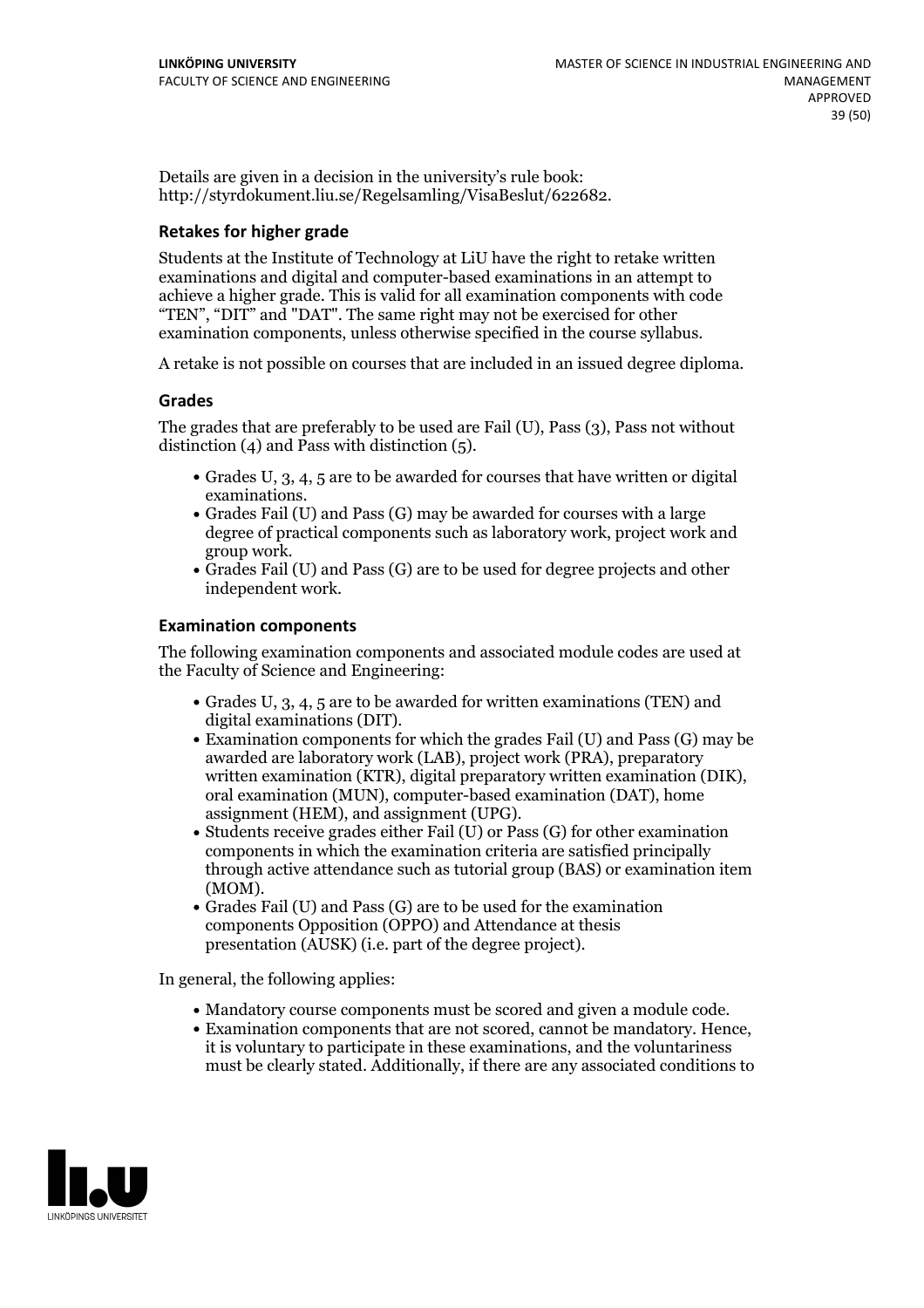Details are given in a decision in the university's rule book: http://styrdokument.liu.se/Regelsamling/VisaBeslut/622682.

### **Retakes for higher grade**

Students at the Institute of Technology at LiU have the right to retake written examinations and digital and computer-based examinations in an attempt to achieve a higher grade. This is valid for all examination components with code "TEN", "DIT" and "DAT". The same right may not be exercised for other examination components, unless otherwise specified in the course syllabus.

A retake is not possible on courses that are included in an issued degree diploma.

### **Grades**

The grades that are preferably to be used are Fail (U), Pass (3), Pass not without distinction  $(4)$  and Pass with distinction  $(5)$ .

- Grades U, 3, 4, 5 are to be awarded for courses that have written or digital examinations.<br>• Grades Fail (U) and Pass (G) may be awarded for courses with a large
- degree of practical components such as laboratory work, project work and
- Grades Fail (U) and Pass (G) are to be used for degree projects and other independent work.

### **Examination components**

The following examination components and associated module codes are used at the Faculty of Science and Engineering:

- Grades U, 3, 4, 5 are to be awarded for written examinations (TEN) and
- digital examinations (DIT).<br>• Examination components for which the grades Fail (U) and Pass (G) may be awarded are laboratory work (LAB), project work (PRA), preparatory written examination (KTR), digital preparatory written examination (DIK), oral examination (MUN), computer-based examination (DAT), home assignment (HEM), and assignment (UPG).
- Students receive grades either Fail (U) or Pass (G) for other examination components in which the examination criteria are satisfied principally through active attendance such as tutorial group (BAS) or examination item (MOM).<br>• Grades Fail (U) and Pass (G) are to be used for the examination
- components Opposition (OPPO) and Attendance at thesis presentation (AUSK) (i.e. part of the degree project).

In general, the following applies:

- 
- Mandatory course components must be scored and given <sup>a</sup> module code. Examination components that are not scored, cannot be mandatory. Hence, it is voluntary to participate in these examinations, and the voluntariness must be clearly stated. Additionally, if there are any associated conditions to

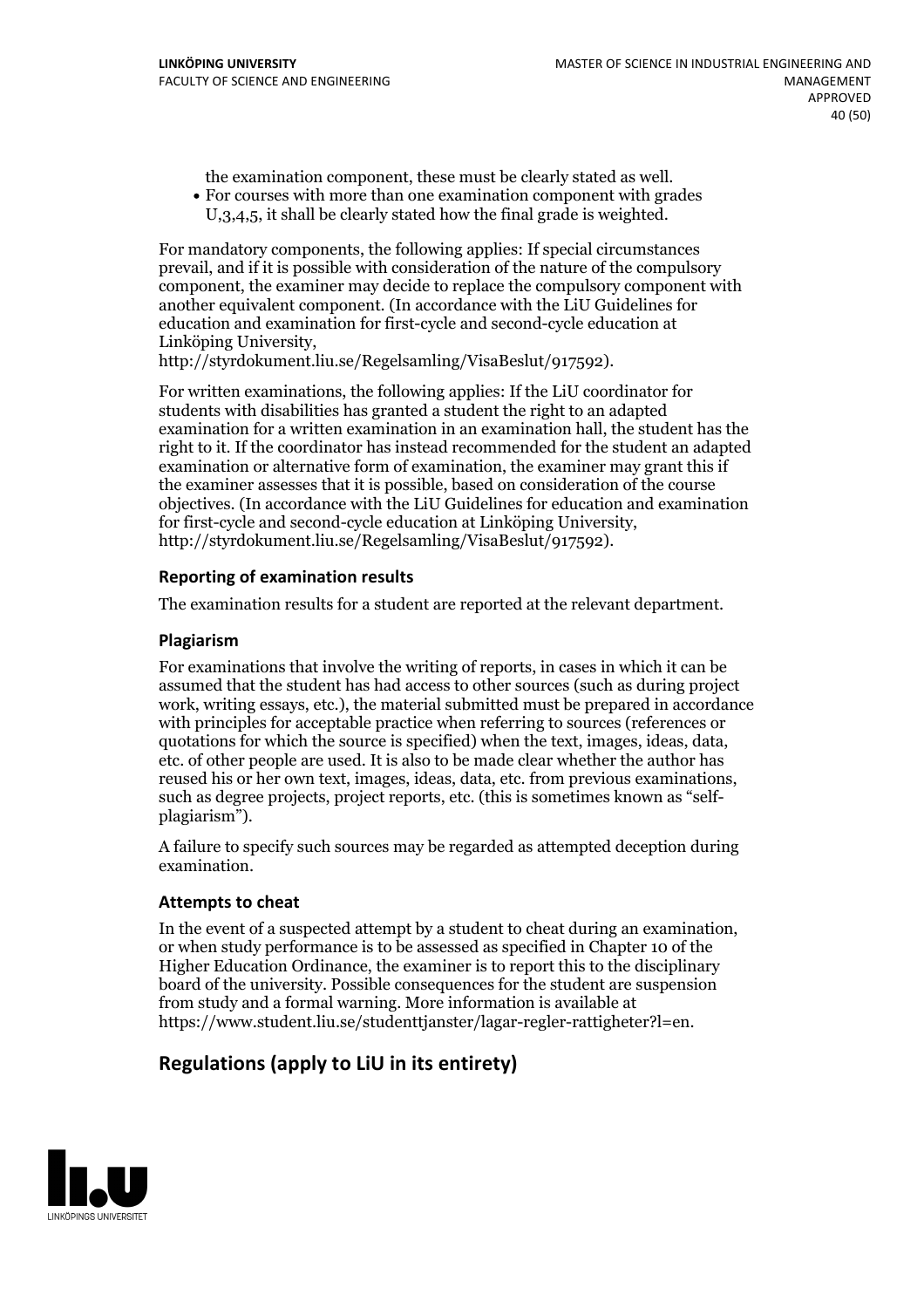the examination component, these must be clearly stated as well.<br>• For courses with more than one examination component with grades

U,3,4,5, it shall be clearly stated how the final grade is weighted.

For mandatory components, the following applies: If special circumstances prevail, and if it is possible with consideration of the nature of the compulsory component, the examiner may decide to replace the compulsory component with another equivalent component. (In accordance with the LiU Guidelines for education and examination for first-cycle and second-cycle education at Linköping University, http://styrdokument.liu.se/Regelsamling/VisaBeslut/917592).

For written examinations, the following applies: If the LiU coordinator for students with disabilities has granted a student the right to an adapted examination for a written examination in an examination hall, the student has the right to it. If the coordinator has instead recommended for the student an adapted examination or alternative form of examination, the examiner may grant this if the examiner assesses that it is possible, based on consideration of the course objectives. (In accordance with the LiU Guidelines for education and examination for first-cycle and second-cycle education at Linköping University, http://styrdokument.liu.se/Regelsamling/VisaBeslut/917592).

### **Reporting of examination results**

The examination results for a student are reported at the relevant department.

### **Plagiarism**

For examinations that involve the writing of reports, in cases in which it can be assumed that the student has had access to other sources (such as during project work, writing essays, etc.), the material submitted must be prepared in accordance with principles for acceptable practice when referring to sources (references or quotations for which the source is specified) when the text, images, ideas, data. etc, of other people are used. It is also to be made clear whether the author has reused his or her own text, images, ideas, data, etc. from previous examinations, such as degree projects, project reports, etc. (this is sometimes known as "self-<br>plagiarism").

A failure to specify such sources may be regarded as attempted deception during examination.

### **Attempts to cheat**

In the event of <sup>a</sup> suspected attempt by <sup>a</sup> student to cheat during an examination, or when study performance is to be assessed as specified in Chapter <sup>10</sup> of the Higher Education Ordinance, the examiner is to report this to the disciplinary board of the university. Possible consequences for the student are suspension from study and a formal warning. More information is available at https://www.student.liu.se/studenttjanster/lagar-regler-rattigheter?l=en.

### **Regulations (applyto LiU in its entirety)**

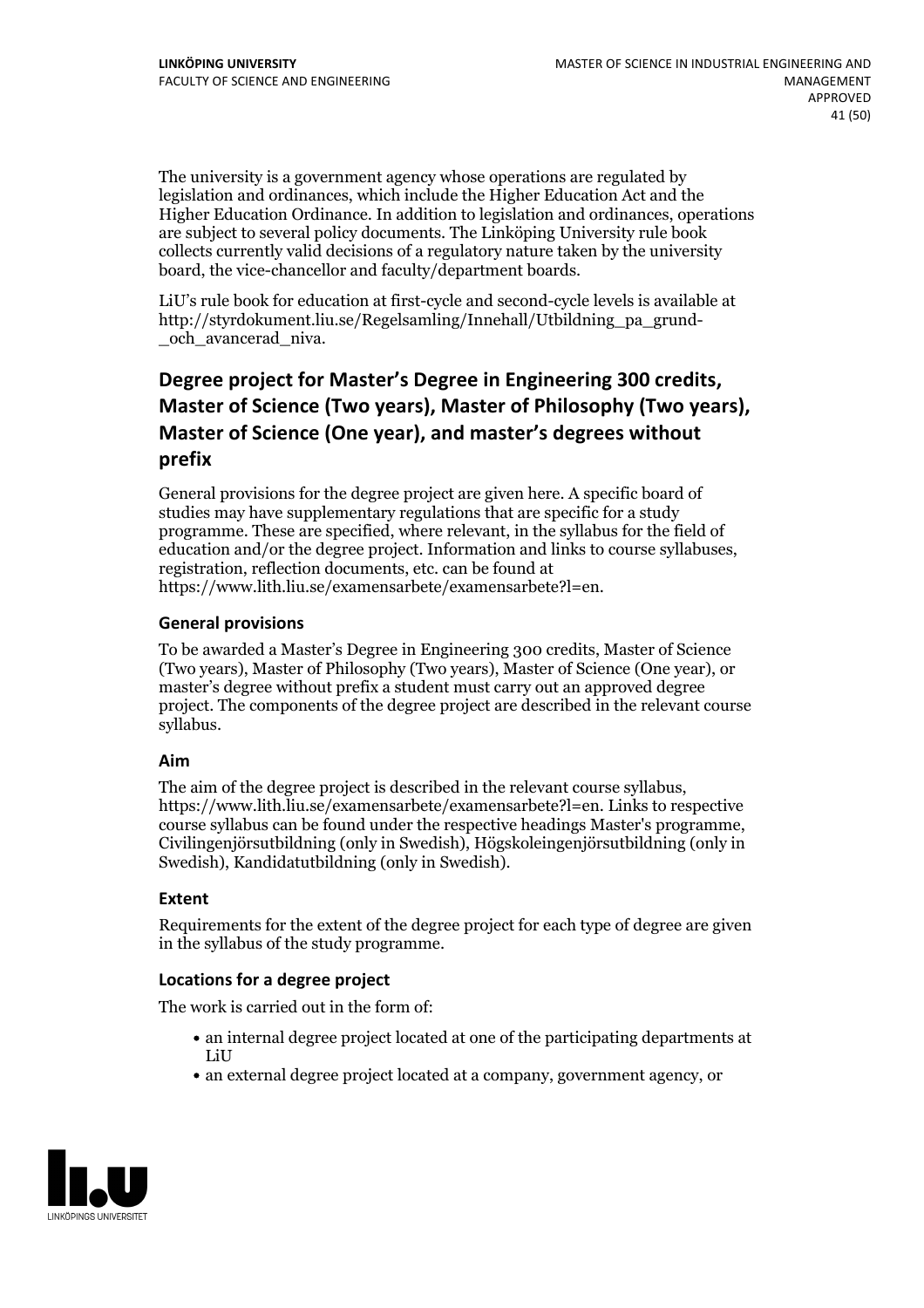The university is a government agency whose operations are regulated by legislation and ordinances, which include the Higher Education Act and the Higher Education Ordinance. In addition to legislation and ordinances, operations are subject to several policy documents. The Linköping University rule book collects currently valid decisions of a regulatory nature taken by the university board, the vice-chancellor and faculty/department boards.

LiU's rule book for education at first-cycle and second-cycle levels is available at http://styrdokument.liu.se/Regelsamling/Innehall/Utbildning\_pa\_grund- \_och\_avancerad\_niva.

## **Degree project for Master's Degree in Engineering 300 credits,** Master of Science (Two years), Master of Philosophy (Two years), Master of Science (One year), and master's degrees without **prefix**

General provisions for the degree project are given here. A specific board of studies may have supplementary regulations that are specific for a study programme. These are specified, where relevant, in the syllabus for the field of education and/or the degree project. Information and links to course syllabuses, registration, reflection documents, etc. can be found at https://www.lith.liu.se/examensarbete/examensarbete?l=en.

### **General provisions**

To be awarded a Master's Degree in Engineering 300 credits, Master of Science (Two years), Master of Philosophy (Two years), Master of Science (One year), or master's degree without prefix a student must carry out an approved degree project. The components of the degree project are described in the relevant course syllabus.

### **Aim**

The aim of the degree project is described in the relevant course syllabus, https://www.lith.liu.se/examensarbete/examensarbete?l=en. Links to respective course syllabus can be found under the respective headings Master's programme, Civilingenjörsutbildning (only in Swedish), Högskoleingenjörsutbildning (only in Swedish), Kandidatutbildning (only in Swedish).

### **Extent**

Requirements for the extent of the degree project for each type of degree are given in the syllabus of the study programme.

### **Locations for a degree project**

The work is carried out in the form of:

- an internal degree project located at one of the participating departments at LiU
- an external degree project located at a company, government agency, or

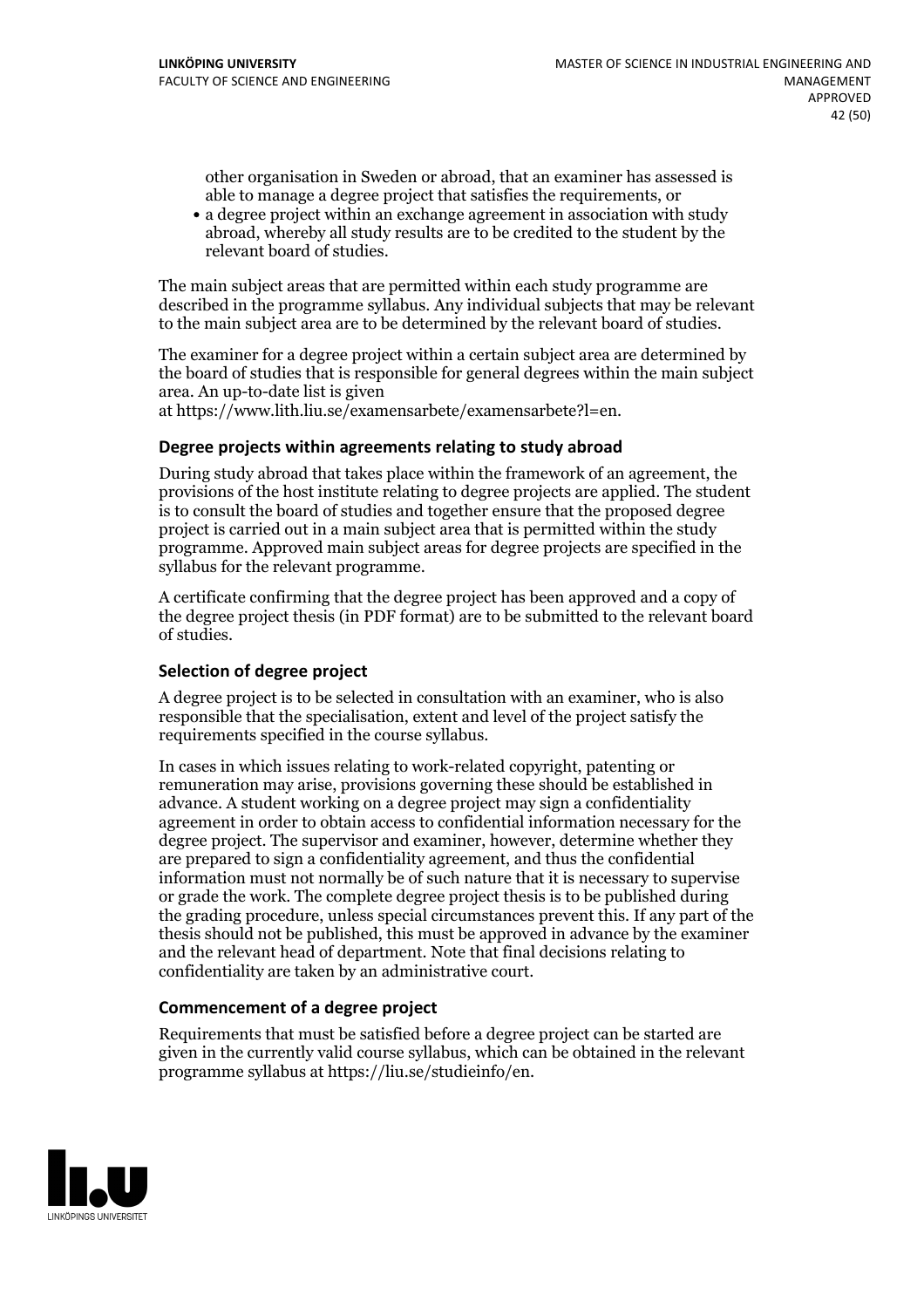other organisation in Sweden or abroad, that an examiner has assessed is able to manage a degree project that satisfies the requirements, or

a degree project within an exchange agreement in association with study abroad, whereby all study results are to be credited to the student by the relevant board of studies.

The main subject areas that are permitted within each study programme are described in the programme syllabus. Any individual subjects that may be relevant to the main subject area are to be determined by the relevant board of studies.

The examiner for a degree project within a certain subject area are determined by the board of studies that is responsible for general degrees within the main subject area. An up-to-date list is given

at https://www.lith.liu.se/examensarbete/examensarbete?l=en.

### **Degree projects within agreements relatingto study abroad**

During study abroad that takes place within the framework of an agreement, the provisions of the host institute relating to degree projects are applied. The student is to consult the board of studies and together ensure that the proposed degree project is carried out in a main subject area that is permitted within the study programme. Approved main subject areas for degree projects are specified in the syllabus for the relevant programme.

A certificate confirming that the degree project has been approved and a copy of the degree project thesis (in PDF format) are to be submitted to the relevant board of studies.

#### **Selection of degree project**

A degree project is to be selected in consultation with an examiner, who is also responsible that the specialisation, extent and level of the project satisfy the requirements specified in the course syllabus.

In cases in which issues relating to work-related copyright, patenting or remuneration may arise, provisions governing these should be established in advance. A student working on a degree project may sign a confidentiality agreement in order to obtain access to confidential information necessary for the degree project. The supervisor and examiner, however, determine whether they are prepared to sign a confidentiality agreement, and thus the confidential information must not normally be of such nature that it is necessary to supervise or grade the work. The complete degree project thesis is to be published during the grading procedure, unless special circumstances prevent this. If any part of the thesis should not be published, this must be approved in advance by the examiner and the relevant head of department. Note that final decisions relating to confidentiality are taken by an administrative court.

#### **Commencement of a degree project**

Requirements that must be satisfied before a degree project can be started are given in the currently valid course syllabus, which can be obtained in the relevant programme syllabus at https://liu.se/studieinfo/en.

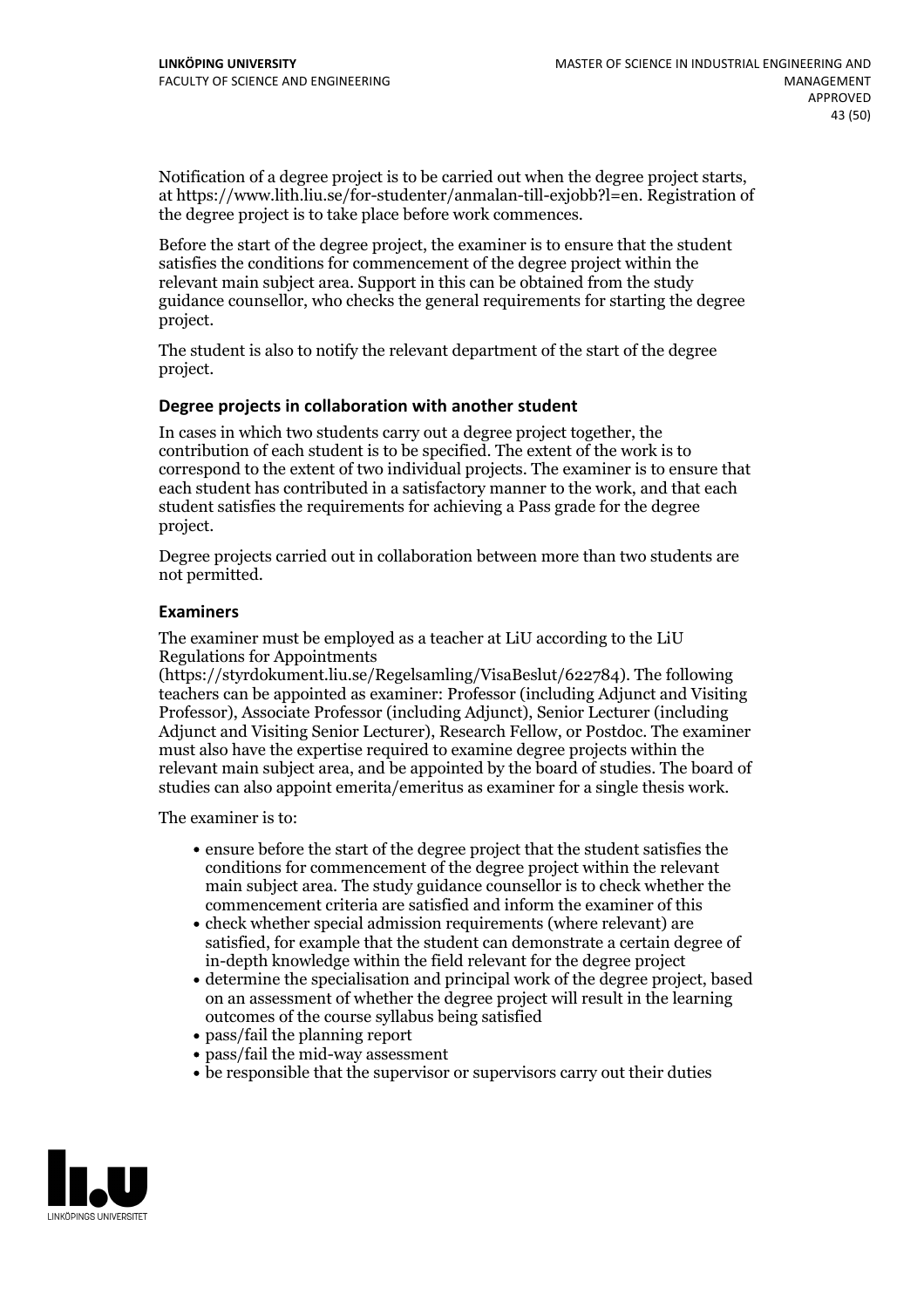Notification of <sup>a</sup> degree project is to be carried outwhen the degree project starts, at https://www.lith.liu.se/for-studenter/anmalan-till-exjobb?l=en. Registration of the degree project is to take place before work commences.

Before the start of the degree project, the examiner is to ensure that the student satisfies the conditions for commencement of the degree project within the relevant main subject area. Support in this can be obtained from the study guidance counsellor, who checks the general requirements for starting the degree project.

The student is also to notify the relevant department of the start of the degree project.

### **Degree projects in collaboration with another student**

In cases in which two students carry out a degree project together, the contribution of each student is to be specified. The extent of the work is to correspond to the extent of two individual projects. The examiner is to ensure that each student has contributed in a satisfactory manner to the work, and that each student satisfies the requirements for achieving a Pass grade for the degree project.

Degree projects carried out in collaboration between more than two students are not permitted.

### **Examiners**

The examiner must be employed as a teacher at LiU according to the LiU Regulations for Appointments

(https://styrdokument.liu.se/Regelsamling/VisaBeslut/622784). The following teachers can be appointed as examiner: Professor (including Adjunct and Visiting Professor), Associate Professor (including Adjunct), Senior Lecturer (including Adjunct and Visiting Senior Lecturer), Research Fellow, or Postdoc. The examiner must also have the expertise required to examine degree projects within the relevant main subject area, and be appointed by the board of studies. The board of studies can also appoint emerita/emeritus as examiner for a single thesis work.

The examiner is to:

- ensure before the start of the degree project that the student satisfies the conditions for commencement of the degree project within the relevant main subject area. The study guidance counsellor is to check whether the commencement criteria are satisfied and inform the examiner of this
- check whether special admission requirements (where relevant) are satisfied, for example that the student can demonstrate a certain degree of in-depth knowledge within the field relevant for the degree project
- determine the specialisation and principal work of the degree project, based on an assessment of whether the degree project will result in the learning outcomes of the course syllabus being satisfied
- pass/fail the planning report
- pass/fail the mid-way assessment
- be responsible that the supervisor or supervisors carry out their duties

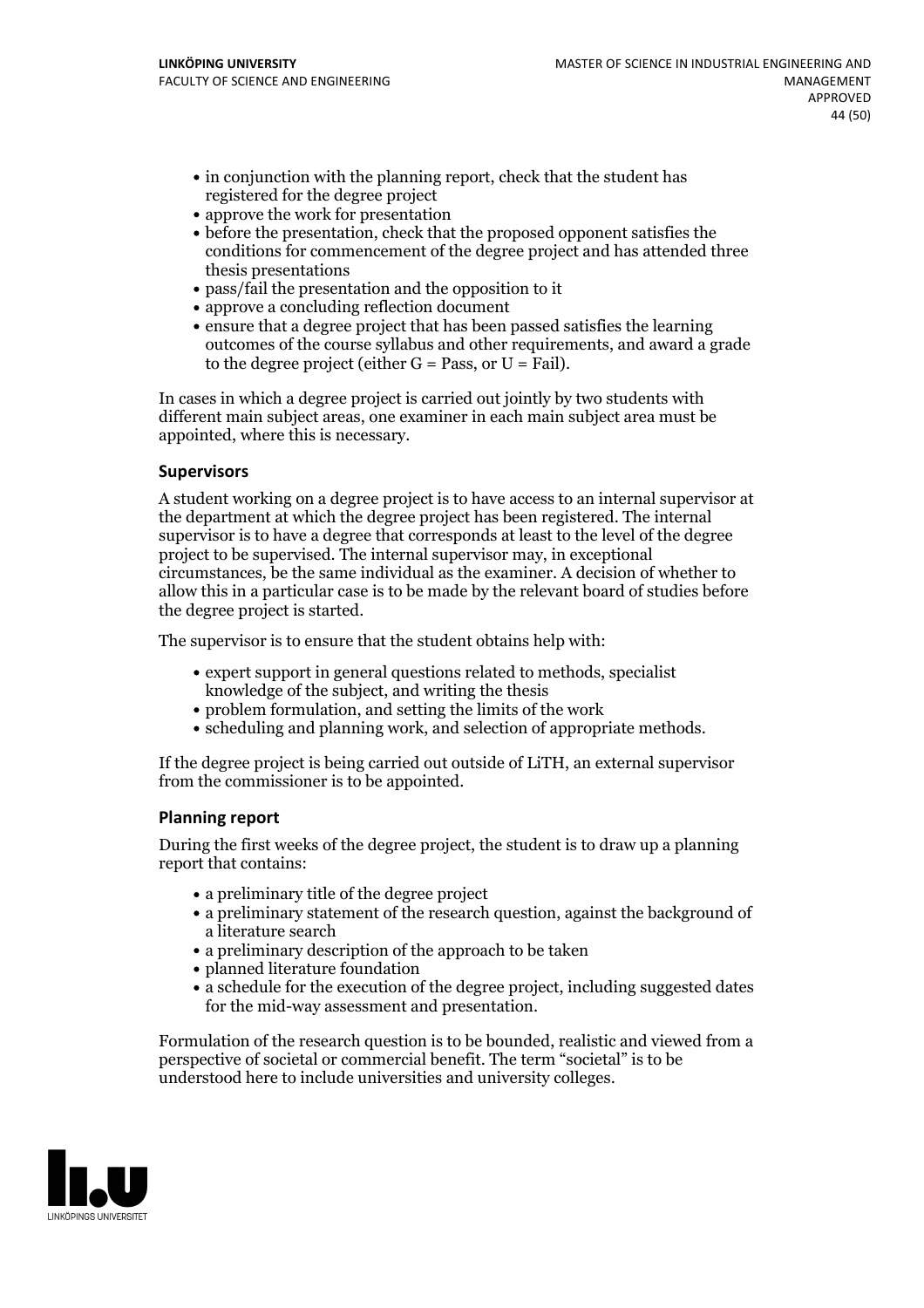- in conjunction with the planning report, check that the student has registered for the degree project
- approve the work for presentation
- before the presentation, check that the proposed opponent satisfies the conditions for commencement of the degree project and has attended three thesis presentations
- pass/fail the presentation and the opposition to it
- approve a concluding reflection document
- ensure that a degree project that has been passed satisfies the learning outcomes of the course syllabus and other requirements, and award a grade to the degree project (either  $G = Pass$ , or  $U = Fail$ ).

In cases in which a degree project is carried out jointly by two students with different main subject areas, one examiner in each main subject area must be appointed, where this is necessary.

### **Supervisors**

A student working on a degree project is to have access to an internal supervisor at the department at which the degree project has been registered. The internal supervisor is to have a degree that corresponds at least to the level of the degree project to be supervised. The internal supervisor may, in exceptional circumstances, be the same individual as the examiner. A decision of whether to allow this in a particular case is to be made by the relevant board of studies before the degree project is started.

The supervisor is to ensure that the student obtains help with:

- expert support in general questions related to methods, specialist knowledge of the subject, and writing the thesis
- problem formulation, and setting the limits of the work
- scheduling and planning work, and selection of appropriate methods.

If the degree project is being carried out outside of LiTH, an external supervisor from the commissioner is to be appointed.

### **Planning report**

During the first weeks of the degree project, the student is to draw up a planning report that contains:

- $\bullet$  a preliminary title of the degree project
- a preliminary statement of the research question, against the background of a literature search
- a preliminary description of the approach to be taken
- planned literature foundation
- a schedule for the execution of the degree project, including suggested dates for the mid-way assessment and presentation.

Formulation of the research question is to be bounded, realistic and viewed from a perspective of societal or commercial benefit. The term "societal" is to be understood here to include universities and university colleges.

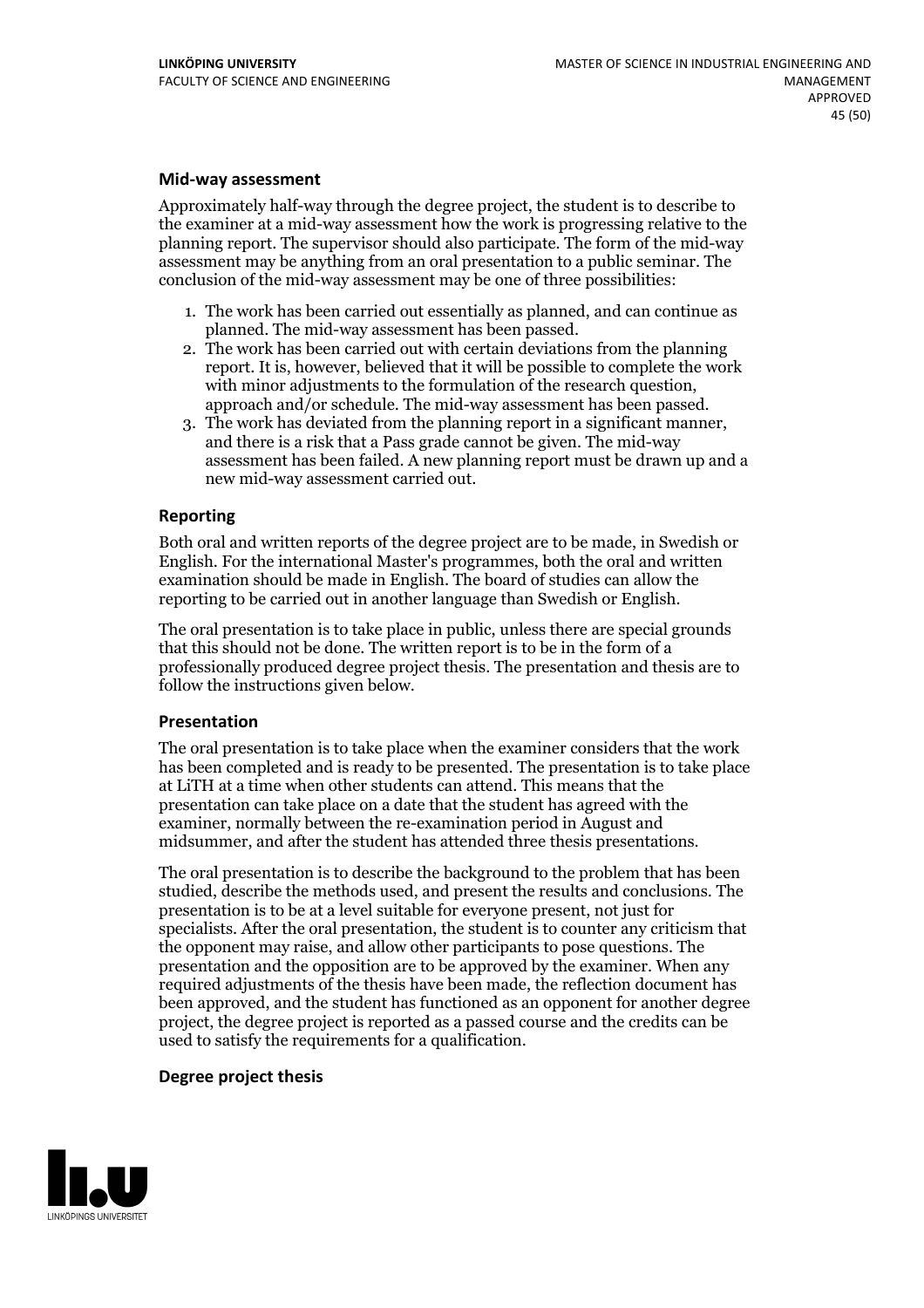#### **Mid-way assessment**

Approximately half-way through the degree project, the student is to describe to the examiner at a mid-way assessment how the work is progressing relative to the planning report. The supervisor should also participate. The form of the mid-way assessment may be anything from an oral presentation to a public seminar. The conclusion of the mid-way assessment may be one of three possibilities:

- 1. The work has been carried out essentially as planned, and can continue as
- planned. The mid-way assessment has been passed. 2. The work has been carried outwith certain deviations from the planning report. It is, however, believed that it will be possible to complete the work with minor adjustments to the formulation of the research question,<br>approach and/or schedule. The mid-way assessment has been passed.<br>3. The work has deviated from the planning report in a significant manner,<br>and there is
- assessment has been failed. A new planning report must be drawn up and a new mid-way assessment carried out.

### **Reporting**

Both oral and written reports of the degree project are to be made, in Swedish or English. For the international Master's programmes, both the oral and written examination should be made in English. The board of studies can allow the reporting to be carried out in another language than Swedish or English.

The oral presentation is to take place in public, unless there are special grounds that this should not be done. The written report is to be in the form of a professionally produced degree project thesis. The presentation and thesis are to follow the instructions given below.

#### **Presentation**

The oral presentation is to take place when the examiner considers that the work has been completed and is ready to be presented. The presentation is to take place at LiTH at a time when other students can attend. This means that the presentation can take place on a date that the student has agreed with the examiner, normally between the re-examination period in August and midsummer, and after the student has attended three thesis presentations.

The oral presentation is to describe the background to the problem that has been studied, describe the methods used, and present the results and conclusions. The presentation is to be at a level suitable for everyone present, not just for specialists. After the oral presentation, the student is to counter any criticism that the opponent may raise, and allow other participants to pose questions. The presentation and the opposition are to be approved by the examiner. When any required adjustments of the thesis have been made, the reflection document has been approved, and the student has functioned as an opponent for another degree project, the degree project is reported as a passed course and the credits can be used to satisfy the requirements for a qualification.

#### **Degree project thesis**

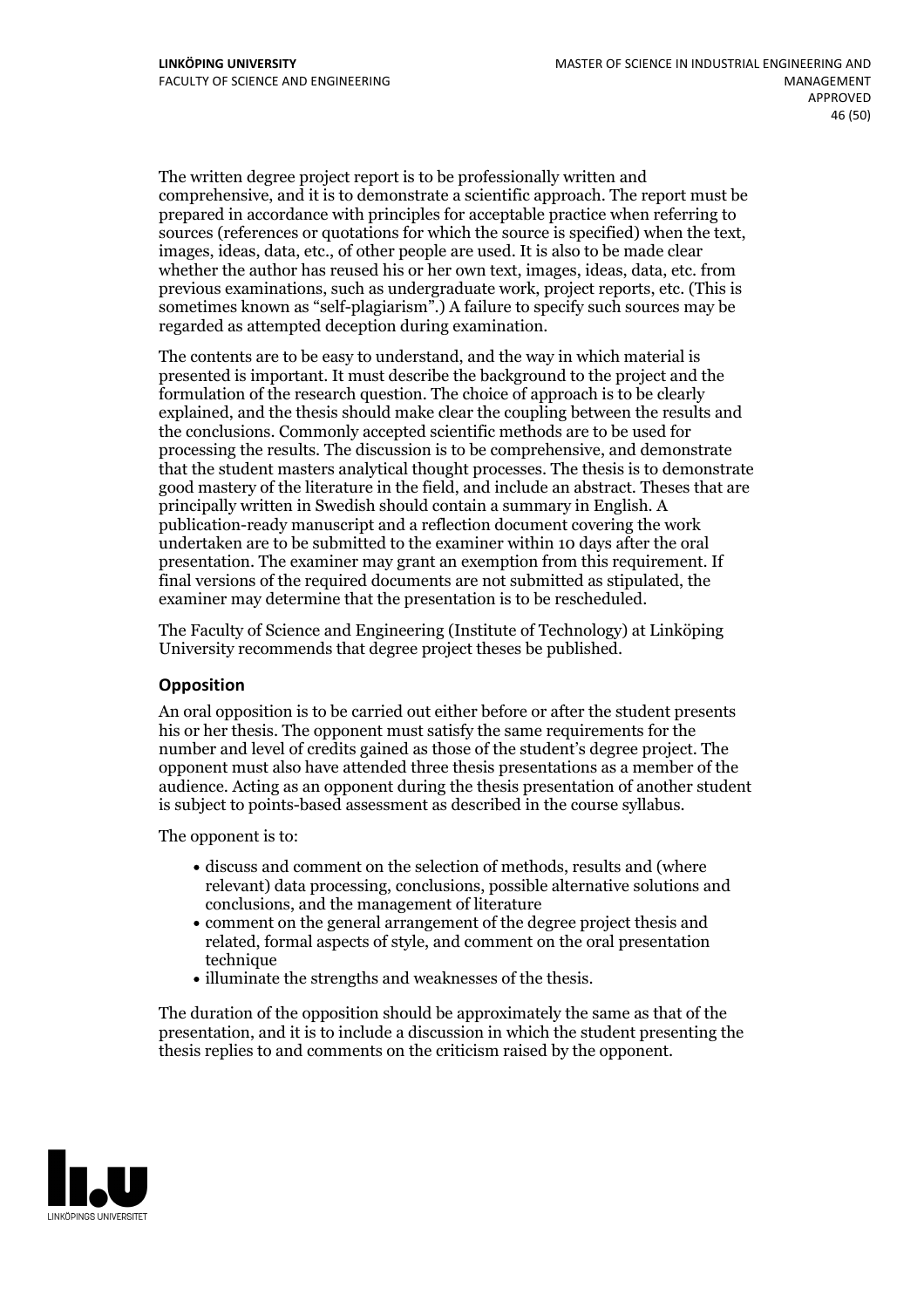The written degree project report is to be professionally written and comprehensive, and it is to demonstrate a scientific approach. The report must be prepared in accordance with principles for acceptable practice when referring to sources (references or quotations for which the source is specified) when the text, images, ideas, data, etc., of other people are used. It is also to be made clear whether the author has reused his or her own text, images, ideas, data, etc. from previous examinations, such asundergraduate work, project reports, etc. (This is sometimes known as"self-plagiarism".) A failure to specify such sources may be regarded as attempted deception during examination.

The contents are to be easy to understand, and the way in which material is presented is important. It must describe the background to the project and the formulation of the research question. The choice of approach is to be clearly explained, and the thesis should make clear the coupling between the results and the conclusions. Commonly accepted scientific methods are to be used for processing the results. The discussion is to be comprehensive, and demonstrate that the student masters analytical thought processes. The thesis is to demonstrate good mastery of the literature in the field, and include an abstract. Theses that are principally written in Swedish should contain a summary in English. A publication-ready manuscript and a reflection document covering the work undertaken are to be submitted to the examiner within 10 days after the oral presentation. The examiner may grant an exemption from this requirement. If final versions of the required documents are not submitted as stipulated, the examiner may determine that the presentation is to be rescheduled.

The Faculty of Science and Engineering (Institute of Technology) at Linköping University recommends that degree project theses be published.

### **Opposition**

An oral opposition is to be carried out either before or after the student presents his or her thesis. The opponent must satisfy the same requirements for the number and level of credits gained as those of the student's degree project. The opponent must also have attended three thesis presentations as a member of the audience. Acting as an opponent during the thesis presentation of another student is subject to points-based assessment as described in the course syllabus.

The opponent is to:

- discuss and comment on the selection of methods, results and (where relevant) data processing, conclusions, possible alternative solutions and conclusions, and the management of literature
- comment on the general arrangement of the degree project thesis and related, formal aspects of style, and comment on the oral presentation technique
- illuminate the strengths and weaknesses of the thesis.

The duration of the opposition should be approximately the same as that of the presentation, and it is to include a discussion in which the student presenting the thesis replies to and comments on the criticism raised by the opponent.

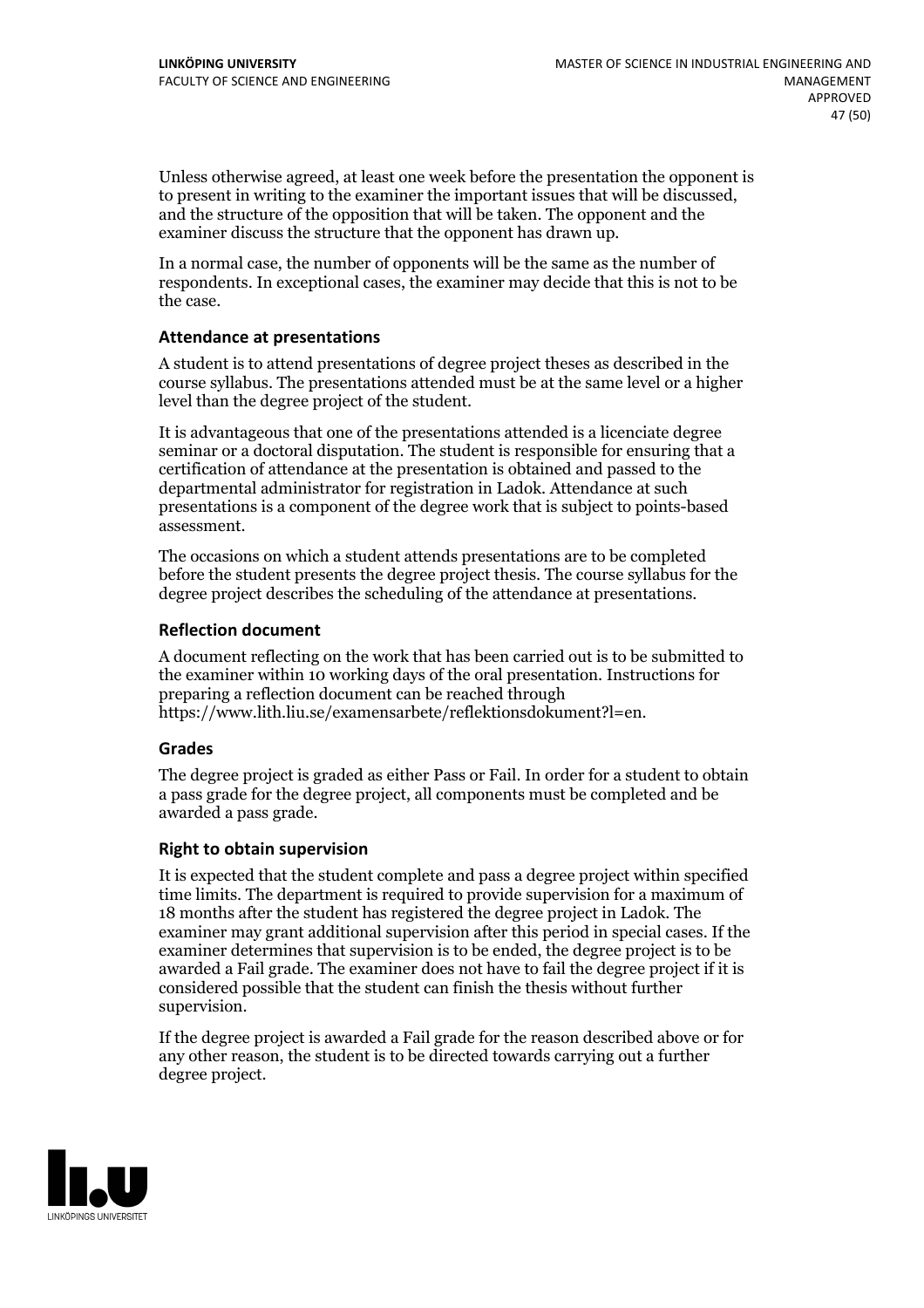Unless otherwise agreed, at least one week before the presentation the opponent is to present in writing to the examiner the important issues that will be discussed, and the structure ofthe opposition that will be taken. The opponent and the examiner discuss the structure that the opponent has drawn up.

In a normal case, the number of opponents will be the same as the number of respondents. In exceptional cases, the examiner may decide that this is not to be the case.

### **Attendance at presentations**

A student is to attend presentations of degree project theses as described in the course syllabus. The presentations attended must be at the same level or a higher level than the degree project of the student.

It is advantageous that one of the presentations attended is a licenciate degree seminar or a doctoral disputation. The student is responsible for ensuring that a certification of attendance at the presentation is obtained and passed to the departmental administrator for registration in Ladok. Attendance at such presentations is a component of the degree work that is subject to points-based assessment.

The occasions on which a student attends presentations are to be completed before the student presents the degree project thesis. The course syllabus for the degree project describes the scheduling of the attendance at presentations.

### **Reflection document**

A document reflecting on the work that has been carried outis to be submitted to the examiner within 10 working days of the oral presentation. Instructions for preparing a reflection document can be reached through https://www.lith.liu.se/examensarbete/reflektionsdokument?l=en.

#### **Grades**

The degree project is graded as either Pass or Fail. In order for a student to obtain a pass grade for the degree project, all components must be completed and be awarded a pass grade.

#### **Right to obtain supervision**

It is expected that the student complete and pass a degree project within specified time limits. The department is required to provide supervision for a maximum of 18 months after the student has registered the degree project in Ladok. The examiner may grant additional supervision after this period in special cases. If the examiner determines that supervision is to be ended, the degree project is to be awarded a Fail grade. The examiner does not have to fail the degree project if it is considered possible that the student can finish the thesis without further supervision.

If the degree project is awarded a Fail grade for the reason described above or for any other reason, the student is to be directed towards carrying out a further degree project.

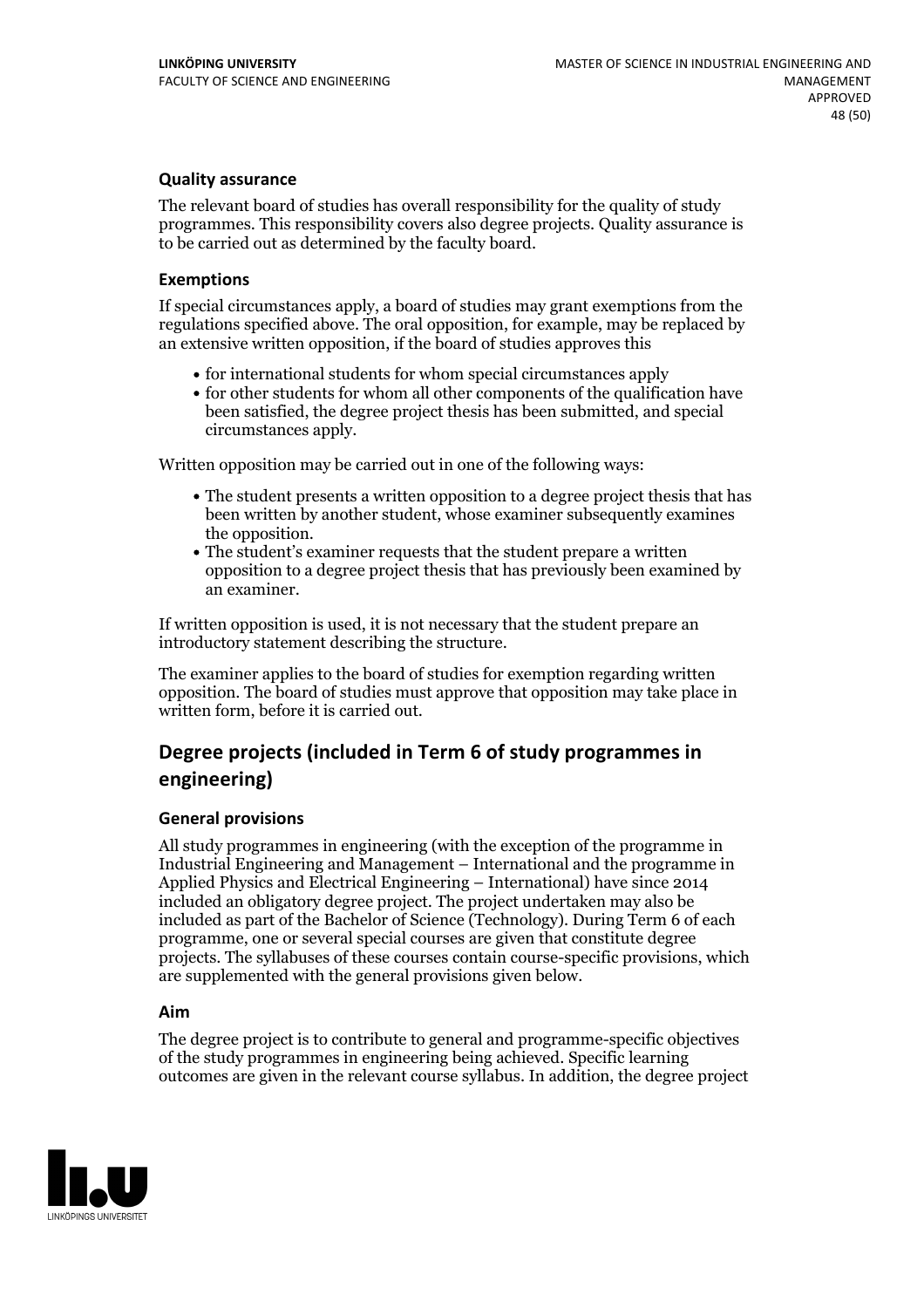### **Quality assurance**

The relevant board of studies has overall responsibility for the quality of study programmes. This responsibility covers also degree projects. Quality assurance is to be carried out as determined by the faculty board.

#### **Exemptions**

If special circumstances apply, a board of studies may grant exemptions from the regulations specified above. The oral opposition, for example, may be replaced by an extensive written opposition, if the board of studies approves this

- for international students for whom special circumstances apply
- for other students for whom all other components of the qualification have been satisfied, the degree project thesis has been submitted, and special circumstances apply.

Written opposition may be carried out in one of the following ways:

- The student presents a written opposition to a degree project thesis that has been written by another student, whose examiner subsequently examines the opposition.<br>• The student's examiner requests that the student prepare a written
- opposition to a degree project thesis that has previously been examined by an examiner.

If written opposition is used, it is not necessary that the student prepare an introductory statement describing the structure.

The examiner applies to the board of studies for exemption regarding written opposition. The board of studies must approve that opposition may take place in written form, before it is carried out.

### **Degree projects (included in Term 6 of study programmes in engineering)**

#### **General provisions**

All study programmes in engineering (with the exception of the programme in Industrial Engineering and Management – International and the programme in Applied Physics and Electrical Engineering – International) have since 2014 included an obligatory degree project. The project undertaken may also be included as part of the Bachelor of Science (Technology). During Term 6 of each programme, one or several special courses are given that constitute degree projects. The syllabuses of these courses contain course-specific provisions, which are supplemented with the general provisions given below.

#### **Aim**

The degree project is to contribute to general and programme-specific objectives of the study programmes in engineering being achieved. Specific learning outcomes are given in the relevant course syllabus. In addition, the degree project

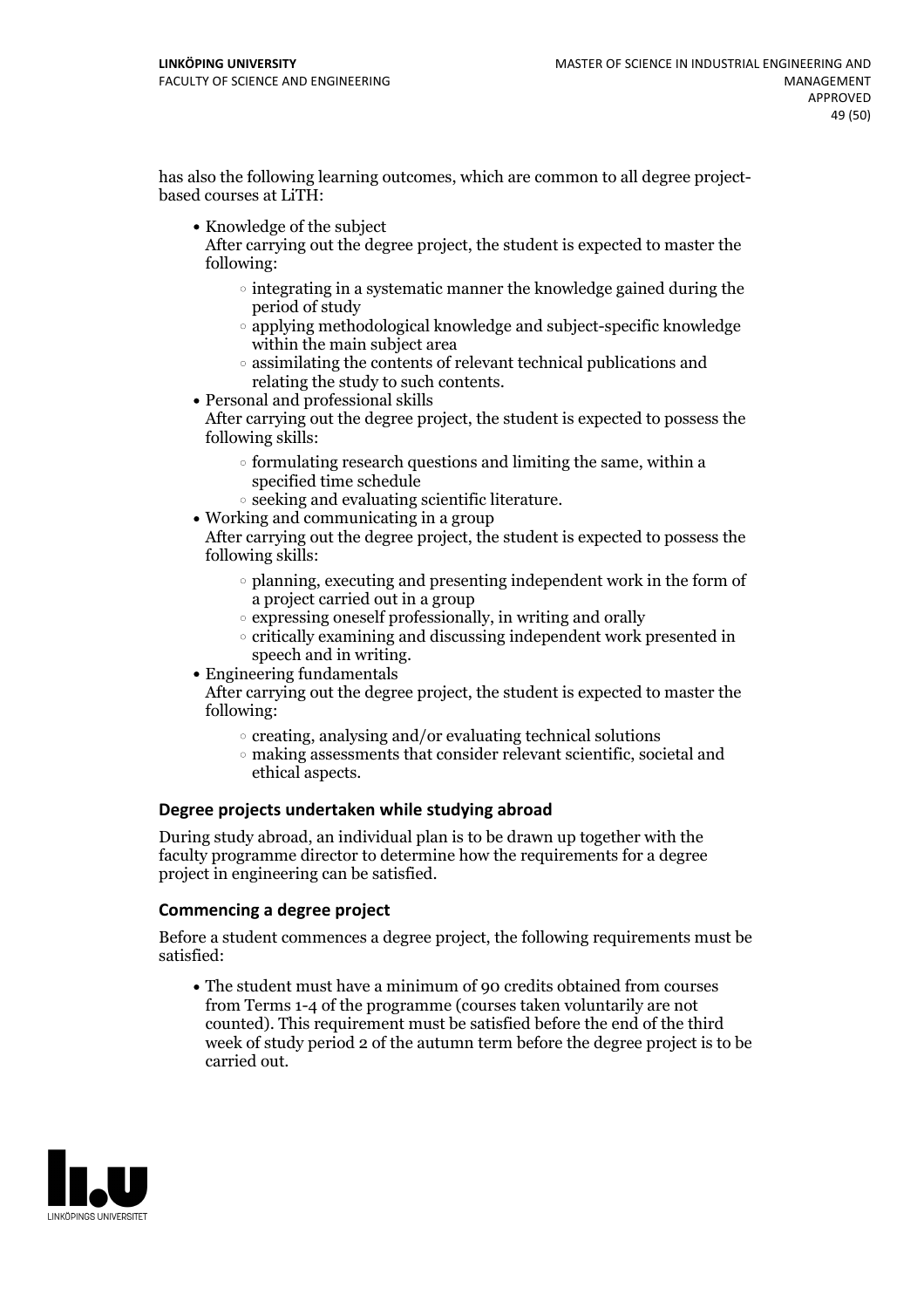has also the following learning outcomes, which are common to all degree project- based courses at LiTH:

• Knowledge of the subject

After carrying out the degree project, the student is expected to master the following:

- $\circ$  integrating in a systematic manner the knowledge gained during the period of study
- applying methodological knowledge and subject-specific knowledge within the main subject area
- assimilating the contents of relevant technical publications and relating the study to such contents.<br>• Personal and professional skills
- 

After carrying out the degree project, the student is expected to possess the following skills:

- $\circ$  formulating research questions and limiting the same, within a specified time schedule
- $\circ$  seeking and evaluating scientific literature.<br> Working and communicating in a group
- 

After carrying out the degree project, the student is expected to possess the following skills:

- $\circ$  planning, executing and presenting independent work in the form of a project carried out in a group
- $\circ$  expressing oneself professionally, in writing and orally
- critically examining and discussing independent work presented in
- speech and in writing.<br>• Engineering fundamentals

After carrying out the degree project, the student is expected to master the following:

- $\circ$  creating, analysing and/or evaluating technical solutions
- making assessments that consider relevant scientific, societal and ethical aspects.

### **Degree projects undertaken while studying abroad**

During study abroad, an individual plan is to be drawn up together with the faculty programme director to determine how the requirements for a degree project in engineering can be satisfied.

### **Commencing a degree project**

Before a student commences a degree project, the following requirements must be satisfied:

The student must have a minimum of 90 credits obtained from courses from Terms 1-4 of the programme (courses taken voluntarily are not counted). This requirement must be satisfied before the end of the third week of study period 2 of the autumn term before the degree project is to be carried out.